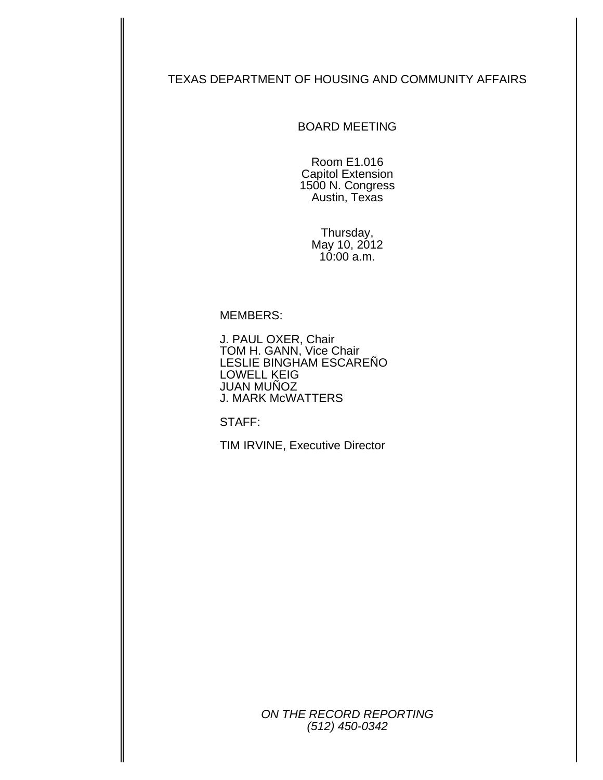### TEXAS DEPARTMENT OF HOUSING AND COMMUNITY AFFAIRS

BOARD MEETING

Room E1.016 Capitol Extension 1500 N. Congress Austin, Texas

> Thursday, May 10, 2012 10:00 a.m.

#### MEMBERS:

J. PAUL OXER, Chair TOM H. GANN, Vice Chair LESLIE BINGHAM ESCAREÑO LOWELL KEIG JUAN MUÑOZ J. MARK McWATTERS

STAFF:

TIM IRVINE, Executive Director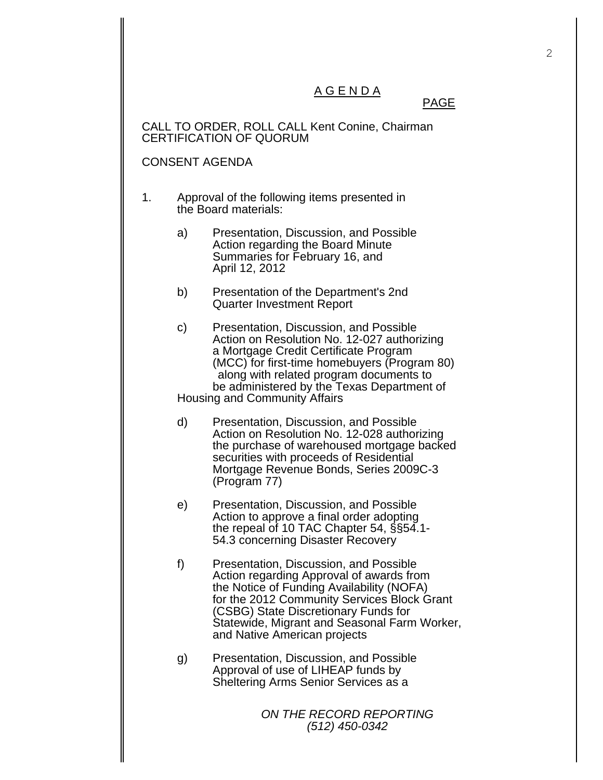## A G E N D A

### <u>PAGE in the state of the state of the state of the state of the state of the state of the state of the state of the state of the state of the state of the state of the state of the state of the state of the state of the s</u>

CALL TO ORDER, ROLL CALL Kent Conine, Chairman CERTIFICATION OF QUORUM

#### CONSENT AGENDA

- 1. Approval of the following items presented in the Board materials:
	- a) Presentation, Discussion, and Possible Action regarding the Board Minute Summaries for February 16, and April 12, 2012
	- b) Presentation of the Department's 2nd Quarter Investment Report
	- c) Presentation, Discussion, and Possible Action on Resolution No. 12-027 authorizing a Mortgage Credit Certificate Program (MCC) for first-time homebuyers (Program 80) along with related program documents to be administered by the Texas Department of Housing and Community Affairs
	- d) Presentation, Discussion, and Possible Action on Resolution No. 12-028 authorizing the purchase of warehoused mortgage backed securities with proceeds of Residential Mortgage Revenue Bonds, Series 2009C-3 (Program 77)
	- e) Presentation, Discussion, and Possible Action to approve a final order adopting the repeal of 10 TAC Chapter 54, §§54.1- 54.3 concerning Disaster Recovery
	- f) Presentation, Discussion, and Possible Action regarding Approval of awards from the Notice of Funding Availability (NOFA) for the 2012 Community Services Block Grant (CSBG) State Discretionary Funds for Statewide, Migrant and Seasonal Farm Worker, and Native American projects
	- g) Presentation, Discussion, and Possible Approval of use of LIHEAP funds by Sheltering Arms Senior Services as a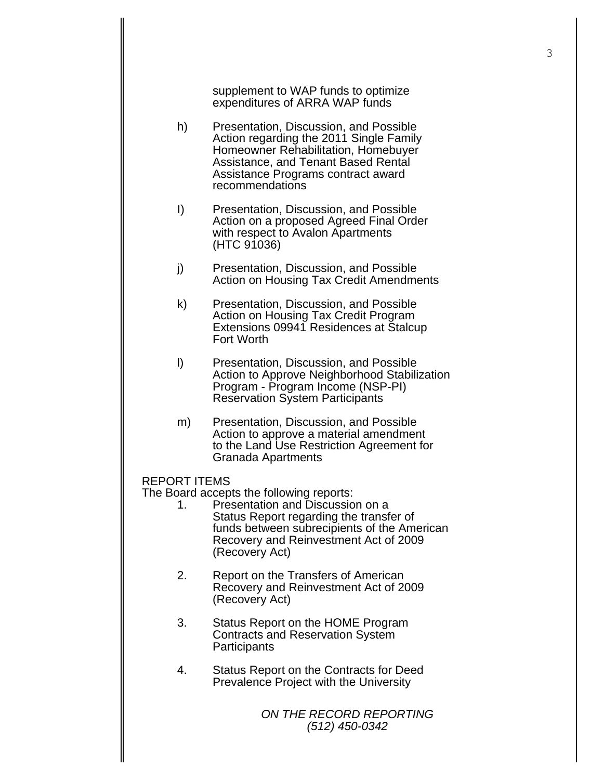supplement to WAP funds to optimize expenditures of ARRA WAP funds

- h) Presentation, Discussion, and Possible Action regarding the 2011 Single Family Homeowner Rehabilitation, Homebuyer Assistance, and Tenant Based Rental Assistance Programs contract award recommendations
- I) Presentation, Discussion, and Possible Action on a proposed Agreed Final Order with respect to Avalon Apartments (HTC 91036)
- j) Presentation, Discussion, and Possible Action on Housing Tax Credit Amendments
- k) Presentation, Discussion, and Possible Action on Housing Tax Credit Program Extensions 09941 Residences at Stalcup Fort Worth
- l) Presentation, Discussion, and Possible Action to Approve Neighborhood Stabilization Program - Program Income (NSP-PI) Reservation System Participants
- m) Presentation, Discussion, and Possible Action to approve a material amendment to the Land Use Restriction Agreement for Granada Apartments
- REPORT ITEMS

The Board accepts the following reports:

- 1. Presentation and Discussion on a Status Report regarding the transfer of funds between subrecipients of the American Recovery and Reinvestment Act of 2009 (Recovery Act)
- 2. Report on the Transfers of American Recovery and Reinvestment Act of 2009 (Recovery Act)
- 3. Status Report on the HOME Program Contracts and Reservation System **Participants**
- 4. Status Report on the Contracts for Deed Prevalence Project with the University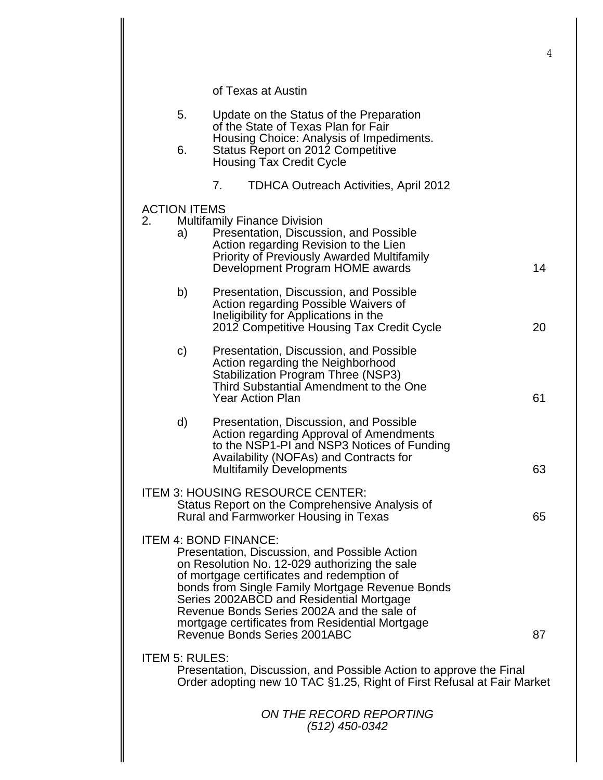|                                 |                                                                                                                                                                                                                                                                                                                                                                              | 4  |
|---------------------------------|------------------------------------------------------------------------------------------------------------------------------------------------------------------------------------------------------------------------------------------------------------------------------------------------------------------------------------------------------------------------------|----|
|                                 | of Texas at Austin                                                                                                                                                                                                                                                                                                                                                           |    |
| 5.                              | Update on the Status of the Preparation<br>of the State of Texas Plan for Fair                                                                                                                                                                                                                                                                                               |    |
| 6.                              | Housing Choice: Analysis of Impediments.<br>Status Report on 2012 Competitive<br><b>Housing Tax Credit Cycle</b>                                                                                                                                                                                                                                                             |    |
|                                 | 7.<br>TDHCA Outreach Activities, April 2012                                                                                                                                                                                                                                                                                                                                  |    |
| <b>ACTION ITEMS</b><br>2.<br>a) | <b>Multifamily Finance Division</b><br>Presentation, Discussion, and Possible<br>Action regarding Revision to the Lien<br><b>Priority of Previously Awarded Multifamily</b>                                                                                                                                                                                                  |    |
|                                 | Development Program HOME awards                                                                                                                                                                                                                                                                                                                                              | 14 |
| b)                              | Presentation, Discussion, and Possible<br>Action regarding Possible Waivers of<br>Ineligibility for Applications in the<br>2012 Competitive Housing Tax Credit Cycle                                                                                                                                                                                                         | 20 |
| $\mathsf{C}$                    | Presentation, Discussion, and Possible<br>Action regarding the Neighborhood<br><b>Stabilization Program Three (NSP3)</b><br>Third Substantial Amendment to the One<br><b>Year Action Plan</b>                                                                                                                                                                                | 61 |
| d)                              | Presentation, Discussion, and Possible<br>Action regarding Approval of Amendments<br>to the NSP1-PI and NSP3 Notices of Funding<br>Availability (NOFAs) and Contracts for<br><b>Multifamily Developments</b>                                                                                                                                                                 | 63 |
|                                 | <b>ITEM 3: HOUSING RESOURCE CENTER:</b><br>Status Report on the Comprehensive Analysis of<br>Rural and Farmworker Housing in Texas                                                                                                                                                                                                                                           | 65 |
|                                 | <b>ITEM 4: BOND FINANCE:</b><br>Presentation, Discussion, and Possible Action<br>on Resolution No. 12-029 authorizing the sale<br>of mortgage certificates and redemption of<br>bonds from Single Family Mortgage Revenue Bonds<br>Series 2002ABCD and Residential Mortgage<br>Revenue Bonds Series 2002A and the sale of<br>mortgage certificates from Residential Mortgage |    |
|                                 | Revenue Bonds Series 2001ABC                                                                                                                                                                                                                                                                                                                                                 | 87 |
| <b>ITEM 5: RULES:</b>           | Presentation, Discussion, and Possible Action to approve the Final<br>Order adopting new 10 TAC §1.25, Right of First Refusal at Fair Market                                                                                                                                                                                                                                 |    |
|                                 | ON THE RECORD REPORTING<br>(512) 450-0342                                                                                                                                                                                                                                                                                                                                    |    |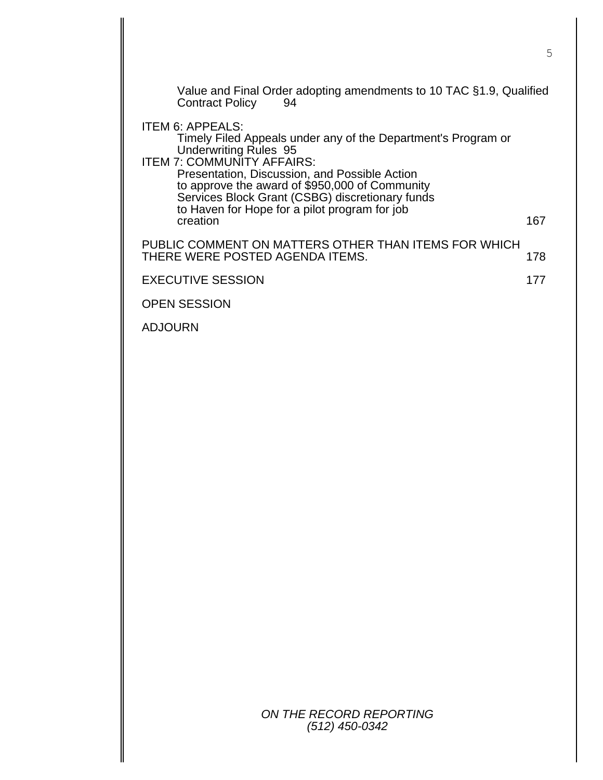| Value and Final Order adopting amendments to 10 TAC §1.9, Qualified<br><b>Contract Policy</b><br>94                                                                                                                                                  |     |
|------------------------------------------------------------------------------------------------------------------------------------------------------------------------------------------------------------------------------------------------------|-----|
| ITEM 6: APPEALS:<br>Timely Filed Appeals under any of the Department's Program or<br><b>Underwriting Rules 95</b>                                                                                                                                    |     |
| <b>ITEM 7: COMMUNITY AFFAIRS:</b><br>Presentation, Discussion, and Possible Action<br>to approve the award of \$950,000 of Community<br>Services Block Grant (CSBG) discretionary funds<br>to Haven for Hope for a pilot program for job<br>creation | 167 |
| PUBLIC COMMENT ON MATTERS OTHER THAN ITEMS FOR WHICH<br>THERE WERE POSTED AGENDA ITEMS.                                                                                                                                                              | 178 |
| <b>EXECUTIVE SESSION</b>                                                                                                                                                                                                                             | 177 |
| <b>OPEN SESSION</b>                                                                                                                                                                                                                                  |     |
| <b>ADJOURN</b>                                                                                                                                                                                                                                       |     |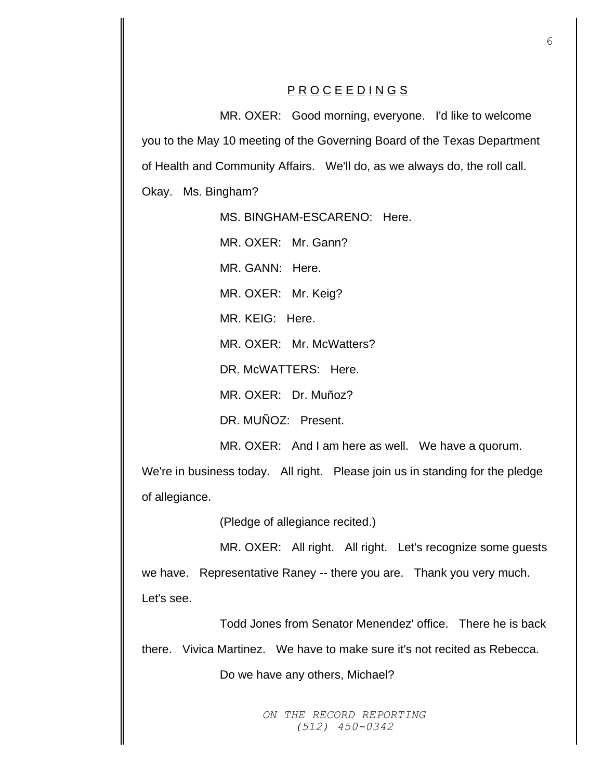# P R O C E E D I N G S

MR. OXER: Good morning, everyone. I'd like to welcome you to the May 10 meeting of the Governing Board of the Texas Department of Health and Community Affairs. We'll do, as we always do, the roll call. Okay. Ms. Bingham?

MS. BINGHAM-ESCARENO: Here.

MR. OXER: Mr. Gann?

MR. GANN: Here.

MR. OXER: Mr. Keig?

MR. KEIG: Here.

MR. OXER: Mr. McWatters?

DR. McWATTERS: Here.

MR. OXER: Dr. Muñoz?

DR. MUÑOZ: Present.

MR. OXER: And I am here as well. We have a quorum.

We're in business today. All right. Please join us in standing for the pledge of allegiance.

(Pledge of allegiance recited.)

MR. OXER: All right. All right. Let's recognize some guests we have. Representative Raney -- there you are. Thank you very much. Let's see.

Todd Jones from Senator Menendez' office. There he is back

there. Vivica Martinez. We have to make sure it's not recited as Rebecca.

Do we have any others, Michael?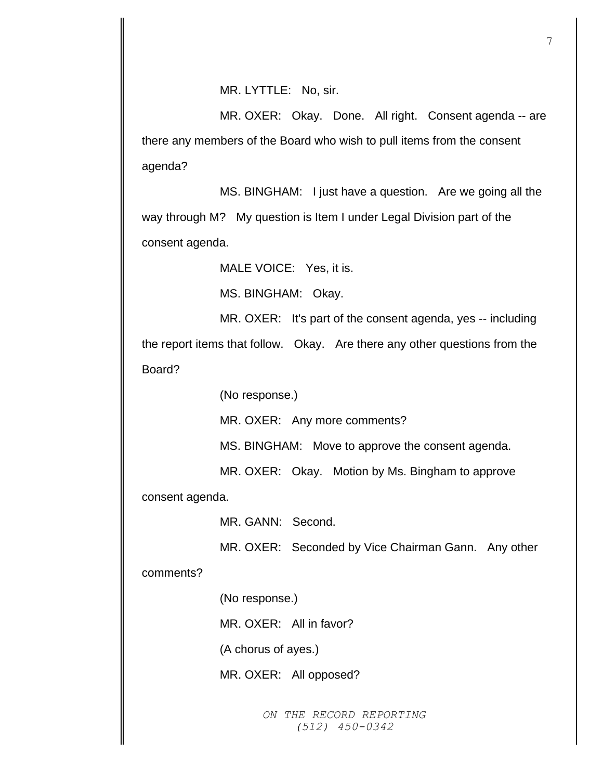MR. LYTTLE: No, sir.

MR. OXER: Okay. Done. All right. Consent agenda -- are there any members of the Board who wish to pull items from the consent agenda?

MS. BINGHAM: I just have a question. Are we going all the way through M? My question is Item I under Legal Division part of the consent agenda.

MALE VOICE: Yes, it is.

MS. BINGHAM: Okay.

MR. OXER: It's part of the consent agenda, yes -- including the report items that follow. Okay. Are there any other questions from the

Board?

(No response.)

MR. OXER: Any more comments?

MS. BINGHAM: Move to approve the consent agenda.

MR. OXER: Okay. Motion by Ms. Bingham to approve

consent agenda.

MR. GANN: Second.

MR. OXER: Seconded by Vice Chairman Gann. Any other

comments?

(No response.)

MR. OXER: All in favor?

(A chorus of ayes.)

MR. OXER: All opposed?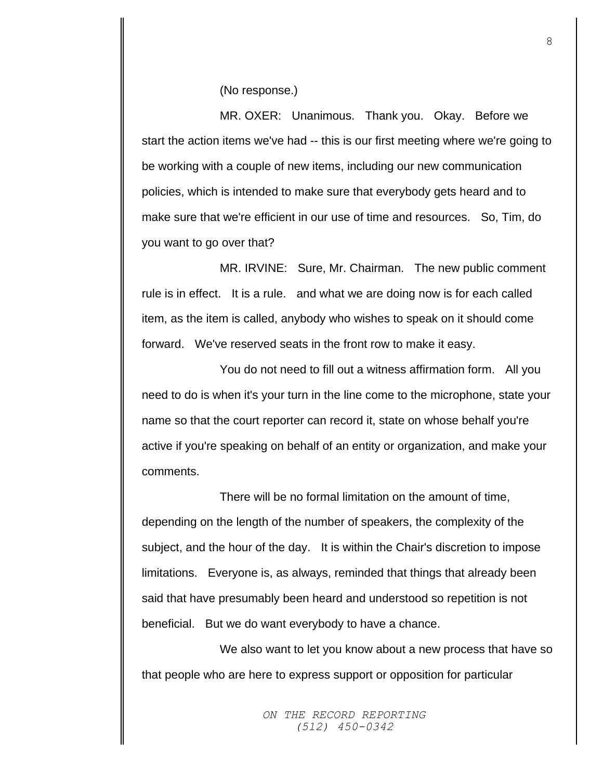(No response.)

MR. OXER: Unanimous. Thank you. Okay. Before we start the action items we've had -- this is our first meeting where we're going to be working with a couple of new items, including our new communication policies, which is intended to make sure that everybody gets heard and to make sure that we're efficient in our use of time and resources. So, Tim, do you want to go over that?

MR. IRVINE: Sure, Mr. Chairman. The new public comment rule is in effect. It is a rule. and what we are doing now is for each called item, as the item is called, anybody who wishes to speak on it should come forward. We've reserved seats in the front row to make it easy.

You do not need to fill out a witness affirmation form. All you need to do is when it's your turn in the line come to the microphone, state your name so that the court reporter can record it, state on whose behalf you're active if you're speaking on behalf of an entity or organization, and make your comments.

There will be no formal limitation on the amount of time, depending on the length of the number of speakers, the complexity of the subject, and the hour of the day. It is within the Chair's discretion to impose limitations. Everyone is, as always, reminded that things that already been said that have presumably been heard and understood so repetition is not beneficial. But we do want everybody to have a chance.

We also want to let you know about a new process that have so that people who are here to express support or opposition for particular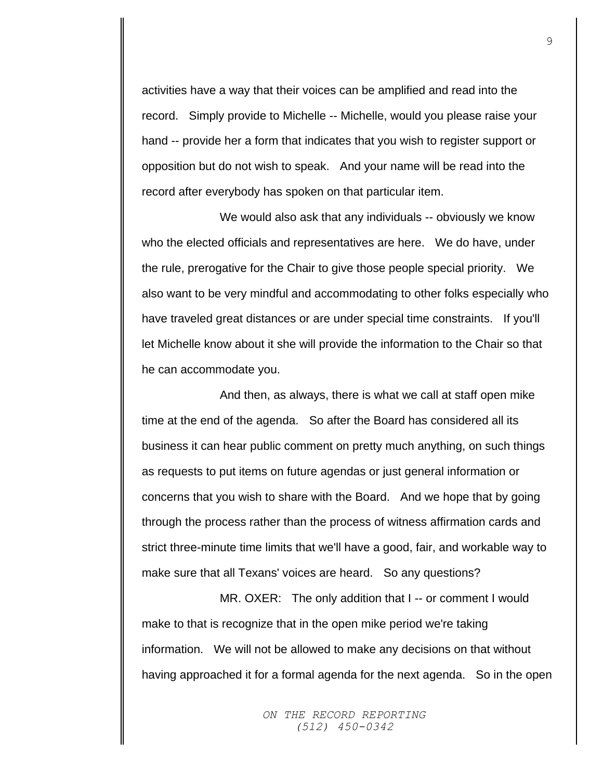activities have a way that their voices can be amplified and read into the record. Simply provide to Michelle -- Michelle, would you please raise your hand -- provide her a form that indicates that you wish to register support or opposition but do not wish to speak. And your name will be read into the record after everybody has spoken on that particular item.

We would also ask that any individuals -- obviously we know who the elected officials and representatives are here. We do have, under the rule, prerogative for the Chair to give those people special priority. We also want to be very mindful and accommodating to other folks especially who have traveled great distances or are under special time constraints. If you'll let Michelle know about it she will provide the information to the Chair so that he can accommodate you.

And then, as always, there is what we call at staff open mike time at the end of the agenda. So after the Board has considered all its business it can hear public comment on pretty much anything, on such things as requests to put items on future agendas or just general information or concerns that you wish to share with the Board. And we hope that by going through the process rather than the process of witness affirmation cards and strict three-minute time limits that we'll have a good, fair, and workable way to make sure that all Texans' voices are heard. So any questions?

MR. OXER: The only addition that I -- or comment I would make to that is recognize that in the open mike period we're taking information. We will not be allowed to make any decisions on that without having approached it for a formal agenda for the next agenda. So in the open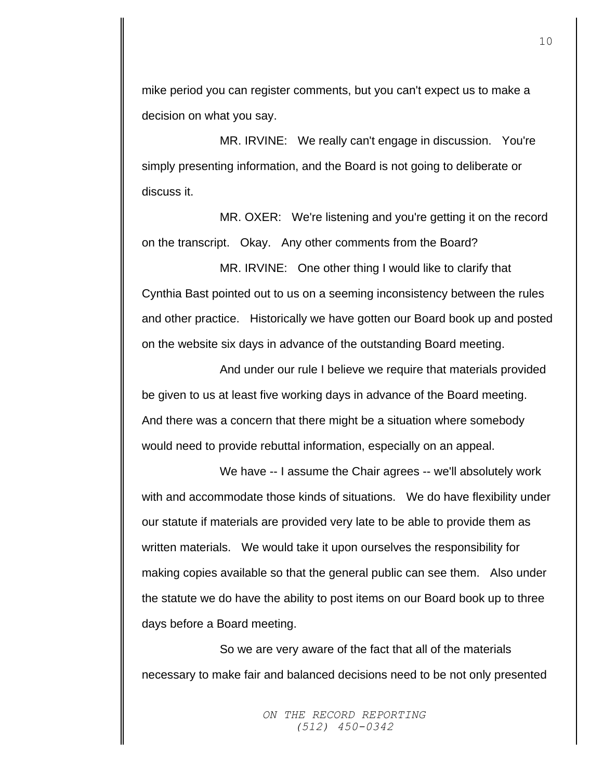mike period you can register comments, but you can't expect us to make a decision on what you say.

MR. IRVINE: We really can't engage in discussion. You're simply presenting information, and the Board is not going to deliberate or discuss it.

MR. OXER: We're listening and you're getting it on the record on the transcript. Okay. Any other comments from the Board?

MR. IRVINE: One other thing I would like to clarify that Cynthia Bast pointed out to us on a seeming inconsistency between the rules and other practice. Historically we have gotten our Board book up and posted on the website six days in advance of the outstanding Board meeting.

And under our rule I believe we require that materials provided be given to us at least five working days in advance of the Board meeting. And there was a concern that there might be a situation where somebody would need to provide rebuttal information, especially on an appeal.

We have -- I assume the Chair agrees -- we'll absolutely work with and accommodate those kinds of situations. We do have flexibility under our statute if materials are provided very late to be able to provide them as written materials. We would take it upon ourselves the responsibility for making copies available so that the general public can see them. Also under the statute we do have the ability to post items on our Board book up to three days before a Board meeting.

So we are very aware of the fact that all of the materials necessary to make fair and balanced decisions need to be not only presented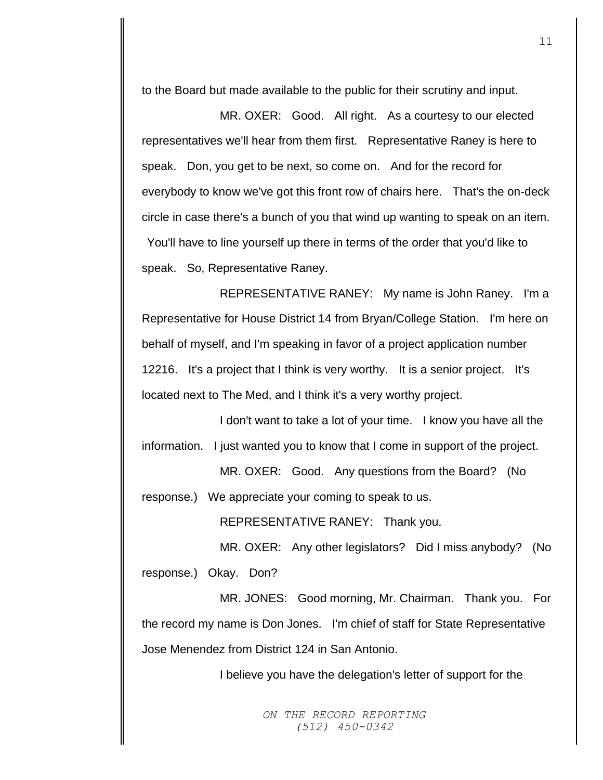to the Board but made available to the public for their scrutiny and input.

MR. OXER: Good. All right. As a courtesy to our elected representatives we'll hear from them first. Representative Raney is here to speak. Don, you get to be next, so come on. And for the record for everybody to know we've got this front row of chairs here. That's the on-deck circle in case there's a bunch of you that wind up wanting to speak on an item. You'll have to line yourself up there in terms of the order that you'd like to speak. So, Representative Raney.

REPRESENTATIVE RANEY: My name is John Raney. I'm a Representative for House District 14 from Bryan/College Station. I'm here on behalf of myself, and I'm speaking in favor of a project application number 12216. It's a project that I think is very worthy. It is a senior project. It's located next to The Med, and I think it's a very worthy project.

I don't want to take a lot of your time. I know you have all the information. I just wanted you to know that I come in support of the project.

MR. OXER: Good. Any questions from the Board? (No response.) We appreciate your coming to speak to us.

REPRESENTATIVE RANEY: Thank you.

MR. OXER: Any other legislators? Did I miss anybody? (No response.) Okay. Don?

MR. JONES: Good morning, Mr. Chairman. Thank you. For the record my name is Don Jones. I'm chief of staff for State Representative Jose Menendez from District 124 in San Antonio.

I believe you have the delegation's letter of support for the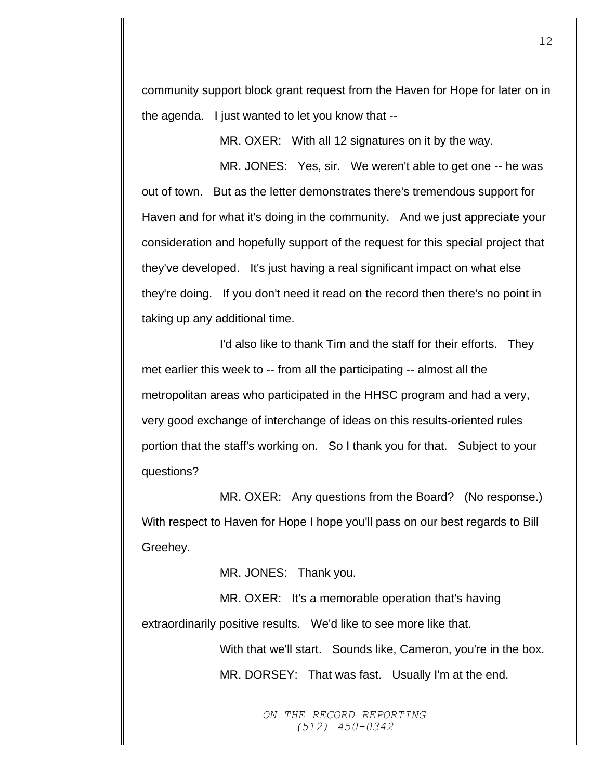community support block grant request from the Haven for Hope for later on in the agenda. I just wanted to let you know that --

MR. OXER: With all 12 signatures on it by the way.

MR. JONES: Yes, sir. We weren't able to get one -- he was out of town. But as the letter demonstrates there's tremendous support for Haven and for what it's doing in the community. And we just appreciate your consideration and hopefully support of the request for this special project that they've developed. It's just having a real significant impact on what else they're doing. If you don't need it read on the record then there's no point in taking up any additional time.

I'd also like to thank Tim and the staff for their efforts. They met earlier this week to -- from all the participating -- almost all the metropolitan areas who participated in the HHSC program and had a very, very good exchange of interchange of ideas on this results-oriented rules portion that the staff's working on. So I thank you for that. Subject to your questions?

MR. OXER: Any questions from the Board? (No response.) With respect to Haven for Hope I hope you'll pass on our best regards to Bill Greehey.

MR. JONES: Thank you.

MR. OXER: It's a memorable operation that's having extraordinarily positive results. We'd like to see more like that.

> With that we'll start. Sounds like, Cameron, you're in the box. MR. DORSEY: That was fast. Usually I'm at the end.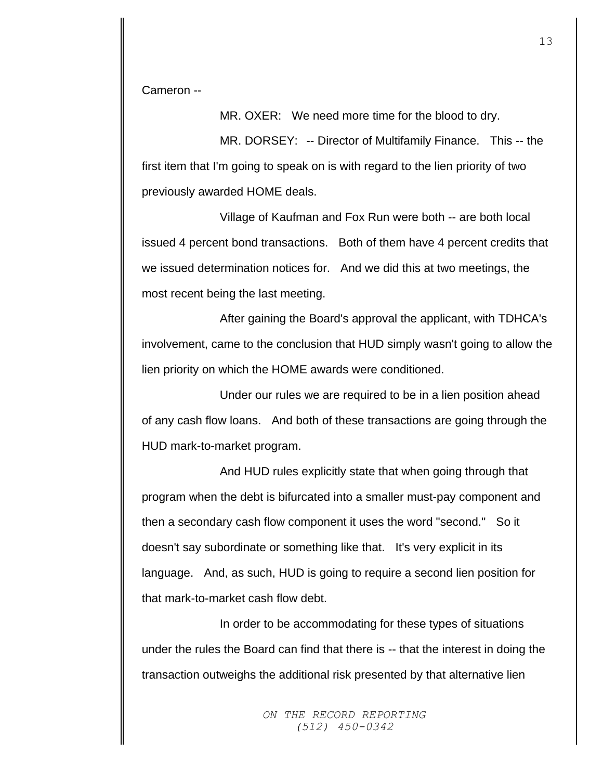Cameron --

MR. OXER: We need more time for the blood to dry.

MR. DORSEY: -- Director of Multifamily Finance. This -- the first item that I'm going to speak on is with regard to the lien priority of two previously awarded HOME deals.

Village of Kaufman and Fox Run were both -- are both local issued 4 percent bond transactions. Both of them have 4 percent credits that we issued determination notices for. And we did this at two meetings, the most recent being the last meeting.

After gaining the Board's approval the applicant, with TDHCA's involvement, came to the conclusion that HUD simply wasn't going to allow the lien priority on which the HOME awards were conditioned.

Under our rules we are required to be in a lien position ahead of any cash flow loans. And both of these transactions are going through the HUD mark-to-market program.

And HUD rules explicitly state that when going through that program when the debt is bifurcated into a smaller must-pay component and then a secondary cash flow component it uses the word "second." So it doesn't say subordinate or something like that. It's very explicit in its language. And, as such, HUD is going to require a second lien position for that mark-to-market cash flow debt.

In order to be accommodating for these types of situations under the rules the Board can find that there is -- that the interest in doing the transaction outweighs the additional risk presented by that alternative lien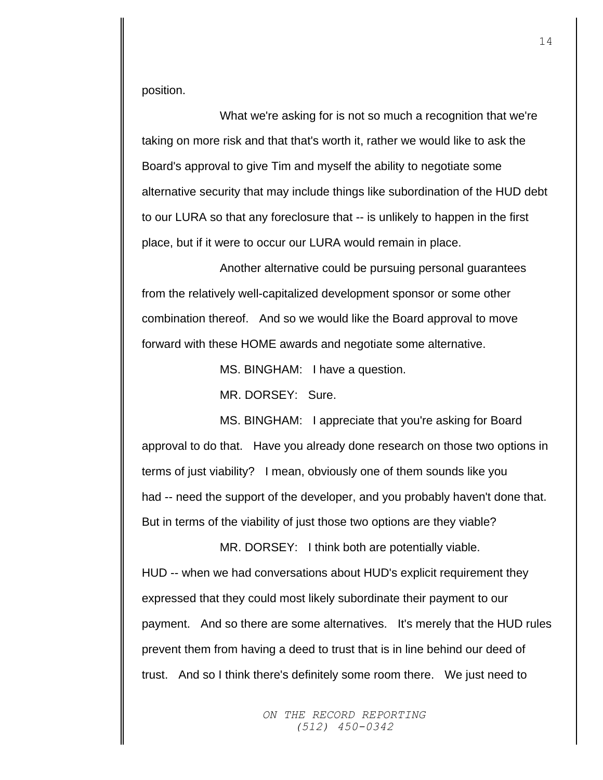position.

What we're asking for is not so much a recognition that we're taking on more risk and that that's worth it, rather we would like to ask the Board's approval to give Tim and myself the ability to negotiate some alternative security that may include things like subordination of the HUD debt to our LURA so that any foreclosure that -- is unlikely to happen in the first place, but if it were to occur our LURA would remain in place.

Another alternative could be pursuing personal guarantees from the relatively well-capitalized development sponsor or some other combination thereof. And so we would like the Board approval to move forward with these HOME awards and negotiate some alternative.

MS. BINGHAM: I have a question.

MR. DORSEY: Sure.

MS. BINGHAM: I appreciate that you're asking for Board approval to do that. Have you already done research on those two options in terms of just viability? I mean, obviously one of them sounds like you had -- need the support of the developer, and you probably haven't done that. But in terms of the viability of just those two options are they viable?

MR. DORSEY: I think both are potentially viable. HUD -- when we had conversations about HUD's explicit requirement they expressed that they could most likely subordinate their payment to our payment. And so there are some alternatives. It's merely that the HUD rules prevent them from having a deed to trust that is in line behind our deed of trust. And so I think there's definitely some room there. We just need to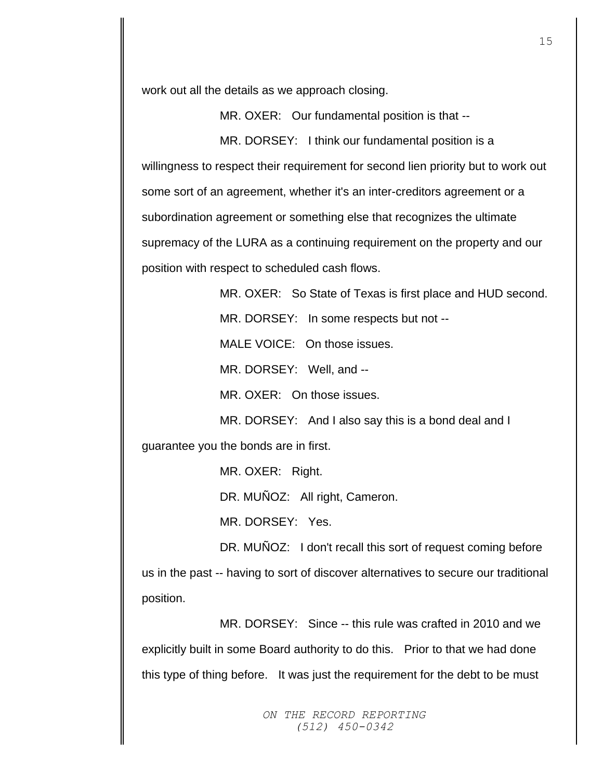work out all the details as we approach closing.

MR. OXER: Our fundamental position is that --

MR. DORSEY: I think our fundamental position is a willingness to respect their requirement for second lien priority but to work out some sort of an agreement, whether it's an inter-creditors agreement or a subordination agreement or something else that recognizes the ultimate supremacy of the LURA as a continuing requirement on the property and our position with respect to scheduled cash flows.

MR. OXER: So State of Texas is first place and HUD second. MR. DORSEY: In some respects but not --MALE VOICE: On those issues. MR. DORSEY: Well, and -- MR. OXER: On those issues. MR. DORSEY: And I also say this is a bond deal and I

guarantee you the bonds are in first.

MR. OXER: Right. DR. MUÑOZ: All right, Cameron.

MR. DORSEY: Yes.

DR. MUÑOZ: I don't recall this sort of request coming before

us in the past -- having to sort of discover alternatives to secure our traditional position.

MR. DORSEY: Since -- this rule was crafted in 2010 and we explicitly built in some Board authority to do this. Prior to that we had done this type of thing before. It was just the requirement for the debt to be must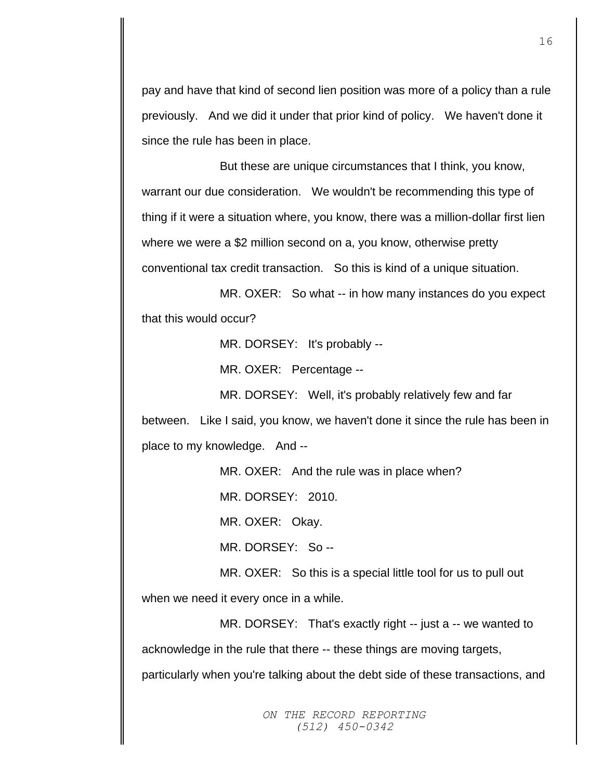pay and have that kind of second lien position was more of a policy than a rule previously. And we did it under that prior kind of policy. We haven't done it since the rule has been in place.

But these are unique circumstances that I think, you know, warrant our due consideration. We wouldn't be recommending this type of thing if it were a situation where, you know, there was a million-dollar first lien where we were a \$2 million second on a, you know, otherwise pretty conventional tax credit transaction. So this is kind of a unique situation.

MR. OXER: So what -- in how many instances do you expect that this would occur?

MR. DORSEY: It's probably --

MR. OXER: Percentage --

MR. DORSEY: Well, it's probably relatively few and far

between. Like I said, you know, we haven't done it since the rule has been in place to my knowledge. And --

MR. OXER: And the rule was in place when?

MR. DORSEY: 2010.

MR. OXER: Okay.

MR. DORSEY: So --

MR. OXER: So this is a special little tool for us to pull out when we need it every once in a while.

MR. DORSEY: That's exactly right -- just a -- we wanted to acknowledge in the rule that there -- these things are moving targets,

particularly when you're talking about the debt side of these transactions, and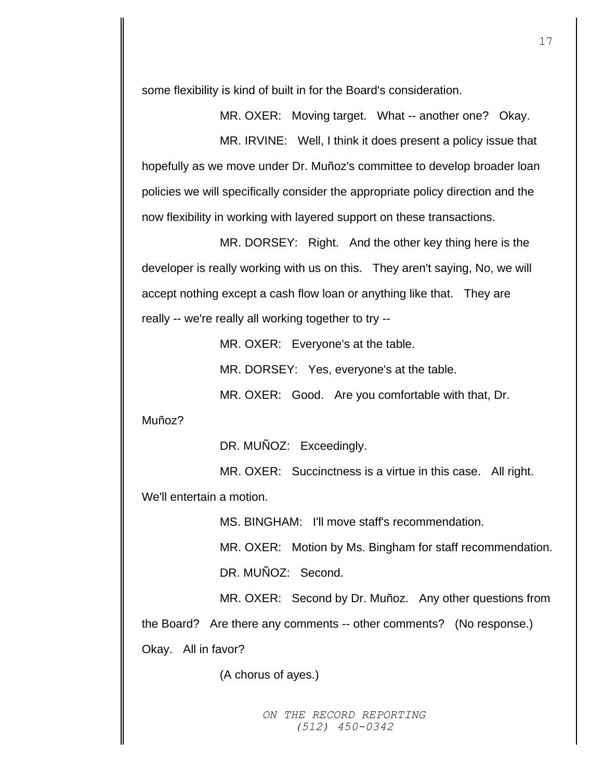some flexibility is kind of built in for the Board's consideration.

MR. OXER: Moving target. What -- another one? Okay. MR. IRVINE: Well, I think it does present a policy issue that hopefully as we move under Dr. Muñoz's committee to develop broader loan policies we will specifically consider the appropriate policy direction and the now flexibility in working with layered support on these transactions.

MR. DORSEY: Right. And the other key thing here is the developer is really working with us on this. They aren't saying, No, we will accept nothing except a cash flow loan or anything like that. They are really -- we're really all working together to try --

MR. OXER: Everyone's at the table.

MR. DORSEY: Yes, everyone's at the table.

MR. OXER: Good. Are you comfortable with that, Dr.

Muñoz?

DR. MUÑOZ: Exceedingly.

MR. OXER: Succinctness is a virtue in this case. All right. We'll entertain a motion.

MS. BINGHAM: I'll move staff's recommendation.

MR. OXER: Motion by Ms. Bingham for staff recommendation.

DR. MUÑOZ: Second.

MR. OXER: Second by Dr. Muñoz. Any other questions from

the Board? Are there any comments -- other comments? (No response.)

Okay. All in favor?

(A chorus of ayes.)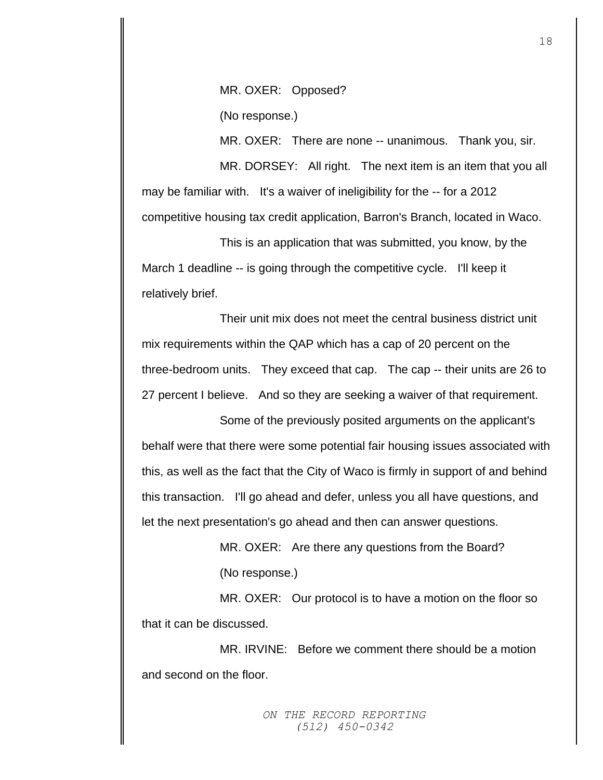MR. OXER: Opposed?

(No response.)

MR. OXER: There are none -- unanimous. Thank you, sir.

MR. DORSEY: All right. The next item is an item that you all may be familiar with. It's a waiver of ineligibility for the -- for a 2012 competitive housing tax credit application, Barron's Branch, located in Waco.

This is an application that was submitted, you know, by the March 1 deadline -- is going through the competitive cycle. I'll keep it relatively brief.

Their unit mix does not meet the central business district unit mix requirements within the QAP which has a cap of 20 percent on the three-bedroom units. They exceed that cap. The cap -- their units are 26 to 27 percent I believe. And so they are seeking a waiver of that requirement.

Some of the previously posited arguments on the applicant's behalf were that there were some potential fair housing issues associated with this, as well as the fact that the City of Waco is firmly in support of and behind this transaction. I'll go ahead and defer, unless you all have questions, and let the next presentation's go ahead and then can answer questions.

> MR. OXER: Are there any questions from the Board? (No response.)

MR. OXER: Our protocol is to have a motion on the floor so that it can be discussed.

MR. IRVINE: Before we comment there should be a motion and second on the floor.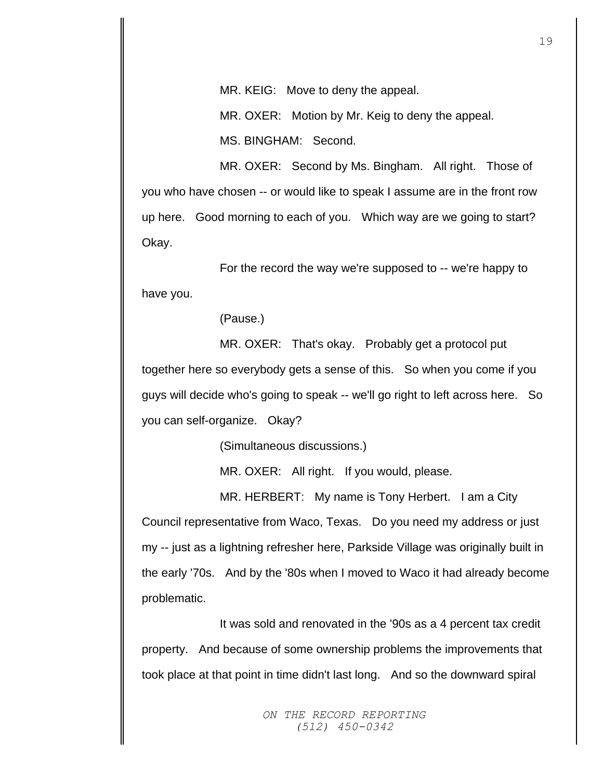MR. KEIG: Move to deny the appeal.

MR. OXER: Motion by Mr. Keig to deny the appeal.

MS. BINGHAM: Second.

MR. OXER: Second by Ms. Bingham. All right. Those of you who have chosen -- or would like to speak I assume are in the front row up here. Good morning to each of you. Which way are we going to start? Okay.

For the record the way we're supposed to -- we're happy to have you.

(Pause.)

MR. OXER: That's okay. Probably get a protocol put together here so everybody gets a sense of this. So when you come if you guys will decide who's going to speak -- we'll go right to left across here. So you can self-organize. Okay?

(Simultaneous discussions.)

MR. OXER: All right. If you would, please.

MR. HERBERT: My name is Tony Herbert. I am a City Council representative from Waco, Texas. Do you need my address or just my -- just as a lightning refresher here, Parkside Village was originally built in the early '70s. And by the '80s when I moved to Waco it had already become problematic.

It was sold and renovated in the '90s as a 4 percent tax credit property. And because of some ownership problems the improvements that took place at that point in time didn't last long. And so the downward spiral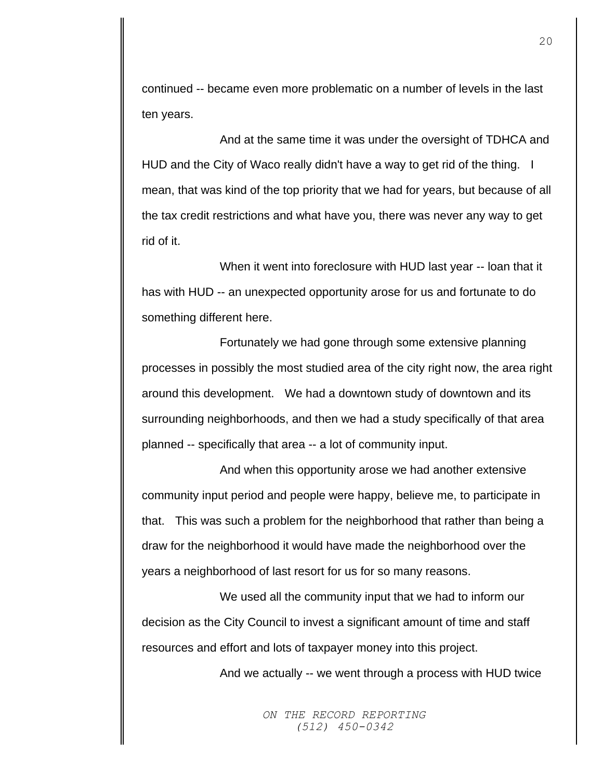continued -- became even more problematic on a number of levels in the last ten years.

And at the same time it was under the oversight of TDHCA and HUD and the City of Waco really didn't have a way to get rid of the thing. I mean, that was kind of the top priority that we had for years, but because of all the tax credit restrictions and what have you, there was never any way to get rid of it.

When it went into foreclosure with HUD last year -- loan that it has with HUD -- an unexpected opportunity arose for us and fortunate to do something different here.

Fortunately we had gone through some extensive planning processes in possibly the most studied area of the city right now, the area right around this development. We had a downtown study of downtown and its surrounding neighborhoods, and then we had a study specifically of that area planned -- specifically that area -- a lot of community input.

And when this opportunity arose we had another extensive community input period and people were happy, believe me, to participate in that. This was such a problem for the neighborhood that rather than being a draw for the neighborhood it would have made the neighborhood over the years a neighborhood of last resort for us for so many reasons.

We used all the community input that we had to inform our decision as the City Council to invest a significant amount of time and staff resources and effort and lots of taxpayer money into this project.

And we actually -- we went through a process with HUD twice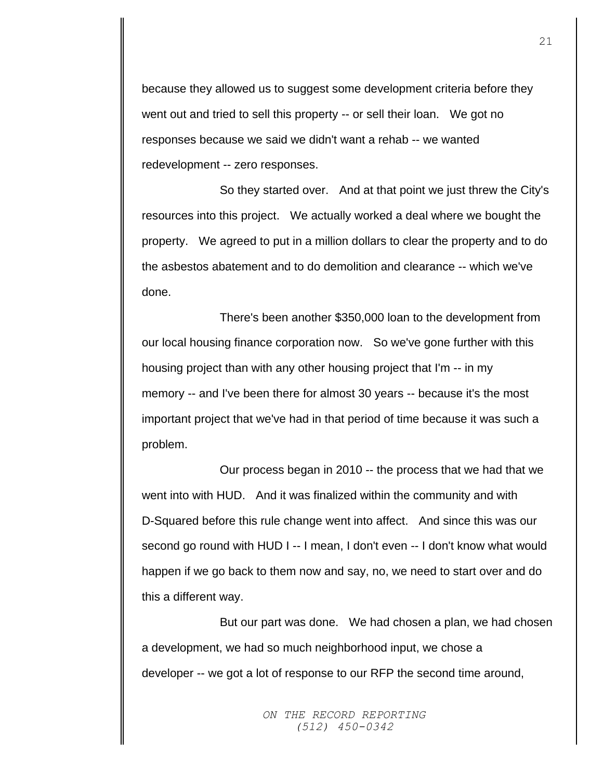because they allowed us to suggest some development criteria before they went out and tried to sell this property -- or sell their loan. We got no responses because we said we didn't want a rehab -- we wanted redevelopment -- zero responses.

So they started over. And at that point we just threw the City's resources into this project. We actually worked a deal where we bought the property. We agreed to put in a million dollars to clear the property and to do the asbestos abatement and to do demolition and clearance -- which we've done.

There's been another \$350,000 loan to the development from our local housing finance corporation now. So we've gone further with this housing project than with any other housing project that I'm -- in my memory -- and I've been there for almost 30 years -- because it's the most important project that we've had in that period of time because it was such a problem.

Our process began in 2010 -- the process that we had that we went into with HUD. And it was finalized within the community and with D-Squared before this rule change went into affect. And since this was our second go round with HUD I -- I mean, I don't even -- I don't know what would happen if we go back to them now and say, no, we need to start over and do this a different way.

But our part was done. We had chosen a plan, we had chosen a development, we had so much neighborhood input, we chose a developer -- we got a lot of response to our RFP the second time around,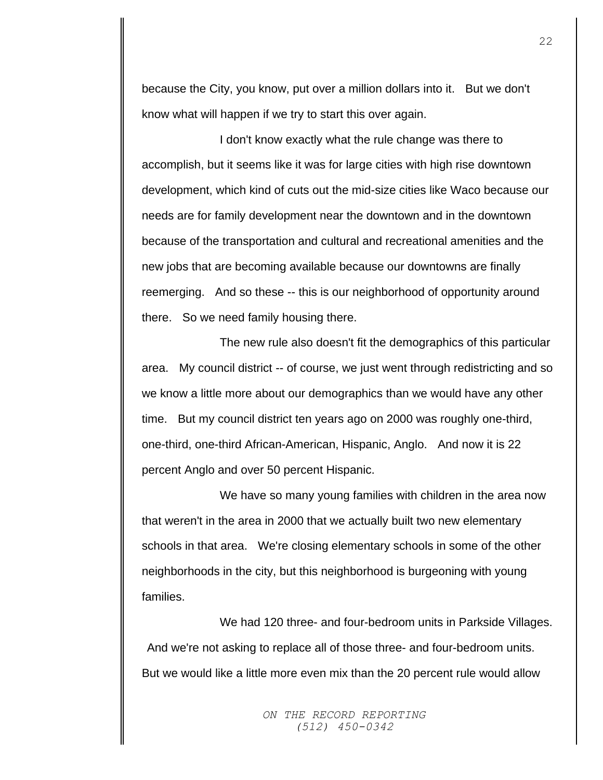because the City, you know, put over a million dollars into it. But we don't know what will happen if we try to start this over again.

I don't know exactly what the rule change was there to accomplish, but it seems like it was for large cities with high rise downtown development, which kind of cuts out the mid-size cities like Waco because our needs are for family development near the downtown and in the downtown because of the transportation and cultural and recreational amenities and the new jobs that are becoming available because our downtowns are finally reemerging. And so these -- this is our neighborhood of opportunity around there. So we need family housing there.

The new rule also doesn't fit the demographics of this particular area. My council district -- of course, we just went through redistricting and so we know a little more about our demographics than we would have any other time. But my council district ten years ago on 2000 was roughly one-third, one-third, one-third African-American, Hispanic, Anglo. And now it is 22 percent Anglo and over 50 percent Hispanic.

We have so many young families with children in the area now that weren't in the area in 2000 that we actually built two new elementary schools in that area. We're closing elementary schools in some of the other neighborhoods in the city, but this neighborhood is burgeoning with young families.

We had 120 three- and four-bedroom units in Parkside Villages. And we're not asking to replace all of those three- and four-bedroom units. But we would like a little more even mix than the 20 percent rule would allow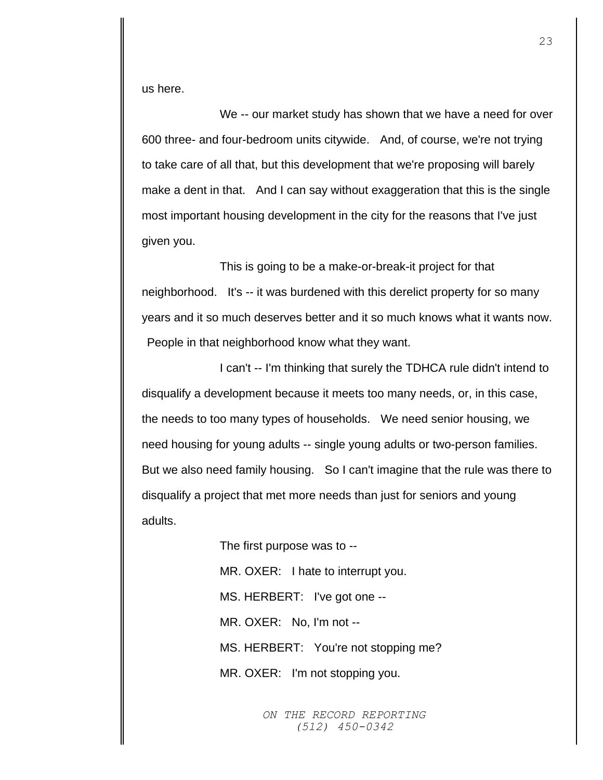us here.

We -- our market study has shown that we have a need for over 600 three- and four-bedroom units citywide. And, of course, we're not trying to take care of all that, but this development that we're proposing will barely make a dent in that. And I can say without exaggeration that this is the single most important housing development in the city for the reasons that I've just given you.

This is going to be a make-or-break-it project for that neighborhood. It's -- it was burdened with this derelict property for so many years and it so much deserves better and it so much knows what it wants now. People in that neighborhood know what they want.

I can't -- I'm thinking that surely the TDHCA rule didn't intend to disqualify a development because it meets too many needs, or, in this case, the needs to too many types of households. We need senior housing, we need housing for young adults -- single young adults or two-person families. But we also need family housing. So I can't imagine that the rule was there to disqualify a project that met more needs than just for seniors and young adults.

> The first purpose was to -- MR. OXER: I hate to interrupt you. MS. HERBERT: I've got one -- MR. OXER: No, I'm not -- MS. HERBERT: You're not stopping me? MR. OXER: I'm not stopping you.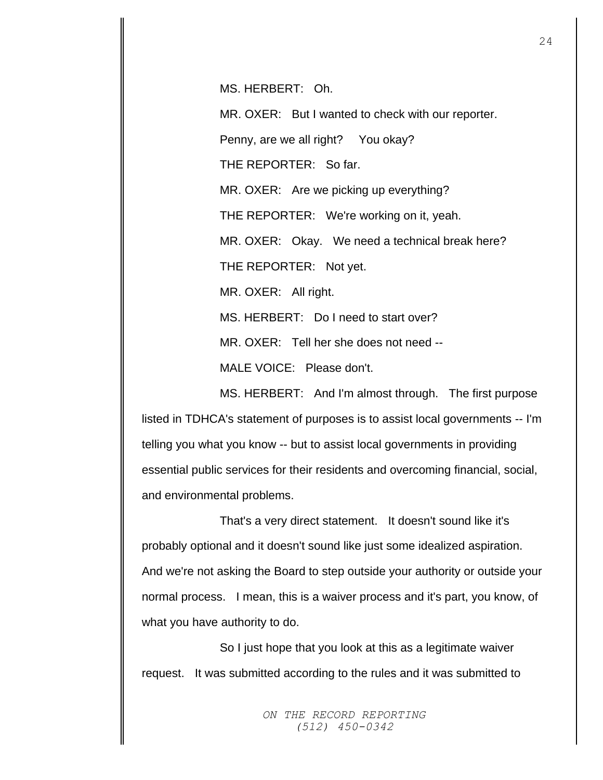MS. HERBERT: Oh.

MR. OXER: But I wanted to check with our reporter.

Penny, are we all right? You okay?

THE REPORTER: So far.

MR. OXER: Are we picking up everything?

THE REPORTER: We're working on it, yeah.

MR. OXER: Okay. We need a technical break here?

THE REPORTER: Not yet.

MR. OXER: All right.

MS. HERBERT: Do I need to start over?

MR. OXER: Tell her she does not need --

MALE VOICE: Please don't.

MS. HERBERT: And I'm almost through. The first purpose listed in TDHCA's statement of purposes is to assist local governments -- I'm telling you what you know -- but to assist local governments in providing essential public services for their residents and overcoming financial, social, and environmental problems.

That's a very direct statement. It doesn't sound like it's probably optional and it doesn't sound like just some idealized aspiration. And we're not asking the Board to step outside your authority or outside your normal process. I mean, this is a waiver process and it's part, you know, of what you have authority to do.

So I just hope that you look at this as a legitimate waiver request. It was submitted according to the rules and it was submitted to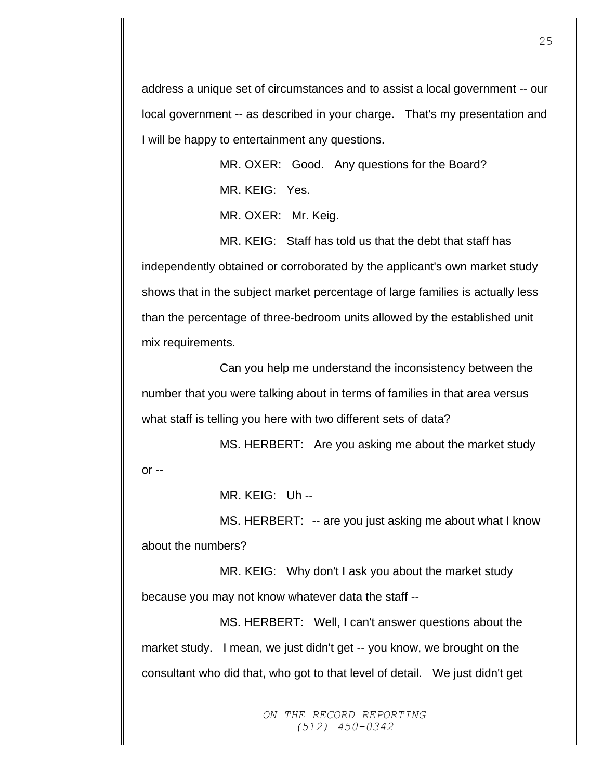address a unique set of circumstances and to assist a local government -- our local government -- as described in your charge. That's my presentation and I will be happy to entertainment any questions.

> MR. OXER: Good. Any questions for the Board? MR. KEIG: Yes.

MR. OXER: Mr. Keig.

MR. KEIG: Staff has told us that the debt that staff has independently obtained or corroborated by the applicant's own market study shows that in the subject market percentage of large families is actually less than the percentage of three-bedroom units allowed by the established unit mix requirements.

Can you help me understand the inconsistency between the number that you were talking about in terms of families in that area versus what staff is telling you here with two different sets of data?

MS. HERBERT: Are you asking me about the market study or --

MR. KEIG: Uh --

MS. HERBERT: -- are you just asking me about what I know about the numbers?

MR. KEIG: Why don't I ask you about the market study because you may not know whatever data the staff --

MS. HERBERT: Well, I can't answer questions about the market study. I mean, we just didn't get -- you know, we brought on the consultant who did that, who got to that level of detail. We just didn't get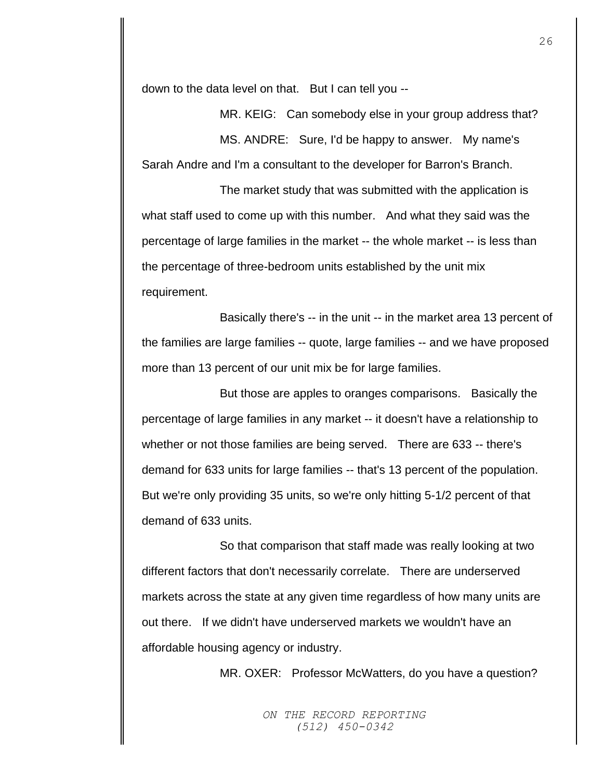down to the data level on that. But I can tell you --

MR. KEIG: Can somebody else in your group address that? MS. ANDRE: Sure, I'd be happy to answer. My name's Sarah Andre and I'm a consultant to the developer for Barron's Branch.

The market study that was submitted with the application is what staff used to come up with this number. And what they said was the percentage of large families in the market -- the whole market -- is less than the percentage of three-bedroom units established by the unit mix requirement.

Basically there's -- in the unit -- in the market area 13 percent of the families are large families -- quote, large families -- and we have proposed more than 13 percent of our unit mix be for large families.

But those are apples to oranges comparisons. Basically the percentage of large families in any market -- it doesn't have a relationship to whether or not those families are being served. There are 633 -- there's demand for 633 units for large families -- that's 13 percent of the population. But we're only providing 35 units, so we're only hitting 5-1/2 percent of that demand of 633 units.

So that comparison that staff made was really looking at two different factors that don't necessarily correlate. There are underserved markets across the state at any given time regardless of how many units are out there. If we didn't have underserved markets we wouldn't have an affordable housing agency or industry.

MR. OXER: Professor McWatters, do you have a question?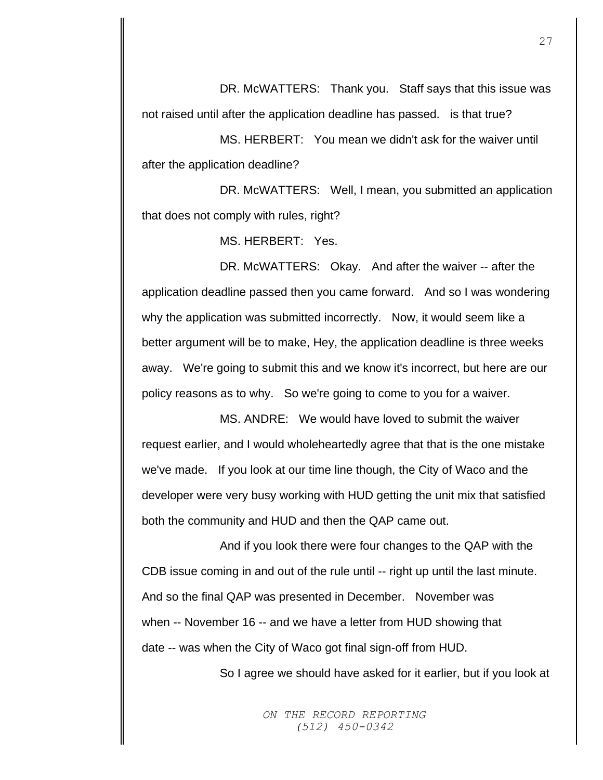DR. McWATTERS: Thank you. Staff says that this issue was not raised until after the application deadline has passed. is that true?

MS. HERBERT: You mean we didn't ask for the waiver until after the application deadline?

DR. McWATTERS: Well, I mean, you submitted an application that does not comply with rules, right?

MS. HERBERT: Yes.

DR. McWATTERS: Okay. And after the waiver -- after the application deadline passed then you came forward. And so I was wondering why the application was submitted incorrectly. Now, it would seem like a better argument will be to make, Hey, the application deadline is three weeks away. We're going to submit this and we know it's incorrect, but here are our policy reasons as to why. So we're going to come to you for a waiver.

MS. ANDRE: We would have loved to submit the waiver request earlier, and I would wholeheartedly agree that that is the one mistake we've made. If you look at our time line though, the City of Waco and the developer were very busy working with HUD getting the unit mix that satisfied both the community and HUD and then the QAP came out.

And if you look there were four changes to the QAP with the CDB issue coming in and out of the rule until -- right up until the last minute. And so the final QAP was presented in December. November was when -- November 16 -- and we have a letter from HUD showing that date -- was when the City of Waco got final sign-off from HUD.

So I agree we should have asked for it earlier, but if you look at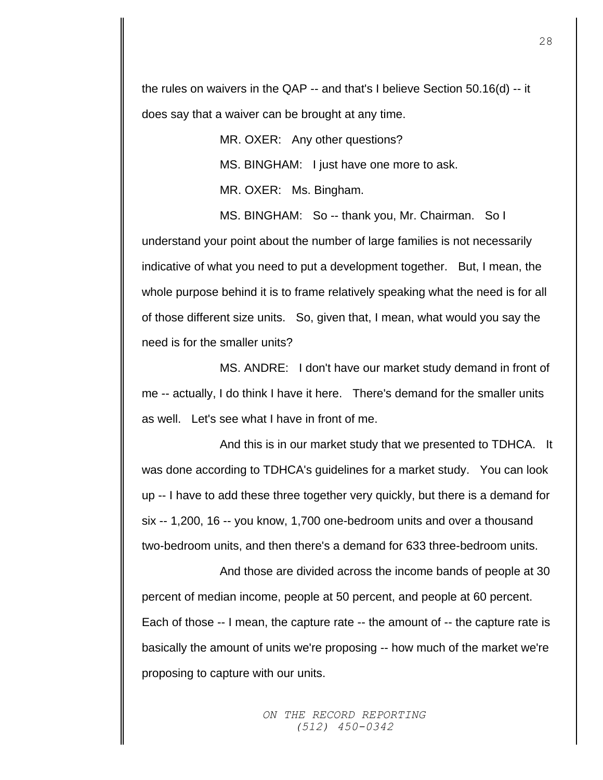the rules on waivers in the QAP -- and that's I believe Section 50.16(d) -- it does say that a waiver can be brought at any time.

> MR. OXER: Any other questions? MS. BINGHAM: I just have one more to ask. MR. OXER: Ms. Bingham.

MS. BINGHAM: So -- thank you, Mr. Chairman. So I understand your point about the number of large families is not necessarily indicative of what you need to put a development together. But, I mean, the whole purpose behind it is to frame relatively speaking what the need is for all of those different size units. So, given that, I mean, what would you say the need is for the smaller units?

MS. ANDRE: I don't have our market study demand in front of me -- actually, I do think I have it here. There's demand for the smaller units as well. Let's see what I have in front of me.

And this is in our market study that we presented to TDHCA. It was done according to TDHCA's guidelines for a market study. You can look up -- I have to add these three together very quickly, but there is a demand for six -- 1,200, 16 -- you know, 1,700 one-bedroom units and over a thousand two-bedroom units, and then there's a demand for 633 three-bedroom units.

And those are divided across the income bands of people at 30 percent of median income, people at 50 percent, and people at 60 percent. Each of those -- I mean, the capture rate -- the amount of -- the capture rate is basically the amount of units we're proposing -- how much of the market we're proposing to capture with our units.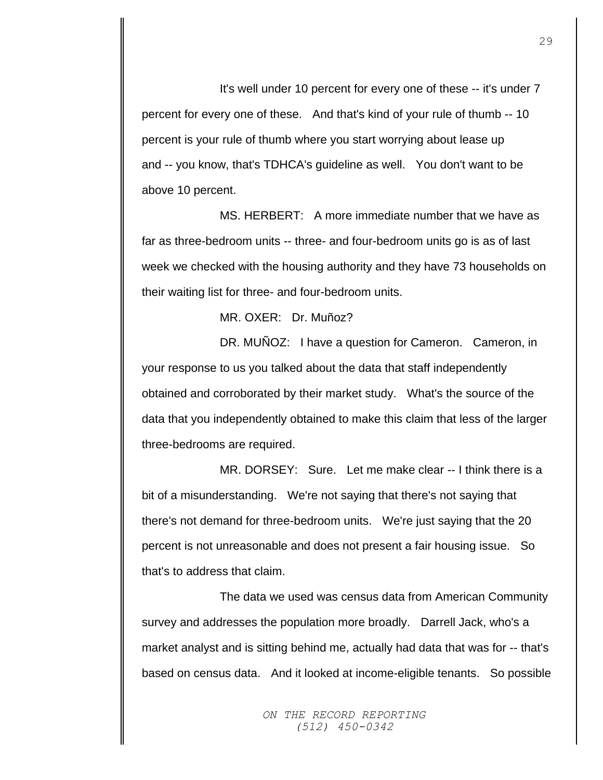It's well under 10 percent for every one of these -- it's under 7 percent for every one of these. And that's kind of your rule of thumb -- 10 percent is your rule of thumb where you start worrying about lease up and -- you know, that's TDHCA's guideline as well. You don't want to be above 10 percent.

MS. HERBERT: A more immediate number that we have as far as three-bedroom units -- three- and four-bedroom units go is as of last week we checked with the housing authority and they have 73 households on their waiting list for three- and four-bedroom units.

MR. OXER: Dr. Muñoz?

DR. MUNOZ: I have a question for Cameron. Cameron, in your response to us you talked about the data that staff independently obtained and corroborated by their market study. What's the source of the data that you independently obtained to make this claim that less of the larger three-bedrooms are required.

MR. DORSEY: Sure. Let me make clear -- I think there is a bit of a misunderstanding. We're not saying that there's not saying that there's not demand for three-bedroom units. We're just saying that the 20 percent is not unreasonable and does not present a fair housing issue. So that's to address that claim.

The data we used was census data from American Community survey and addresses the population more broadly. Darrell Jack, who's a market analyst and is sitting behind me, actually had data that was for -- that's based on census data. And it looked at income-eligible tenants. So possible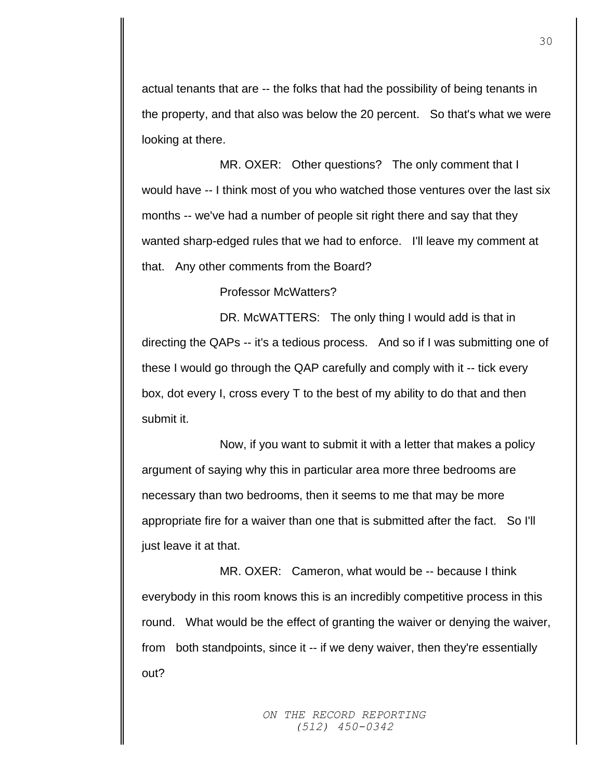actual tenants that are -- the folks that had the possibility of being tenants in the property, and that also was below the 20 percent. So that's what we were looking at there.

MR. OXER: Other questions? The only comment that I would have -- I think most of you who watched those ventures over the last six months -- we've had a number of people sit right there and say that they wanted sharp-edged rules that we had to enforce. I'll leave my comment at that. Any other comments from the Board?

Professor McWatters?

DR. McWATTERS: The only thing I would add is that in directing the QAPs -- it's a tedious process. And so if I was submitting one of these I would go through the QAP carefully and comply with it -- tick every box, dot every I, cross every T to the best of my ability to do that and then submit it.

Now, if you want to submit it with a letter that makes a policy argument of saying why this in particular area more three bedrooms are necessary than two bedrooms, then it seems to me that may be more appropriate fire for a waiver than one that is submitted after the fact. So I'll just leave it at that.

MR. OXER: Cameron, what would be -- because I think everybody in this room knows this is an incredibly competitive process in this round. What would be the effect of granting the waiver or denying the waiver, from both standpoints, since it -- if we deny waiver, then they're essentially out?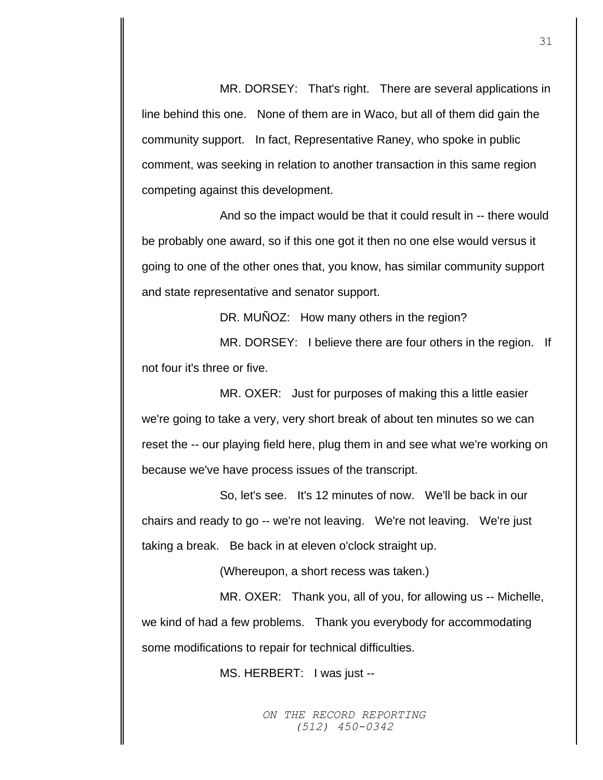MR. DORSEY: That's right. There are several applications in line behind this one. None of them are in Waco, but all of them did gain the community support. In fact, Representative Raney, who spoke in public comment, was seeking in relation to another transaction in this same region competing against this development.

And so the impact would be that it could result in -- there would be probably one award, so if this one got it then no one else would versus it going to one of the other ones that, you know, has similar community support and state representative and senator support.

DR. MUNOZ: How many others in the region?

MR. DORSEY: I believe there are four others in the region. If not four it's three or five.

MR. OXER: Just for purposes of making this a little easier we're going to take a very, very short break of about ten minutes so we can reset the -- our playing field here, plug them in and see what we're working on because we've have process issues of the transcript.

So, let's see. It's 12 minutes of now. We'll be back in our chairs and ready to go -- we're not leaving. We're not leaving. We're just taking a break. Be back in at eleven o'clock straight up.

(Whereupon, a short recess was taken.)

MR. OXER: Thank you, all of you, for allowing us -- Michelle, we kind of had a few problems. Thank you everybody for accommodating some modifications to repair for technical difficulties.

MS. HERBERT: I was just --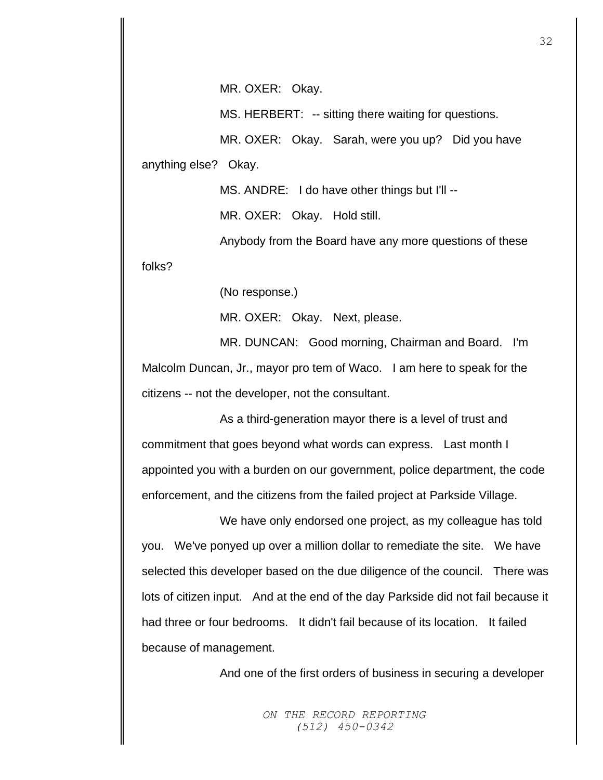MR. OXER: Okay.

MS. HERBERT: -- sitting there waiting for questions.

MR. OXER: Okay. Sarah, were you up? Did you have anything else? Okay.

MS. ANDRE: I do have other things but I'll --

MR. OXER: Okay. Hold still.

Anybody from the Board have any more questions of these

folks?

(No response.)

MR. OXER: Okay. Next, please.

MR. DUNCAN: Good morning, Chairman and Board. I'm Malcolm Duncan, Jr., mayor pro tem of Waco. I am here to speak for the citizens -- not the developer, not the consultant.

As a third-generation mayor there is a level of trust and commitment that goes beyond what words can express. Last month I appointed you with a burden on our government, police department, the code enforcement, and the citizens from the failed project at Parkside Village.

We have only endorsed one project, as my colleague has told you. We've ponyed up over a million dollar to remediate the site. We have selected this developer based on the due diligence of the council. There was lots of citizen input. And at the end of the day Parkside did not fail because it had three or four bedrooms. It didn't fail because of its location. It failed because of management.

And one of the first orders of business in securing a developer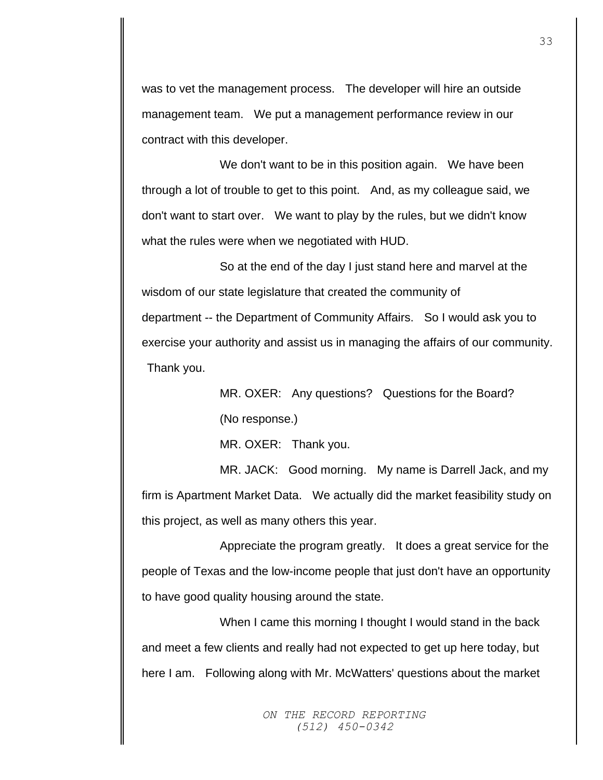was to vet the management process. The developer will hire an outside management team. We put a management performance review in our contract with this developer.

We don't want to be in this position again. We have been through a lot of trouble to get to this point. And, as my colleague said, we don't want to start over. We want to play by the rules, but we didn't know what the rules were when we negotiated with HUD.

So at the end of the day I just stand here and marvel at the wisdom of our state legislature that created the community of department -- the Department of Community Affairs. So I would ask you to exercise your authority and assist us in managing the affairs of our community. Thank you.

> MR. OXER: Any questions? Questions for the Board? (No response.)

MR. OXER: Thank you.

MR. JACK: Good morning. My name is Darrell Jack, and my firm is Apartment Market Data. We actually did the market feasibility study on this project, as well as many others this year.

Appreciate the program greatly. It does a great service for the people of Texas and the low-income people that just don't have an opportunity to have good quality housing around the state.

When I came this morning I thought I would stand in the back and meet a few clients and really had not expected to get up here today, but here I am. Following along with Mr. McWatters' questions about the market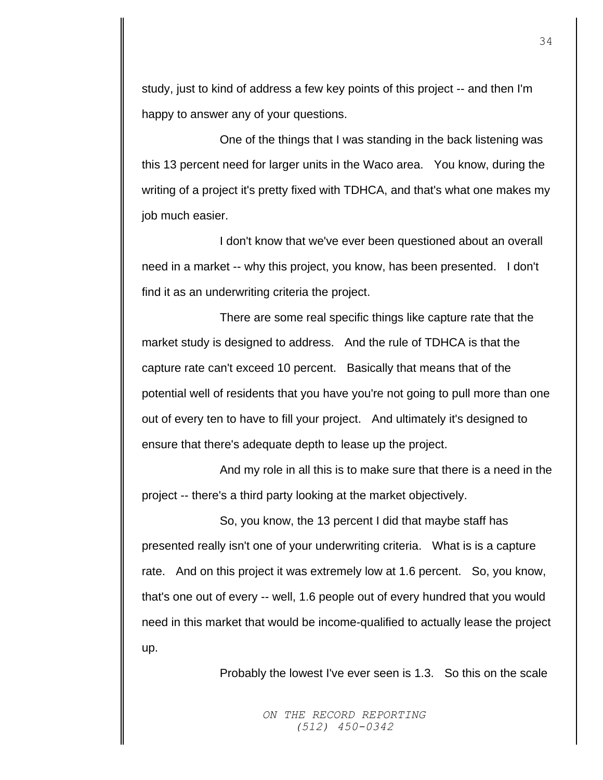study, just to kind of address a few key points of this project -- and then I'm happy to answer any of your questions.

One of the things that I was standing in the back listening was this 13 percent need for larger units in the Waco area. You know, during the writing of a project it's pretty fixed with TDHCA, and that's what one makes my job much easier.

I don't know that we've ever been questioned about an overall need in a market -- why this project, you know, has been presented. I don't find it as an underwriting criteria the project.

There are some real specific things like capture rate that the market study is designed to address. And the rule of TDHCA is that the capture rate can't exceed 10 percent. Basically that means that of the potential well of residents that you have you're not going to pull more than one out of every ten to have to fill your project. And ultimately it's designed to ensure that there's adequate depth to lease up the project.

And my role in all this is to make sure that there is a need in the project -- there's a third party looking at the market objectively.

So, you know, the 13 percent I did that maybe staff has presented really isn't one of your underwriting criteria. What is is a capture rate. And on this project it was extremely low at 1.6 percent. So, you know, that's one out of every -- well, 1.6 people out of every hundred that you would need in this market that would be income-qualified to actually lease the project up.

Probably the lowest I've ever seen is 1.3. So this on the scale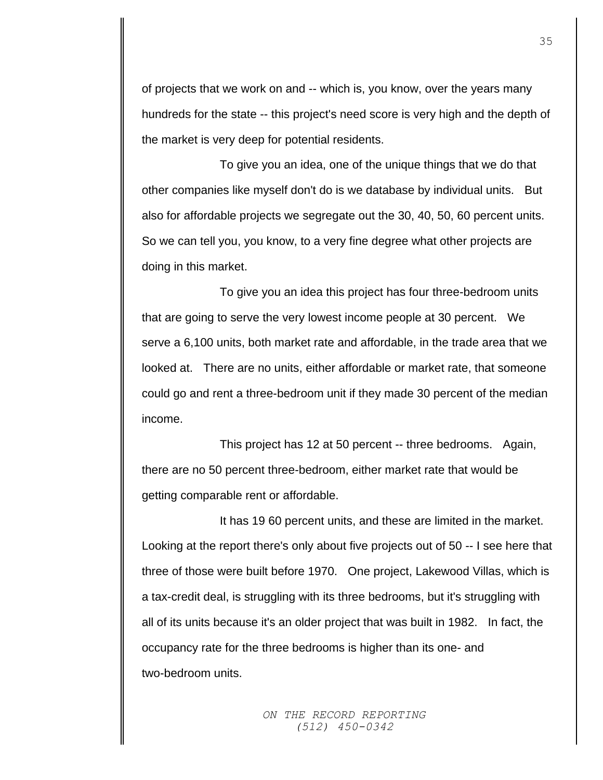of projects that we work on and -- which is, you know, over the years many hundreds for the state -- this project's need score is very high and the depth of the market is very deep for potential residents.

To give you an idea, one of the unique things that we do that other companies like myself don't do is we database by individual units. But also for affordable projects we segregate out the 30, 40, 50, 60 percent units. So we can tell you, you know, to a very fine degree what other projects are doing in this market.

To give you an idea this project has four three-bedroom units that are going to serve the very lowest income people at 30 percent. We serve a 6,100 units, both market rate and affordable, in the trade area that we looked at. There are no units, either affordable or market rate, that someone could go and rent a three-bedroom unit if they made 30 percent of the median income.

This project has 12 at 50 percent -- three bedrooms. Again, there are no 50 percent three-bedroom, either market rate that would be getting comparable rent or affordable.

It has 19 60 percent units, and these are limited in the market. Looking at the report there's only about five projects out of 50 -- I see here that three of those were built before 1970. One project, Lakewood Villas, which is a tax-credit deal, is struggling with its three bedrooms, but it's struggling with all of its units because it's an older project that was built in 1982. In fact, the occupancy rate for the three bedrooms is higher than its one- and two-bedroom units.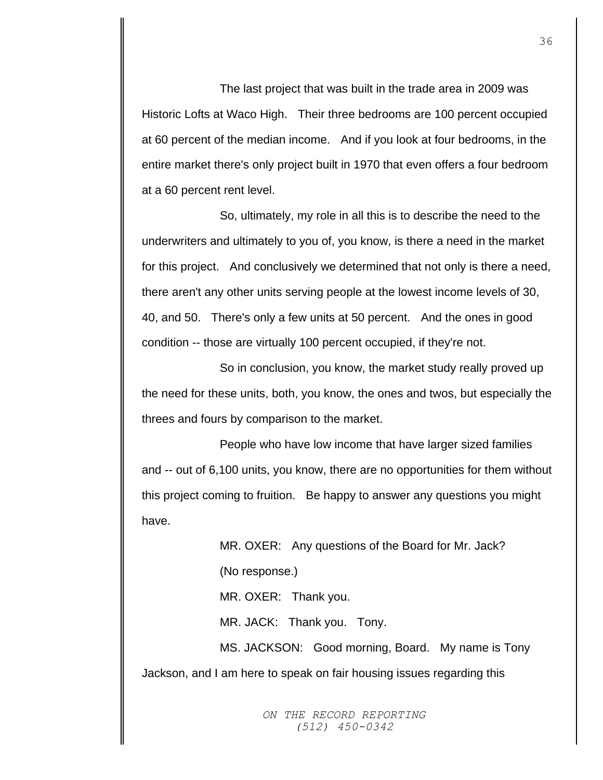The last project that was built in the trade area in 2009 was Historic Lofts at Waco High. Their three bedrooms are 100 percent occupied at 60 percent of the median income. And if you look at four bedrooms, in the entire market there's only project built in 1970 that even offers a four bedroom at a 60 percent rent level.

So, ultimately, my role in all this is to describe the need to the underwriters and ultimately to you of, you know, is there a need in the market for this project. And conclusively we determined that not only is there a need, there aren't any other units serving people at the lowest income levels of 30, 40, and 50. There's only a few units at 50 percent. And the ones in good condition -- those are virtually 100 percent occupied, if they're not.

So in conclusion, you know, the market study really proved up the need for these units, both, you know, the ones and twos, but especially the threes and fours by comparison to the market.

People who have low income that have larger sized families and -- out of 6,100 units, you know, there are no opportunities for them without this project coming to fruition. Be happy to answer any questions you might have.

MR. OXER: Any questions of the Board for Mr. Jack? (No response.) MR. OXER: Thank you. MR. JACK: Thank you. Tony. MS. JACKSON: Good morning, Board. My name is Tony Jackson, and I am here to speak on fair housing issues regarding this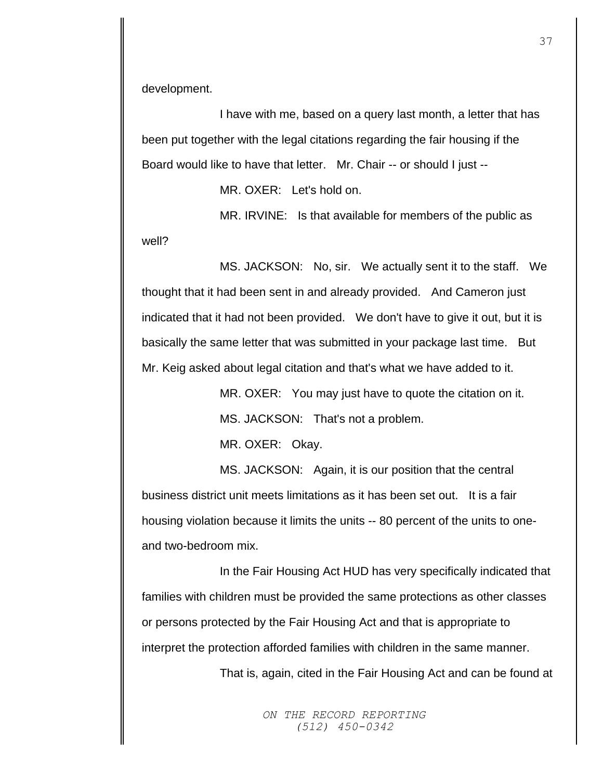development.

I have with me, based on a query last month, a letter that has been put together with the legal citations regarding the fair housing if the Board would like to have that letter. Mr. Chair -- or should I just --

MR. OXER: Let's hold on.

MR. IRVINE: Is that available for members of the public as well?

MS. JACKSON: No, sir. We actually sent it to the staff. We thought that it had been sent in and already provided. And Cameron just indicated that it had not been provided. We don't have to give it out, but it is basically the same letter that was submitted in your package last time. But Mr. Keig asked about legal citation and that's what we have added to it.

> MR. OXER: You may just have to quote the citation on it. MS. JACKSON: That's not a problem.

MR. OXER: Okay.

MS. JACKSON: Again, it is our position that the central business district unit meets limitations as it has been set out. It is a fair housing violation because it limits the units -- 80 percent of the units to oneand two-bedroom mix.

In the Fair Housing Act HUD has very specifically indicated that families with children must be provided the same protections as other classes or persons protected by the Fair Housing Act and that is appropriate to interpret the protection afforded families with children in the same manner.

That is, again, cited in the Fair Housing Act and can be found at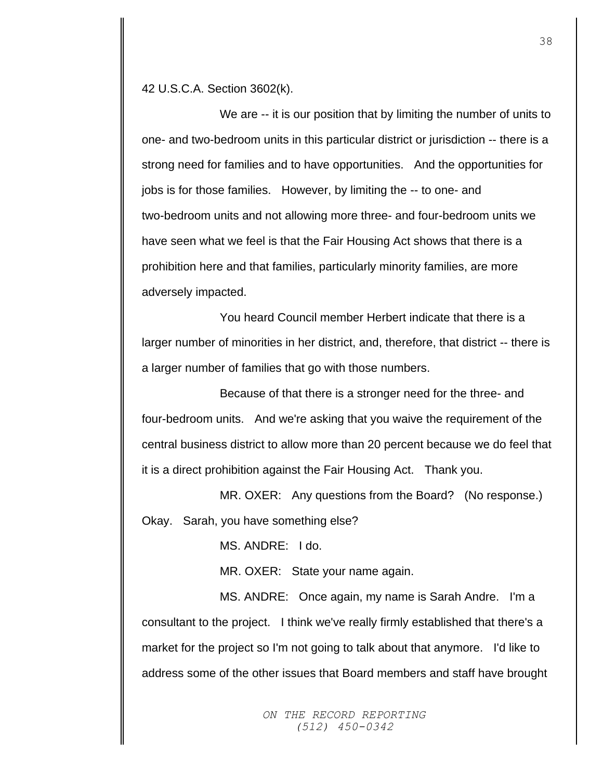42 U.S.C.A. Section 3602(k).

We are -- it is our position that by limiting the number of units to one- and two-bedroom units in this particular district or jurisdiction -- there is a strong need for families and to have opportunities. And the opportunities for jobs is for those families. However, by limiting the -- to one- and two-bedroom units and not allowing more three- and four-bedroom units we have seen what we feel is that the Fair Housing Act shows that there is a prohibition here and that families, particularly minority families, are more adversely impacted.

You heard Council member Herbert indicate that there is a larger number of minorities in her district, and, therefore, that district -- there is a larger number of families that go with those numbers.

Because of that there is a stronger need for the three- and four-bedroom units. And we're asking that you waive the requirement of the central business district to allow more than 20 percent because we do feel that it is a direct prohibition against the Fair Housing Act. Thank you.

MR. OXER: Any questions from the Board? (No response.) Okay. Sarah, you have something else?

MS. ANDRE: I do.

MR. OXER: State your name again.

MS. ANDRE: Once again, my name is Sarah Andre. I'm a consultant to the project. I think we've really firmly established that there's a market for the project so I'm not going to talk about that anymore. I'd like to address some of the other issues that Board members and staff have brought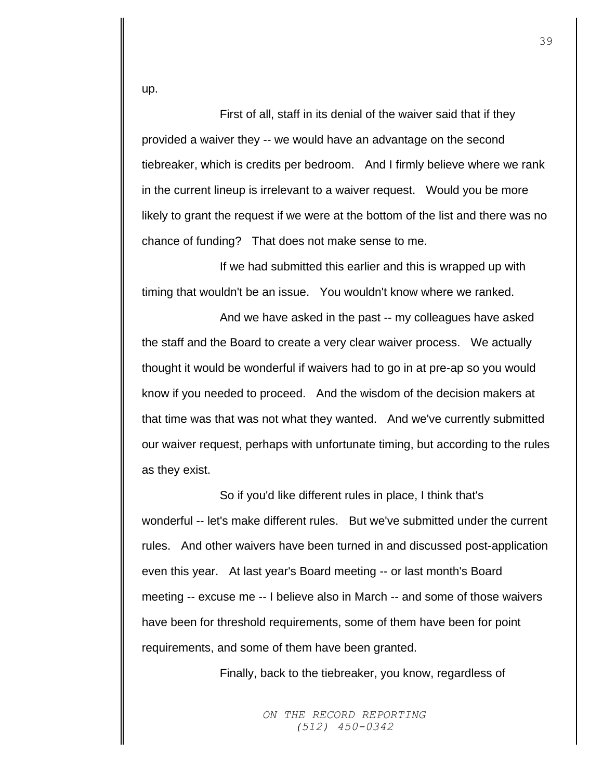up.

First of all, staff in its denial of the waiver said that if they provided a waiver they -- we would have an advantage on the second tiebreaker, which is credits per bedroom. And I firmly believe where we rank in the current lineup is irrelevant to a waiver request. Would you be more likely to grant the request if we were at the bottom of the list and there was no chance of funding? That does not make sense to me.

If we had submitted this earlier and this is wrapped up with timing that wouldn't be an issue. You wouldn't know where we ranked.

And we have asked in the past -- my colleagues have asked the staff and the Board to create a very clear waiver process. We actually thought it would be wonderful if waivers had to go in at pre-ap so you would know if you needed to proceed. And the wisdom of the decision makers at that time was that was not what they wanted. And we've currently submitted our waiver request, perhaps with unfortunate timing, but according to the rules as they exist.

So if you'd like different rules in place, I think that's wonderful -- let's make different rules. But we've submitted under the current rules. And other waivers have been turned in and discussed post-application even this year. At last year's Board meeting -- or last month's Board meeting -- excuse me -- I believe also in March -- and some of those waivers have been for threshold requirements, some of them have been for point requirements, and some of them have been granted.

Finally, back to the tiebreaker, you know, regardless of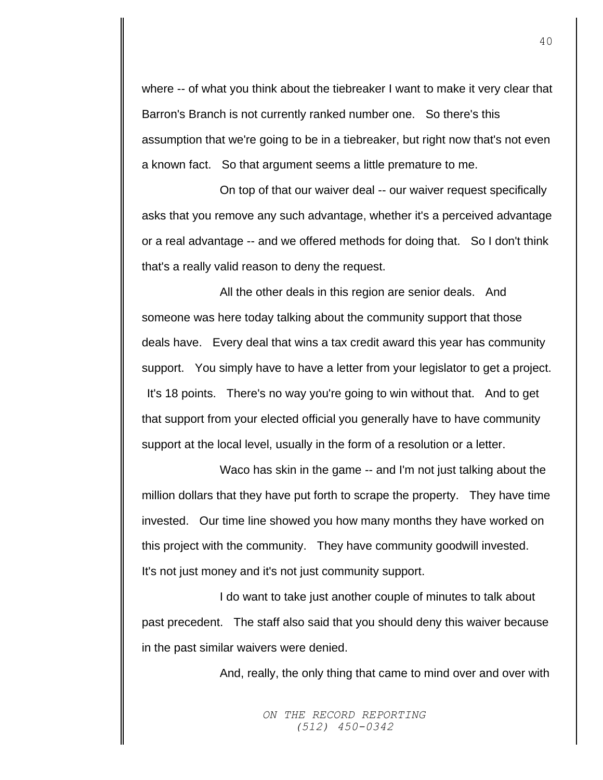where -- of what you think about the tiebreaker I want to make it very clear that Barron's Branch is not currently ranked number one. So there's this assumption that we're going to be in a tiebreaker, but right now that's not even a known fact. So that argument seems a little premature to me.

On top of that our waiver deal -- our waiver request specifically asks that you remove any such advantage, whether it's a perceived advantage or a real advantage -- and we offered methods for doing that. So I don't think that's a really valid reason to deny the request.

All the other deals in this region are senior deals. And someone was here today talking about the community support that those deals have. Every deal that wins a tax credit award this year has community support. You simply have to have a letter from your legislator to get a project. It's 18 points. There's no way you're going to win without that. And to get that support from your elected official you generally have to have community support at the local level, usually in the form of a resolution or a letter.

Waco has skin in the game -- and I'm not just talking about the million dollars that they have put forth to scrape the property. They have time invested. Our time line showed you how many months they have worked on this project with the community. They have community goodwill invested. It's not just money and it's not just community support.

I do want to take just another couple of minutes to talk about past precedent. The staff also said that you should deny this waiver because in the past similar waivers were denied.

And, really, the only thing that came to mind over and over with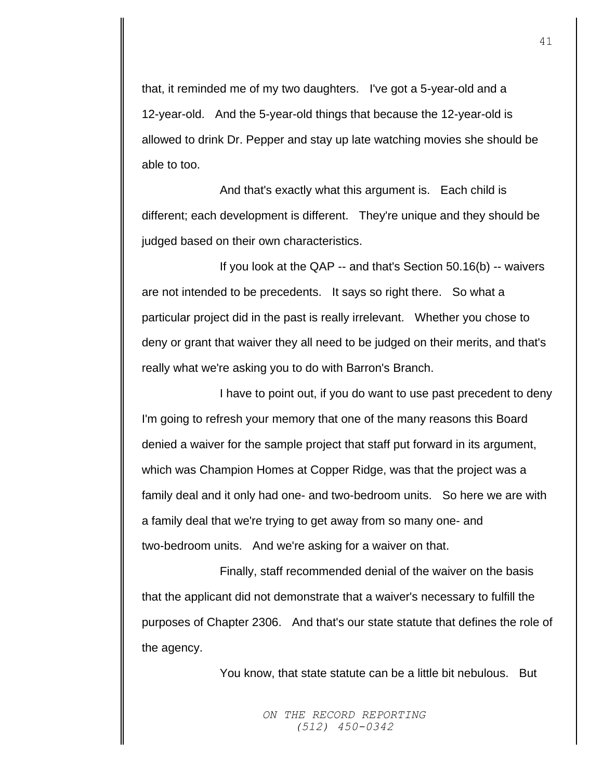that, it reminded me of my two daughters. I've got a 5-year-old and a 12-year-old. And the 5-year-old things that because the 12-year-old is allowed to drink Dr. Pepper and stay up late watching movies she should be able to too.

And that's exactly what this argument is. Each child is different; each development is different. They're unique and they should be judged based on their own characteristics.

If you look at the QAP -- and that's Section 50.16(b) -- waivers are not intended to be precedents. It says so right there. So what a particular project did in the past is really irrelevant. Whether you chose to deny or grant that waiver they all need to be judged on their merits, and that's really what we're asking you to do with Barron's Branch.

I have to point out, if you do want to use past precedent to deny I'm going to refresh your memory that one of the many reasons this Board denied a waiver for the sample project that staff put forward in its argument, which was Champion Homes at Copper Ridge, was that the project was a family deal and it only had one- and two-bedroom units. So here we are with a family deal that we're trying to get away from so many one- and two-bedroom units. And we're asking for a waiver on that.

Finally, staff recommended denial of the waiver on the basis that the applicant did not demonstrate that a waiver's necessary to fulfill the purposes of Chapter 2306. And that's our state statute that defines the role of the agency.

You know, that state statute can be a little bit nebulous. But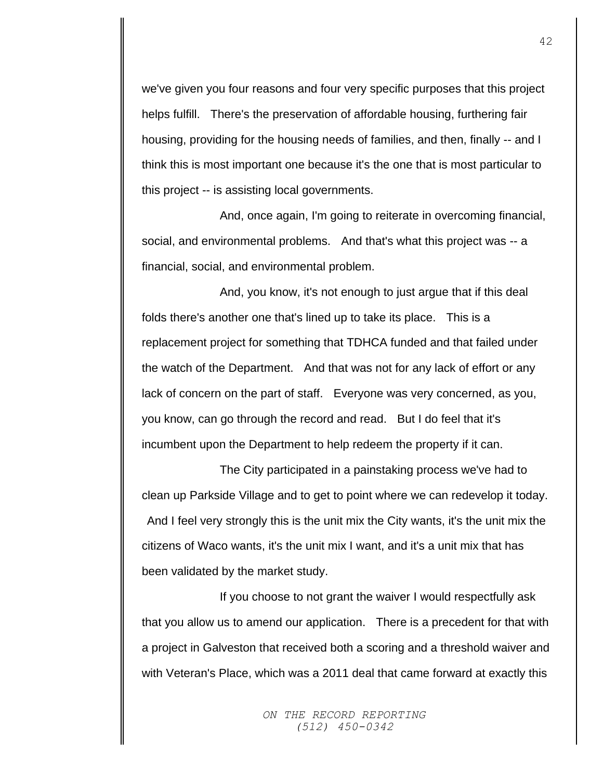we've given you four reasons and four very specific purposes that this project helps fulfill. There's the preservation of affordable housing, furthering fair housing, providing for the housing needs of families, and then, finally -- and I think this is most important one because it's the one that is most particular to this project -- is assisting local governments.

And, once again, I'm going to reiterate in overcoming financial, social, and environmental problems. And that's what this project was -- a financial, social, and environmental problem.

And, you know, it's not enough to just argue that if this deal folds there's another one that's lined up to take its place. This is a replacement project for something that TDHCA funded and that failed under the watch of the Department. And that was not for any lack of effort or any lack of concern on the part of staff. Everyone was very concerned, as you, you know, can go through the record and read. But I do feel that it's incumbent upon the Department to help redeem the property if it can.

The City participated in a painstaking process we've had to clean up Parkside Village and to get to point where we can redevelop it today. And I feel very strongly this is the unit mix the City wants, it's the unit mix the citizens of Waco wants, it's the unit mix I want, and it's a unit mix that has been validated by the market study.

If you choose to not grant the waiver I would respectfully ask that you allow us to amend our application. There is a precedent for that with a project in Galveston that received both a scoring and a threshold waiver and with Veteran's Place, which was a 2011 deal that came forward at exactly this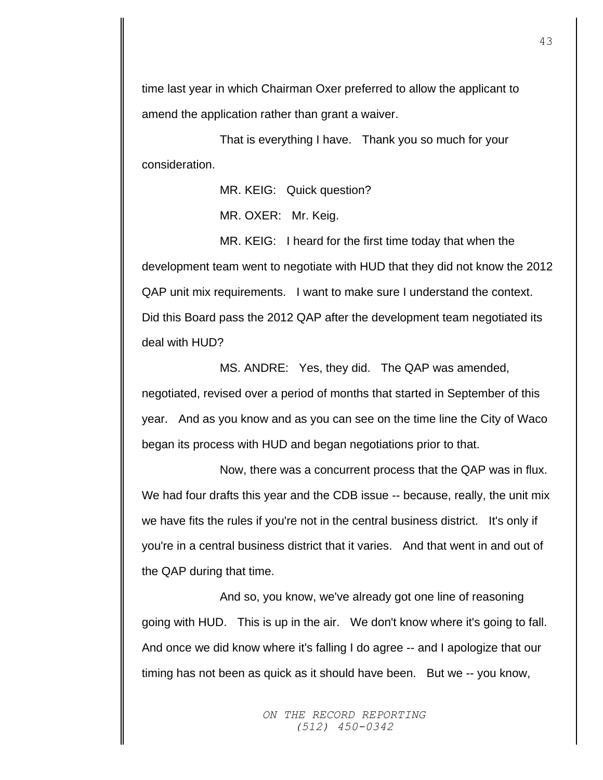time last year in which Chairman Oxer preferred to allow the applicant to amend the application rather than grant a waiver.

That is everything I have. Thank you so much for your consideration.

MR. KEIG: Quick question?

MR. OXER: Mr. Keig.

MR. KEIG: I heard for the first time today that when the development team went to negotiate with HUD that they did not know the 2012 QAP unit mix requirements. I want to make sure I understand the context. Did this Board pass the 2012 QAP after the development team negotiated its deal with HUD?

MS. ANDRE: Yes, they did. The QAP was amended, negotiated, revised over a period of months that started in September of this year. And as you know and as you can see on the time line the City of Waco began its process with HUD and began negotiations prior to that.

Now, there was a concurrent process that the QAP was in flux. We had four drafts this year and the CDB issue -- because, really, the unit mix we have fits the rules if you're not in the central business district. It's only if you're in a central business district that it varies. And that went in and out of the QAP during that time.

And so, you know, we've already got one line of reasoning going with HUD. This is up in the air. We don't know where it's going to fall. And once we did know where it's falling I do agree -- and I apologize that our timing has not been as quick as it should have been. But we -- you know,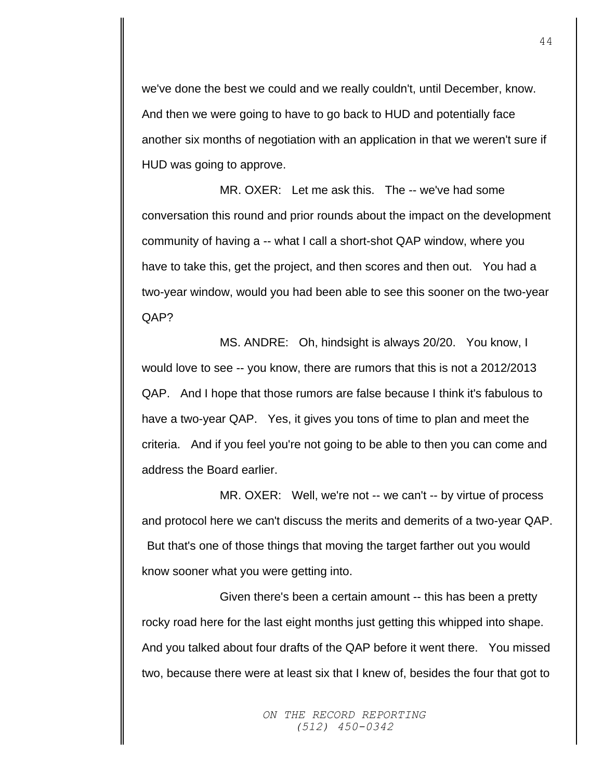we've done the best we could and we really couldn't, until December, know. And then we were going to have to go back to HUD and potentially face another six months of negotiation with an application in that we weren't sure if HUD was going to approve.

MR. OXER: Let me ask this. The -- we've had some conversation this round and prior rounds about the impact on the development community of having a -- what I call a short-shot QAP window, where you have to take this, get the project, and then scores and then out. You had a two-year window, would you had been able to see this sooner on the two-year QAP?

MS. ANDRE: Oh, hindsight is always 20/20. You know, I would love to see -- you know, there are rumors that this is not a 2012/2013 QAP. And I hope that those rumors are false because I think it's fabulous to have a two-year QAP. Yes, it gives you tons of time to plan and meet the criteria. And if you feel you're not going to be able to then you can come and address the Board earlier.

MR. OXER: Well, we're not -- we can't -- by virtue of process and protocol here we can't discuss the merits and demerits of a two-year QAP. But that's one of those things that moving the target farther out you would know sooner what you were getting into.

Given there's been a certain amount -- this has been a pretty rocky road here for the last eight months just getting this whipped into shape. And you talked about four drafts of the QAP before it went there. You missed two, because there were at least six that I knew of, besides the four that got to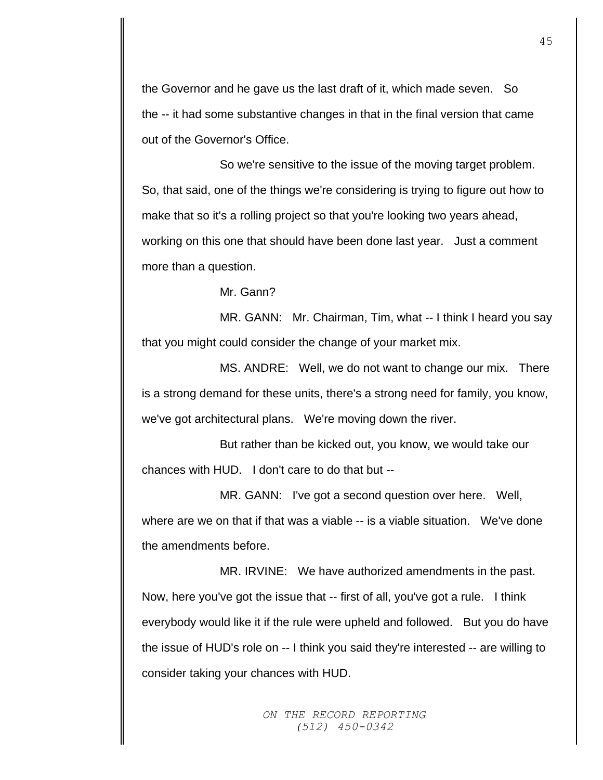the Governor and he gave us the last draft of it, which made seven. So the -- it had some substantive changes in that in the final version that came out of the Governor's Office.

So we're sensitive to the issue of the moving target problem. So, that said, one of the things we're considering is trying to figure out how to make that so it's a rolling project so that you're looking two years ahead, working on this one that should have been done last year. Just a comment more than a question.

Mr. Gann?

MR. GANN: Mr. Chairman, Tim, what -- I think I heard you say that you might could consider the change of your market mix.

MS. ANDRE: Well, we do not want to change our mix. There is a strong demand for these units, there's a strong need for family, you know, we've got architectural plans. We're moving down the river.

But rather than be kicked out, you know, we would take our chances with HUD. I don't care to do that but --

MR. GANN: I've got a second question over here. Well, where are we on that if that was a viable -- is a viable situation. We've done the amendments before.

MR. IRVINE: We have authorized amendments in the past. Now, here you've got the issue that -- first of all, you've got a rule. I think everybody would like it if the rule were upheld and followed. But you do have the issue of HUD's role on -- I think you said they're interested -- are willing to consider taking your chances with HUD.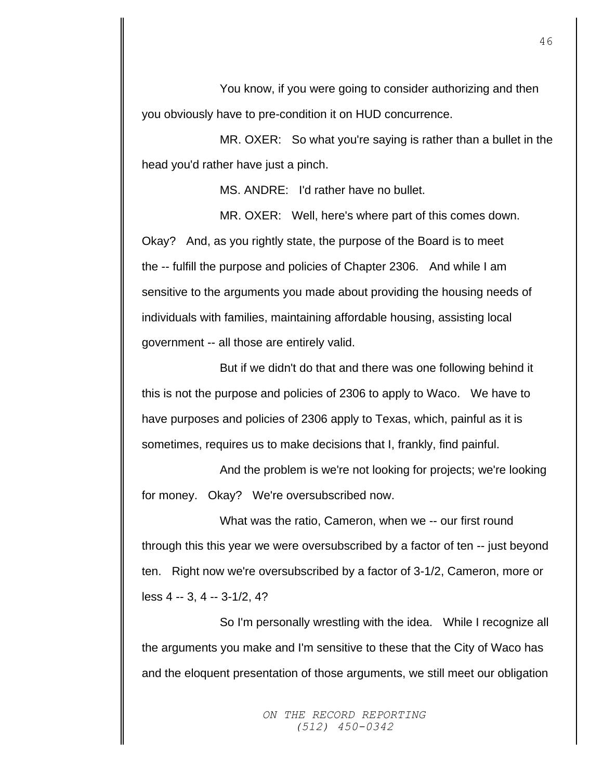You know, if you were going to consider authorizing and then you obviously have to pre-condition it on HUD concurrence.

MR. OXER: So what you're saying is rather than a bullet in the head you'd rather have just a pinch.

MS. ANDRE: I'd rather have no bullet.

MR. OXER: Well, here's where part of this comes down. Okay? And, as you rightly state, the purpose of the Board is to meet the -- fulfill the purpose and policies of Chapter 2306. And while I am sensitive to the arguments you made about providing the housing needs of individuals with families, maintaining affordable housing, assisting local government -- all those are entirely valid.

But if we didn't do that and there was one following behind it this is not the purpose and policies of 2306 to apply to Waco. We have to have purposes and policies of 2306 apply to Texas, which, painful as it is sometimes, requires us to make decisions that I, frankly, find painful.

And the problem is we're not looking for projects; we're looking for money. Okay? We're oversubscribed now.

What was the ratio, Cameron, when we -- our first round through this this year we were oversubscribed by a factor of ten -- just beyond ten. Right now we're oversubscribed by a factor of 3-1/2, Cameron, more or less 4 -- 3, 4 -- 3-1/2, 4?

So I'm personally wrestling with the idea. While I recognize all the arguments you make and I'm sensitive to these that the City of Waco has and the eloquent presentation of those arguments, we still meet our obligation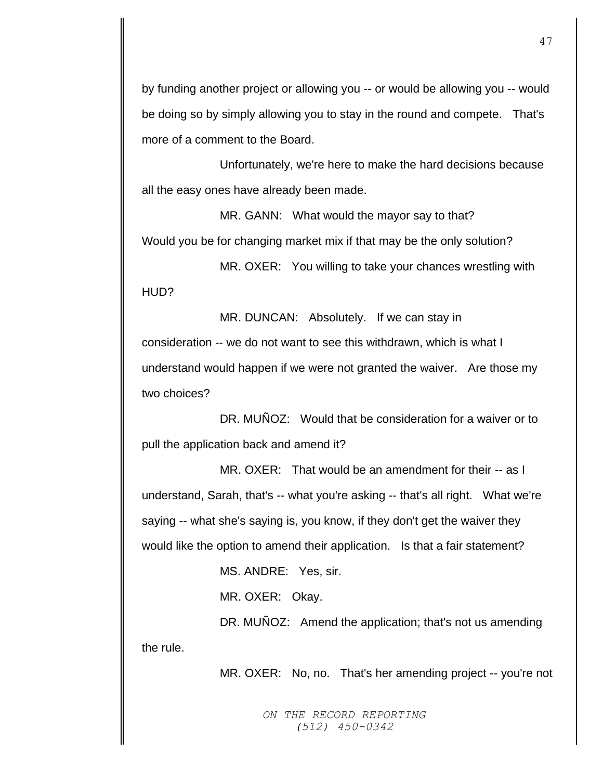by funding another project or allowing you -- or would be allowing you -- would be doing so by simply allowing you to stay in the round and compete. That's more of a comment to the Board.

Unfortunately, we're here to make the hard decisions because all the easy ones have already been made.

MR. GANN: What would the mayor say to that? Would you be for changing market mix if that may be the only solution?

MR. OXER: You willing to take your chances wrestling with HUD?

MR. DUNCAN: Absolutely. If we can stay in consideration -- we do not want to see this withdrawn, which is what I understand would happen if we were not granted the waiver. Are those my two choices?

DR. MUÑOZ: Would that be consideration for a waiver or to pull the application back and amend it?

MR. OXER: That would be an amendment for their -- as I understand, Sarah, that's -- what you're asking -- that's all right. What we're saying -- what she's saying is, you know, if they don't get the waiver they would like the option to amend their application. Is that a fair statement?

MS. ANDRE: Yes, sir.

MR. OXER: Okay.

DR. MUÑOZ: Amend the application; that's not us amending the rule.

MR. OXER: No, no. That's her amending project -- you're not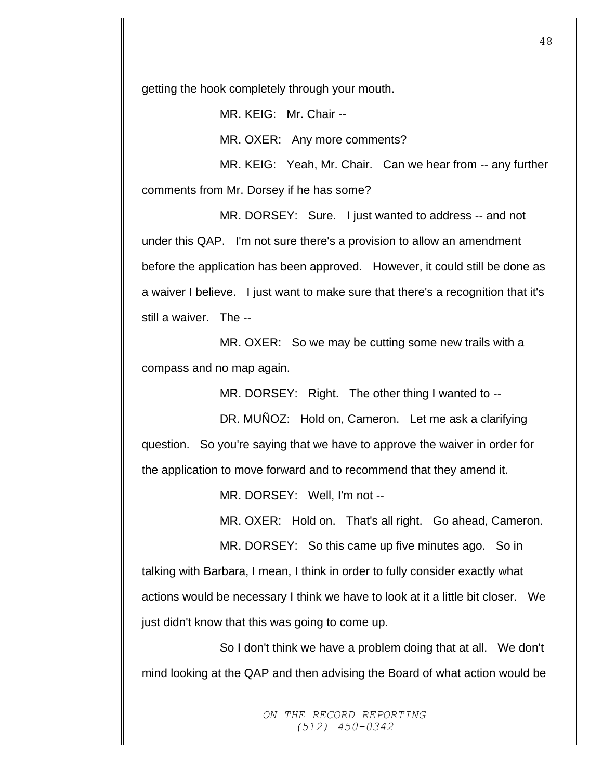getting the hook completely through your mouth.

MR. KEIG: Mr. Chair --

MR. OXER: Any more comments?

MR. KEIG: Yeah, Mr. Chair. Can we hear from -- any further comments from Mr. Dorsey if he has some?

MR. DORSEY: Sure. I just wanted to address -- and not under this QAP. I'm not sure there's a provision to allow an amendment before the application has been approved. However, it could still be done as a waiver I believe. I just want to make sure that there's a recognition that it's still a waiver. The --

MR. OXER: So we may be cutting some new trails with a compass and no map again.

MR. DORSEY: Right. The other thing I wanted to --

DR. MUNOZ: Hold on, Cameron. Let me ask a clarifying question. So you're saying that we have to approve the waiver in order for the application to move forward and to recommend that they amend it.

MR. DORSEY: Well, I'm not --

MR. OXER: Hold on. That's all right. Go ahead, Cameron.

MR. DORSEY: So this came up five minutes ago. So in talking with Barbara, I mean, I think in order to fully consider exactly what actions would be necessary I think we have to look at it a little bit closer. We just didn't know that this was going to come up.

So I don't think we have a problem doing that at all. We don't mind looking at the QAP and then advising the Board of what action would be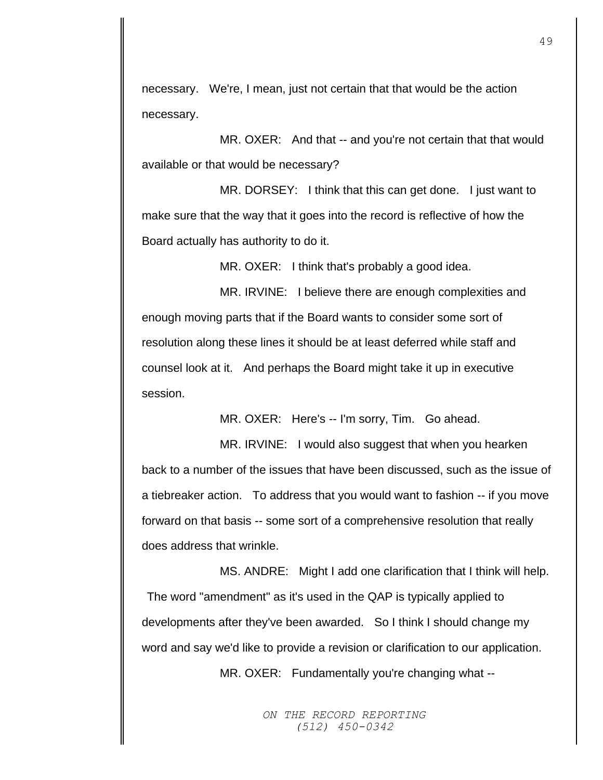necessary. We're, I mean, just not certain that that would be the action necessary.

MR. OXER: And that -- and you're not certain that that would available or that would be necessary?

MR. DORSEY: I think that this can get done. I just want to make sure that the way that it goes into the record is reflective of how the Board actually has authority to do it.

MR. OXER: I think that's probably a good idea.

MR. IRVINE: I believe there are enough complexities and enough moving parts that if the Board wants to consider some sort of resolution along these lines it should be at least deferred while staff and counsel look at it. And perhaps the Board might take it up in executive session.

MR. OXER: Here's -- I'm sorry, Tim. Go ahead.

MR. IRVINE: I would also suggest that when you hearken back to a number of the issues that have been discussed, such as the issue of a tiebreaker action. To address that you would want to fashion -- if you move forward on that basis -- some sort of a comprehensive resolution that really does address that wrinkle.

MS. ANDRE: Might I add one clarification that I think will help. The word "amendment" as it's used in the QAP is typically applied to developments after they've been awarded. So I think I should change my word and say we'd like to provide a revision or clarification to our application.

MR. OXER: Fundamentally you're changing what --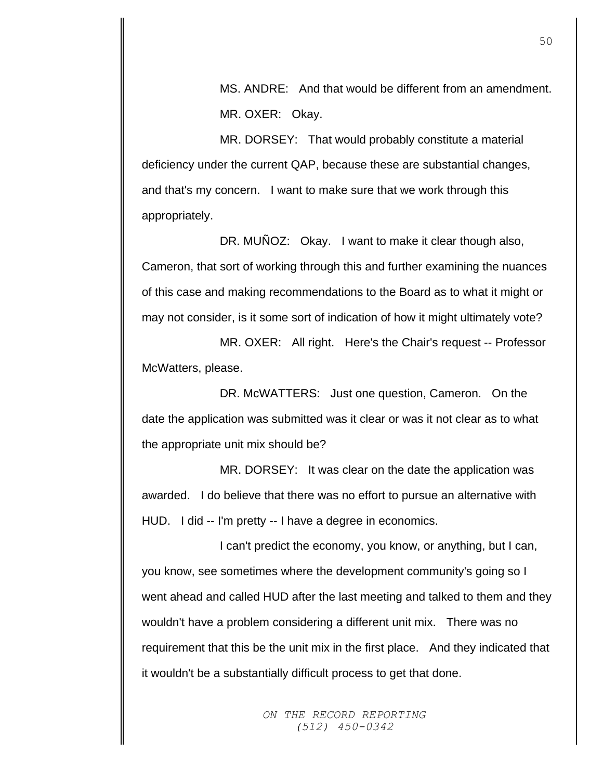MS. ANDRE: And that would be different from an amendment. MR. OXER: Okay.

MR. DORSEY: That would probably constitute a material deficiency under the current QAP, because these are substantial changes, and that's my concern. I want to make sure that we work through this appropriately.

DR. MUÑOZ: Okay. I want to make it clear though also, Cameron, that sort of working through this and further examining the nuances of this case and making recommendations to the Board as to what it might or may not consider, is it some sort of indication of how it might ultimately vote?

MR. OXER: All right. Here's the Chair's request -- Professor McWatters, please.

DR. McWATTERS: Just one question, Cameron. On the date the application was submitted was it clear or was it not clear as to what the appropriate unit mix should be?

MR. DORSEY: It was clear on the date the application was awarded. I do believe that there was no effort to pursue an alternative with HUD. I did -- I'm pretty -- I have a degree in economics.

I can't predict the economy, you know, or anything, but I can, you know, see sometimes where the development community's going so I went ahead and called HUD after the last meeting and talked to them and they wouldn't have a problem considering a different unit mix. There was no requirement that this be the unit mix in the first place. And they indicated that it wouldn't be a substantially difficult process to get that done.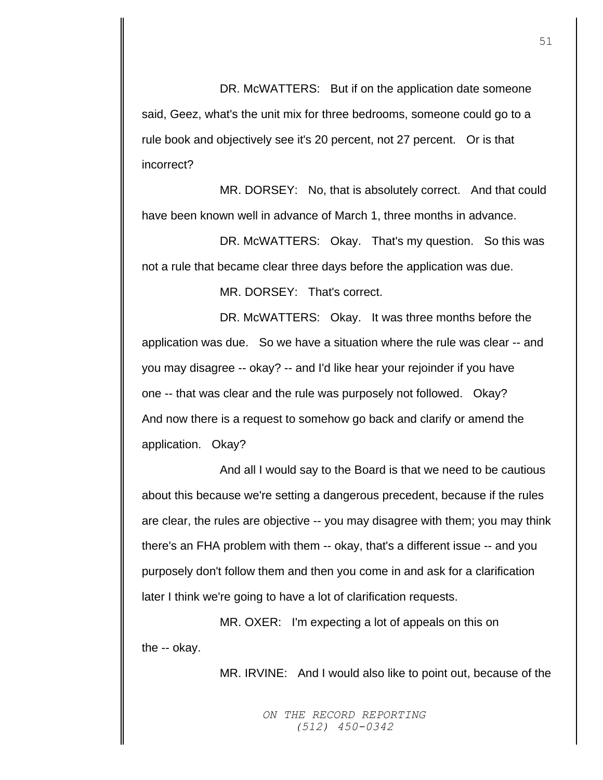DR. McWATTERS: But if on the application date someone said, Geez, what's the unit mix for three bedrooms, someone could go to a rule book and objectively see it's 20 percent, not 27 percent. Or is that incorrect?

MR. DORSEY: No, that is absolutely correct. And that could have been known well in advance of March 1, three months in advance.

DR. McWATTERS: Okay. That's my question. So this was not a rule that became clear three days before the application was due.

MR. DORSEY: That's correct.

DR. McWATTERS: Okay. It was three months before the application was due. So we have a situation where the rule was clear -- and you may disagree -- okay? -- and I'd like hear your rejoinder if you have one -- that was clear and the rule was purposely not followed. Okay? And now there is a request to somehow go back and clarify or amend the application. Okay?

And all I would say to the Board is that we need to be cautious about this because we're setting a dangerous precedent, because if the rules are clear, the rules are objective -- you may disagree with them; you may think there's an FHA problem with them -- okay, that's a different issue -- and you purposely don't follow them and then you come in and ask for a clarification later I think we're going to have a lot of clarification requests.

MR. OXER: I'm expecting a lot of appeals on this on the -- okay.

MR. IRVINE: And I would also like to point out, because of the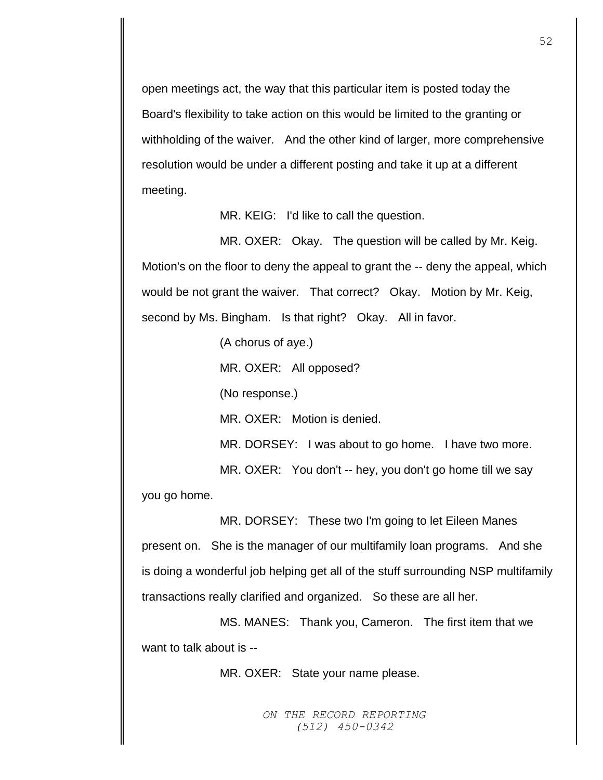open meetings act, the way that this particular item is posted today the Board's flexibility to take action on this would be limited to the granting or withholding of the waiver. And the other kind of larger, more comprehensive resolution would be under a different posting and take it up at a different meeting.

MR. KEIG: I'd like to call the question.

MR. OXER: Okay. The question will be called by Mr. Keig. Motion's on the floor to deny the appeal to grant the -- deny the appeal, which would be not grant the waiver. That correct? Okay. Motion by Mr. Keig, second by Ms. Bingham. Is that right? Okay. All in favor.

> (A chorus of aye.) MR. OXER: All opposed?

(No response.)

MR. OXER: Motion is denied.

MR. DORSEY: I was about to go home. I have two more.

MR. OXER: You don't -- hey, you don't go home till we say

you go home.

MR. DORSEY: These two I'm going to let Eileen Manes present on. She is the manager of our multifamily loan programs. And she is doing a wonderful job helping get all of the stuff surrounding NSP multifamily transactions really clarified and organized. So these are all her.

MS. MANES: Thank you, Cameron. The first item that we want to talk about is --

MR. OXER: State your name please.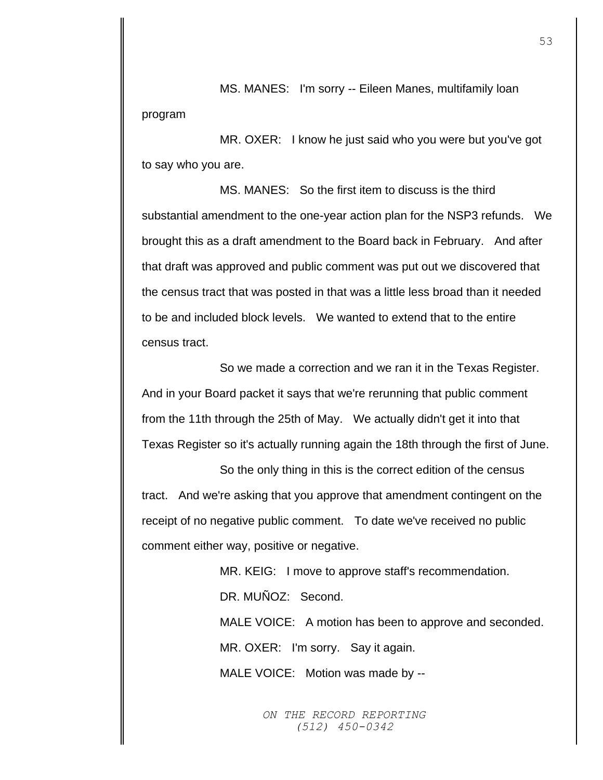MS. MANES: I'm sorry -- Eileen Manes, multifamily loan program

MR. OXER: I know he just said who you were but you've got to say who you are.

MS. MANES: So the first item to discuss is the third substantial amendment to the one-year action plan for the NSP3 refunds. We brought this as a draft amendment to the Board back in February. And after that draft was approved and public comment was put out we discovered that the census tract that was posted in that was a little less broad than it needed to be and included block levels. We wanted to extend that to the entire census tract.

So we made a correction and we ran it in the Texas Register. And in your Board packet it says that we're rerunning that public comment from the 11th through the 25th of May. We actually didn't get it into that Texas Register so it's actually running again the 18th through the first of June.

So the only thing in this is the correct edition of the census tract. And we're asking that you approve that amendment contingent on the receipt of no negative public comment. To date we've received no public comment either way, positive or negative.

> MR. KEIG: I move to approve staff's recommendation. DR. MUÑOZ: Second.

MALE VOICE: A motion has been to approve and seconded.

MR. OXER: I'm sorry. Say it again.

MALE VOICE: Motion was made by --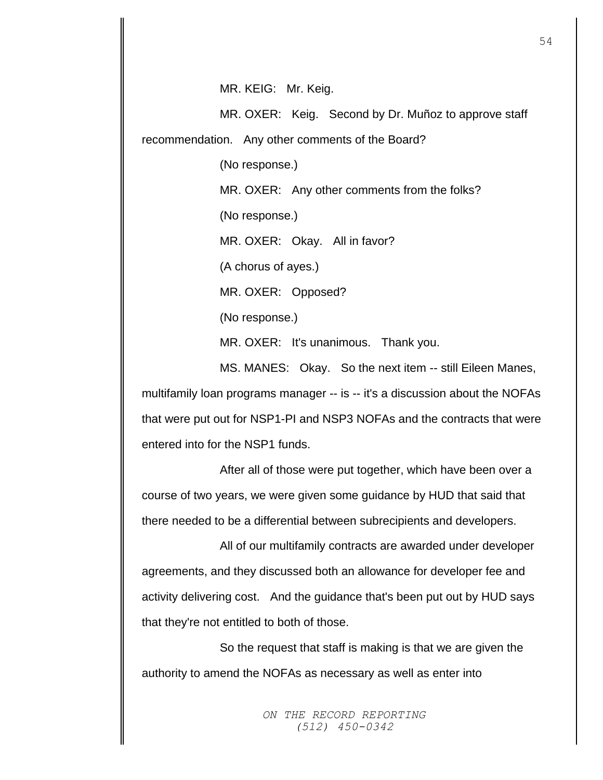MR. KEIG: Mr. Keig.

MR. OXER: Keig. Second by Dr. Muñoz to approve staff recommendation. Any other comments of the Board?

(No response.)

MR. OXER: Any other comments from the folks?

(No response.)

MR. OXER: Okay. All in favor?

(A chorus of ayes.)

MR. OXER: Opposed?

(No response.)

MR. OXER: It's unanimous. Thank you.

MS. MANES: Okay. So the next item -- still Eileen Manes, multifamily loan programs manager -- is -- it's a discussion about the NOFAs that were put out for NSP1-PI and NSP3 NOFAs and the contracts that were entered into for the NSP1 funds.

After all of those were put together, which have been over a course of two years, we were given some guidance by HUD that said that there needed to be a differential between subrecipients and developers.

All of our multifamily contracts are awarded under developer agreements, and they discussed both an allowance for developer fee and activity delivering cost. And the guidance that's been put out by HUD says that they're not entitled to both of those.

So the request that staff is making is that we are given the authority to amend the NOFAs as necessary as well as enter into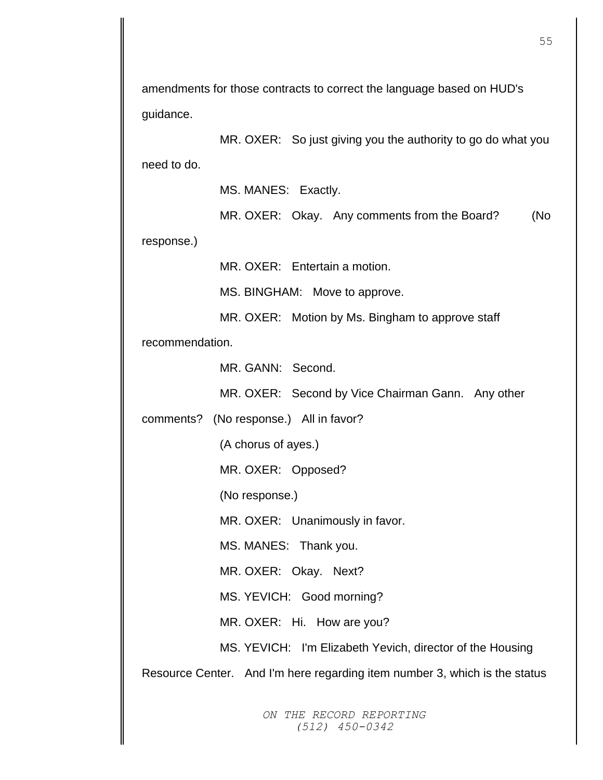amendments for those contracts to correct the language based on HUD's guidance.

MR. OXER: So just giving you the authority to go do what you need to do.

MS. MANES: Exactly.

MR. OXER: Okay. Any comments from the Board? (No

response.)

MR. OXER: Entertain a motion.

MS. BINGHAM: Move to approve.

MR. OXER: Motion by Ms. Bingham to approve staff

recommendation.

MR. GANN: Second.

MR. OXER: Second by Vice Chairman Gann. Any other

comments? (No response.) All in favor?

(A chorus of ayes.)

MR. OXER: Opposed?

(No response.)

MR. OXER: Unanimously in favor.

MS. MANES: Thank you.

MR. OXER: Okay. Next?

MS. YEVICH: Good morning?

MR. OXER: Hi. How are you?

MS. YEVICH: I'm Elizabeth Yevich, director of the Housing

Resource Center. And I'm here regarding item number 3, which is the status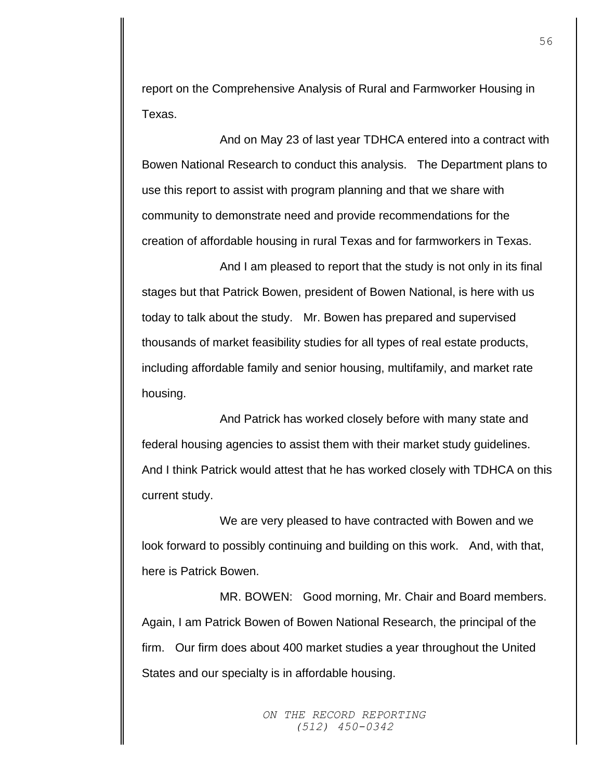report on the Comprehensive Analysis of Rural and Farmworker Housing in Texas.

And on May 23 of last year TDHCA entered into a contract with Bowen National Research to conduct this analysis. The Department plans to use this report to assist with program planning and that we share with community to demonstrate need and provide recommendations for the creation of affordable housing in rural Texas and for farmworkers in Texas.

And I am pleased to report that the study is not only in its final stages but that Patrick Bowen, president of Bowen National, is here with us today to talk about the study. Mr. Bowen has prepared and supervised thousands of market feasibility studies for all types of real estate products, including affordable family and senior housing, multifamily, and market rate housing.

And Patrick has worked closely before with many state and federal housing agencies to assist them with their market study guidelines. And I think Patrick would attest that he has worked closely with TDHCA on this current study.

We are very pleased to have contracted with Bowen and we look forward to possibly continuing and building on this work. And, with that, here is Patrick Bowen.

MR. BOWEN: Good morning, Mr. Chair and Board members. Again, I am Patrick Bowen of Bowen National Research, the principal of the firm. Our firm does about 400 market studies a year throughout the United States and our specialty is in affordable housing.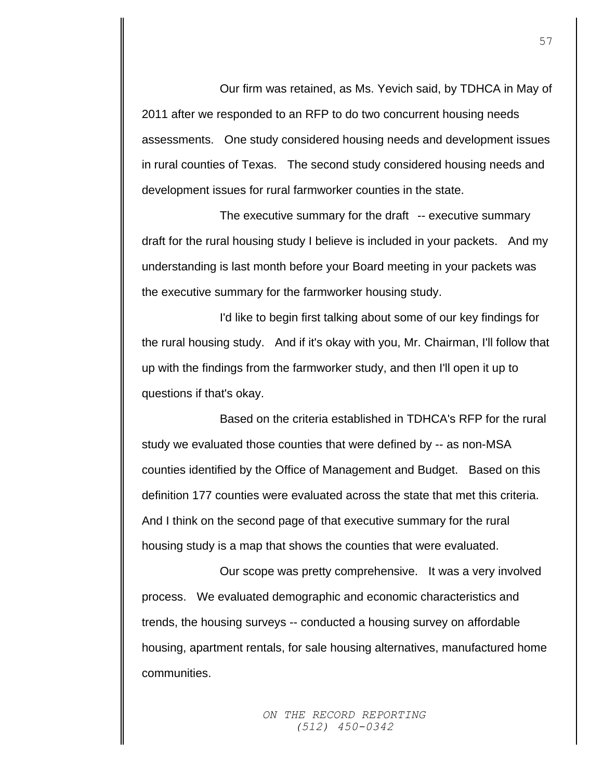Our firm was retained, as Ms. Yevich said, by TDHCA in May of 2011 after we responded to an RFP to do two concurrent housing needs assessments. One study considered housing needs and development issues in rural counties of Texas. The second study considered housing needs and development issues for rural farmworker counties in the state.

The executive summary for the draft -- executive summary draft for the rural housing study I believe is included in your packets. And my understanding is last month before your Board meeting in your packets was the executive summary for the farmworker housing study.

I'd like to begin first talking about some of our key findings for the rural housing study. And if it's okay with you, Mr. Chairman, I'll follow that up with the findings from the farmworker study, and then I'll open it up to questions if that's okay.

Based on the criteria established in TDHCA's RFP for the rural study we evaluated those counties that were defined by -- as non-MSA counties identified by the Office of Management and Budget. Based on this definition 177 counties were evaluated across the state that met this criteria. And I think on the second page of that executive summary for the rural housing study is a map that shows the counties that were evaluated.

Our scope was pretty comprehensive. It was a very involved process. We evaluated demographic and economic characteristics and trends, the housing surveys -- conducted a housing survey on affordable housing, apartment rentals, for sale housing alternatives, manufactured home communities.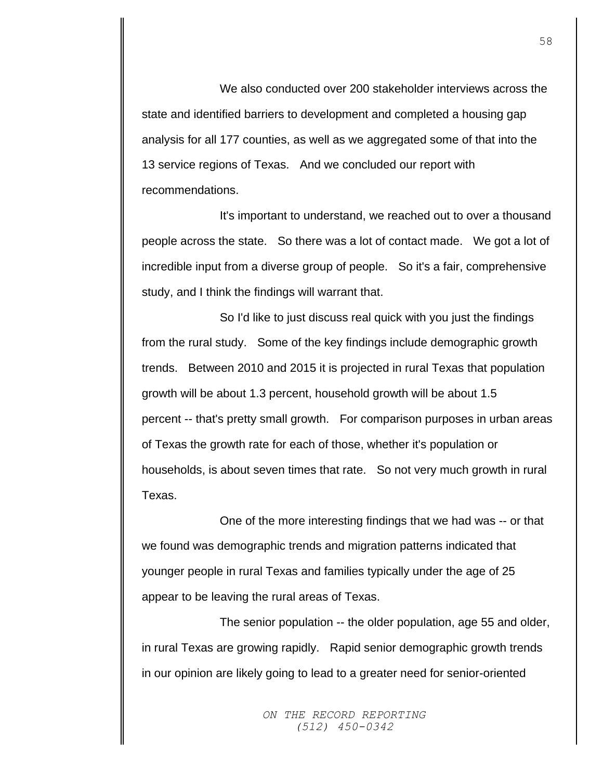We also conducted over 200 stakeholder interviews across the state and identified barriers to development and completed a housing gap analysis for all 177 counties, as well as we aggregated some of that into the 13 service regions of Texas. And we concluded our report with recommendations.

It's important to understand, we reached out to over a thousand people across the state. So there was a lot of contact made. We got a lot of incredible input from a diverse group of people. So it's a fair, comprehensive study, and I think the findings will warrant that.

So I'd like to just discuss real quick with you just the findings from the rural study. Some of the key findings include demographic growth trends. Between 2010 and 2015 it is projected in rural Texas that population growth will be about 1.3 percent, household growth will be about 1.5 percent -- that's pretty small growth. For comparison purposes in urban areas of Texas the growth rate for each of those, whether it's population or households, is about seven times that rate. So not very much growth in rural Texas.

One of the more interesting findings that we had was -- or that we found was demographic trends and migration patterns indicated that younger people in rural Texas and families typically under the age of 25 appear to be leaving the rural areas of Texas.

The senior population -- the older population, age 55 and older, in rural Texas are growing rapidly. Rapid senior demographic growth trends in our opinion are likely going to lead to a greater need for senior-oriented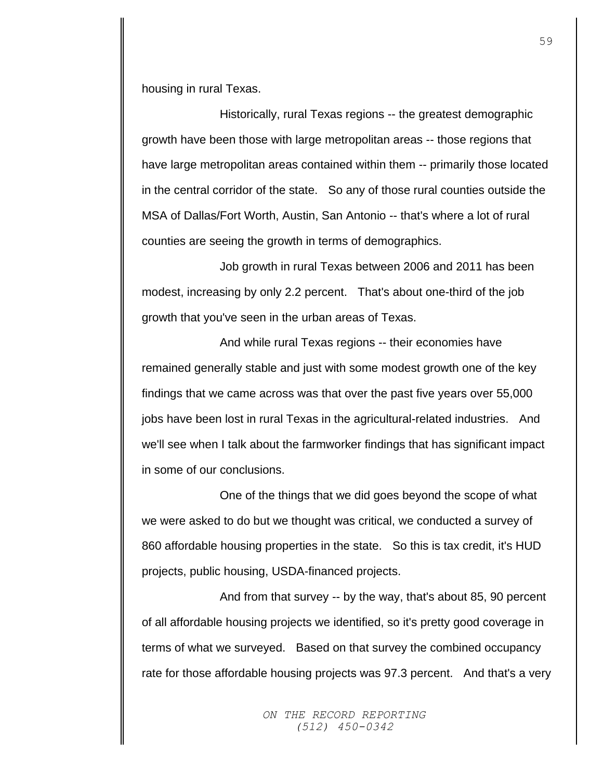housing in rural Texas.

Historically, rural Texas regions -- the greatest demographic growth have been those with large metropolitan areas -- those regions that have large metropolitan areas contained within them -- primarily those located in the central corridor of the state. So any of those rural counties outside the MSA of Dallas/Fort Worth, Austin, San Antonio -- that's where a lot of rural counties are seeing the growth in terms of demographics.

Job growth in rural Texas between 2006 and 2011 has been modest, increasing by only 2.2 percent. That's about one-third of the job growth that you've seen in the urban areas of Texas.

And while rural Texas regions -- their economies have remained generally stable and just with some modest growth one of the key findings that we came across was that over the past five years over 55,000 jobs have been lost in rural Texas in the agricultural-related industries. And we'll see when I talk about the farmworker findings that has significant impact in some of our conclusions.

One of the things that we did goes beyond the scope of what we were asked to do but we thought was critical, we conducted a survey of 860 affordable housing properties in the state. So this is tax credit, it's HUD projects, public housing, USDA-financed projects.

And from that survey -- by the way, that's about 85, 90 percent of all affordable housing projects we identified, so it's pretty good coverage in terms of what we surveyed. Based on that survey the combined occupancy rate for those affordable housing projects was 97.3 percent. And that's a very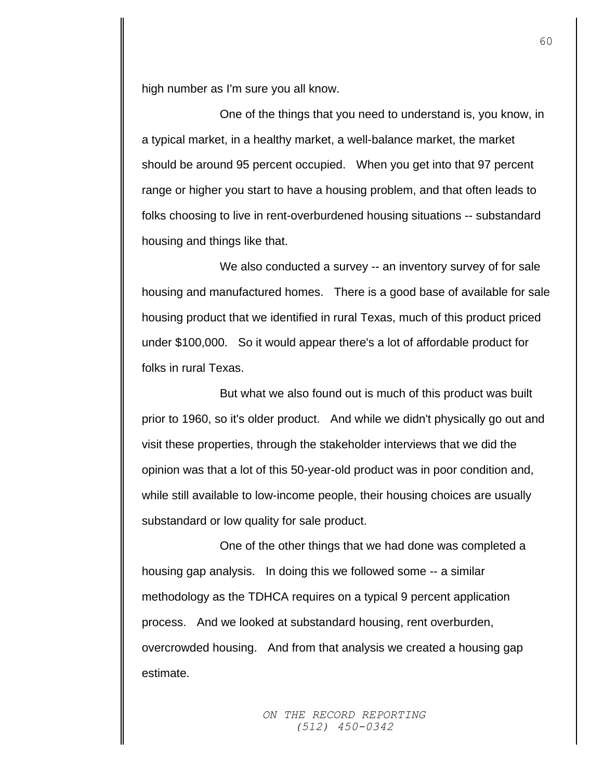high number as I'm sure you all know.

One of the things that you need to understand is, you know, in a typical market, in a healthy market, a well-balance market, the market should be around 95 percent occupied. When you get into that 97 percent range or higher you start to have a housing problem, and that often leads to folks choosing to live in rent-overburdened housing situations -- substandard housing and things like that.

We also conducted a survey -- an inventory survey of for sale housing and manufactured homes. There is a good base of available for sale housing product that we identified in rural Texas, much of this product priced under \$100,000. So it would appear there's a lot of affordable product for folks in rural Texas.

But what we also found out is much of this product was built prior to 1960, so it's older product. And while we didn't physically go out and visit these properties, through the stakeholder interviews that we did the opinion was that a lot of this 50-year-old product was in poor condition and, while still available to low-income people, their housing choices are usually substandard or low quality for sale product.

One of the other things that we had done was completed a housing gap analysis. In doing this we followed some -- a similar methodology as the TDHCA requires on a typical 9 percent application process. And we looked at substandard housing, rent overburden, overcrowded housing. And from that analysis we created a housing gap estimate.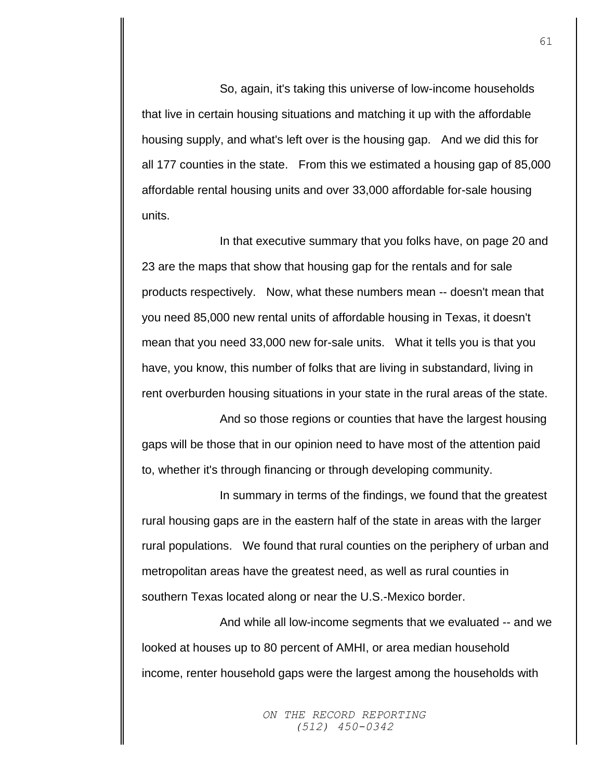So, again, it's taking this universe of low-income households that live in certain housing situations and matching it up with the affordable housing supply, and what's left over is the housing gap. And we did this for all 177 counties in the state. From this we estimated a housing gap of 85,000 affordable rental housing units and over 33,000 affordable for-sale housing units.

In that executive summary that you folks have, on page 20 and 23 are the maps that show that housing gap for the rentals and for sale products respectively. Now, what these numbers mean -- doesn't mean that you need 85,000 new rental units of affordable housing in Texas, it doesn't mean that you need 33,000 new for-sale units. What it tells you is that you have, you know, this number of folks that are living in substandard, living in rent overburden housing situations in your state in the rural areas of the state.

And so those regions or counties that have the largest housing gaps will be those that in our opinion need to have most of the attention paid to, whether it's through financing or through developing community.

In summary in terms of the findings, we found that the greatest rural housing gaps are in the eastern half of the state in areas with the larger rural populations. We found that rural counties on the periphery of urban and metropolitan areas have the greatest need, as well as rural counties in southern Texas located along or near the U.S.-Mexico border.

And while all low-income segments that we evaluated -- and we looked at houses up to 80 percent of AMHI, or area median household income, renter household gaps were the largest among the households with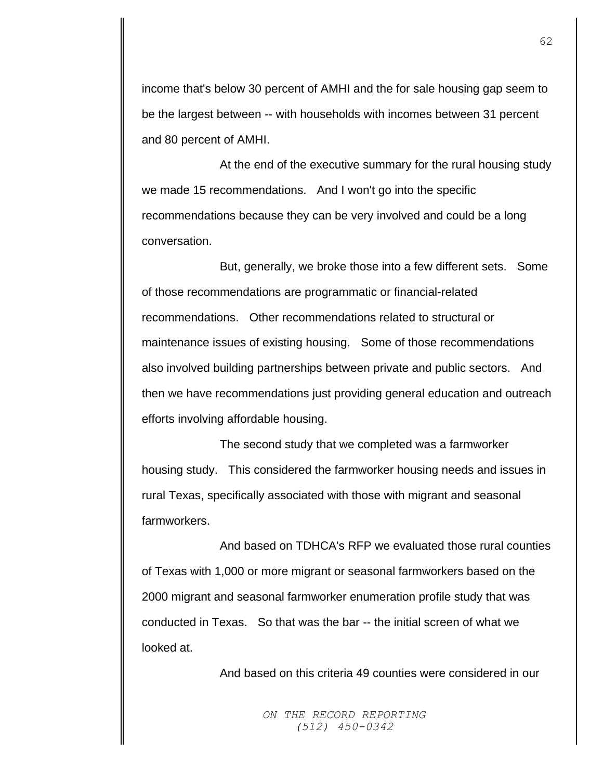income that's below 30 percent of AMHI and the for sale housing gap seem to be the largest between -- with households with incomes between 31 percent and 80 percent of AMHI.

At the end of the executive summary for the rural housing study we made 15 recommendations. And I won't go into the specific recommendations because they can be very involved and could be a long conversation.

But, generally, we broke those into a few different sets. Some of those recommendations are programmatic or financial-related recommendations. Other recommendations related to structural or maintenance issues of existing housing. Some of those recommendations also involved building partnerships between private and public sectors. And then we have recommendations just providing general education and outreach efforts involving affordable housing.

The second study that we completed was a farmworker housing study. This considered the farmworker housing needs and issues in rural Texas, specifically associated with those with migrant and seasonal farmworkers.

And based on TDHCA's RFP we evaluated those rural counties of Texas with 1,000 or more migrant or seasonal farmworkers based on the 2000 migrant and seasonal farmworker enumeration profile study that was conducted in Texas. So that was the bar -- the initial screen of what we looked at.

And based on this criteria 49 counties were considered in our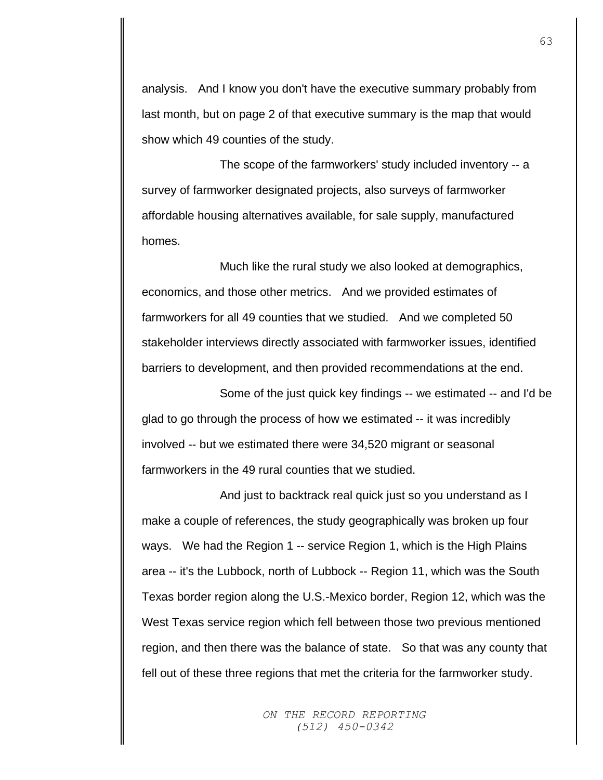analysis. And I know you don't have the executive summary probably from last month, but on page 2 of that executive summary is the map that would show which 49 counties of the study.

The scope of the farmworkers' study included inventory -- a survey of farmworker designated projects, also surveys of farmworker affordable housing alternatives available, for sale supply, manufactured homes.

Much like the rural study we also looked at demographics, economics, and those other metrics. And we provided estimates of farmworkers for all 49 counties that we studied. And we completed 50 stakeholder interviews directly associated with farmworker issues, identified barriers to development, and then provided recommendations at the end.

Some of the just quick key findings -- we estimated -- and I'd be glad to go through the process of how we estimated -- it was incredibly involved -- but we estimated there were 34,520 migrant or seasonal farmworkers in the 49 rural counties that we studied.

And just to backtrack real quick just so you understand as I make a couple of references, the study geographically was broken up four ways. We had the Region 1 -- service Region 1, which is the High Plains area -- it's the Lubbock, north of Lubbock -- Region 11, which was the South Texas border region along the U.S.-Mexico border, Region 12, which was the West Texas service region which fell between those two previous mentioned region, and then there was the balance of state. So that was any county that fell out of these three regions that met the criteria for the farmworker study.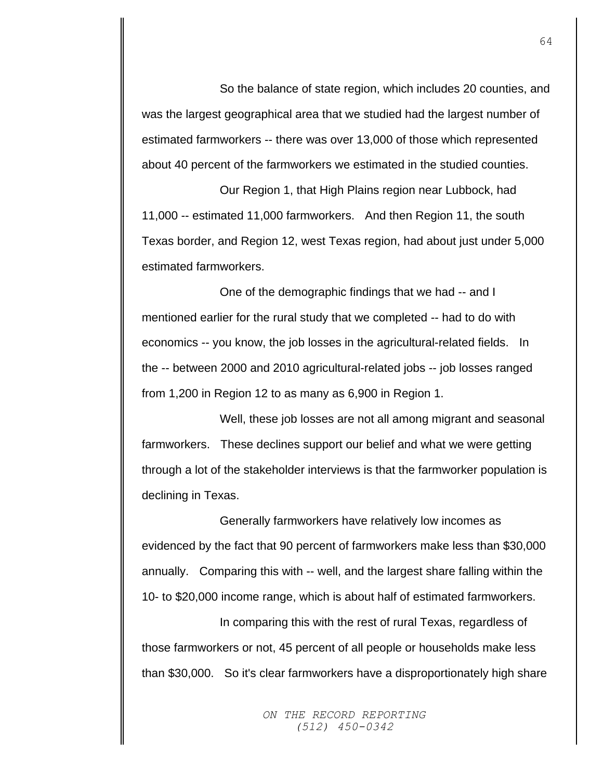So the balance of state region, which includes 20 counties, and was the largest geographical area that we studied had the largest number of estimated farmworkers -- there was over 13,000 of those which represented about 40 percent of the farmworkers we estimated in the studied counties.

Our Region 1, that High Plains region near Lubbock, had 11,000 -- estimated 11,000 farmworkers. And then Region 11, the south Texas border, and Region 12, west Texas region, had about just under 5,000 estimated farmworkers.

One of the demographic findings that we had -- and I mentioned earlier for the rural study that we completed -- had to do with economics -- you know, the job losses in the agricultural-related fields. In the -- between 2000 and 2010 agricultural-related jobs -- job losses ranged from 1,200 in Region 12 to as many as 6,900 in Region 1.

Well, these job losses are not all among migrant and seasonal farmworkers. These declines support our belief and what we were getting through a lot of the stakeholder interviews is that the farmworker population is declining in Texas.

Generally farmworkers have relatively low incomes as evidenced by the fact that 90 percent of farmworkers make less than \$30,000 annually. Comparing this with -- well, and the largest share falling within the 10- to \$20,000 income range, which is about half of estimated farmworkers.

In comparing this with the rest of rural Texas, regardless of those farmworkers or not, 45 percent of all people or households make less than \$30,000. So it's clear farmworkers have a disproportionately high share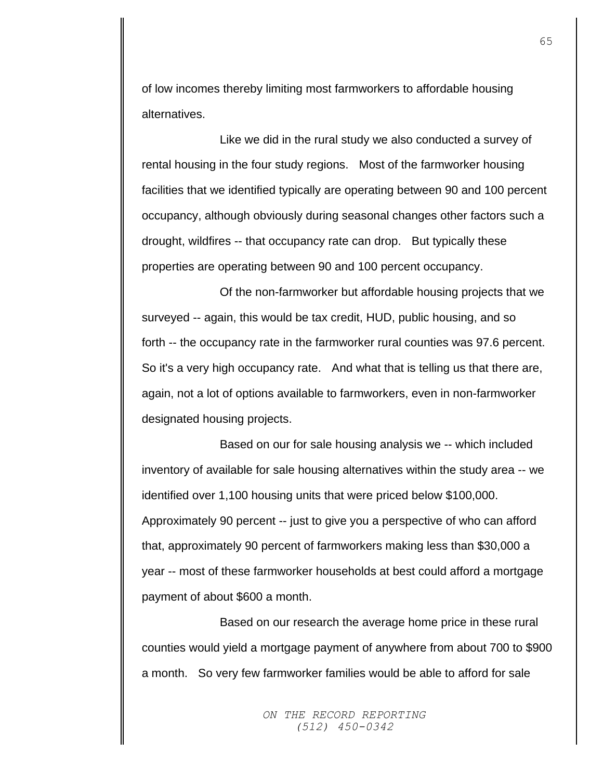of low incomes thereby limiting most farmworkers to affordable housing alternatives.

Like we did in the rural study we also conducted a survey of rental housing in the four study regions. Most of the farmworker housing facilities that we identified typically are operating between 90 and 100 percent occupancy, although obviously during seasonal changes other factors such a drought, wildfires -- that occupancy rate can drop. But typically these properties are operating between 90 and 100 percent occupancy.

Of the non-farmworker but affordable housing projects that we surveyed -- again, this would be tax credit, HUD, public housing, and so forth -- the occupancy rate in the farmworker rural counties was 97.6 percent. So it's a very high occupancy rate. And what that is telling us that there are, again, not a lot of options available to farmworkers, even in non-farmworker designated housing projects.

Based on our for sale housing analysis we -- which included inventory of available for sale housing alternatives within the study area -- we identified over 1,100 housing units that were priced below \$100,000. Approximately 90 percent -- just to give you a perspective of who can afford that, approximately 90 percent of farmworkers making less than \$30,000 a year -- most of these farmworker households at best could afford a mortgage payment of about \$600 a month.

Based on our research the average home price in these rural counties would yield a mortgage payment of anywhere from about 700 to \$900 a month. So very few farmworker families would be able to afford for sale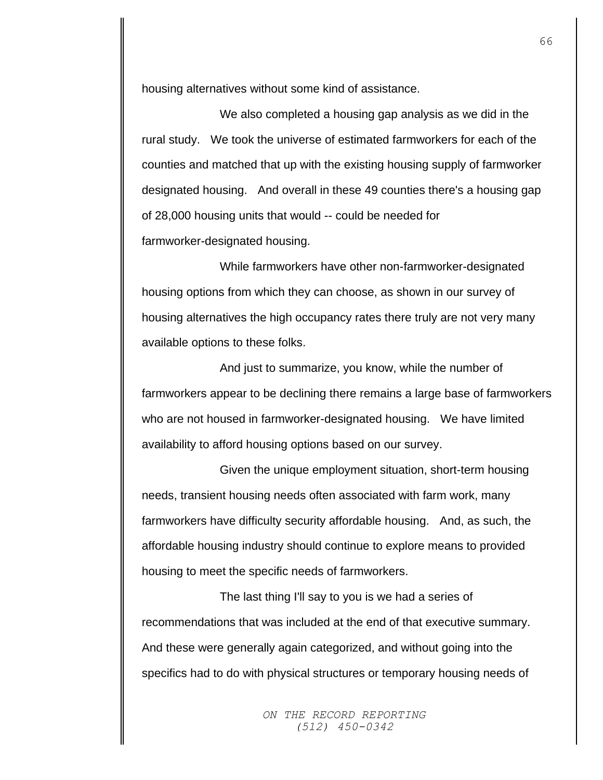housing alternatives without some kind of assistance.

We also completed a housing gap analysis as we did in the rural study. We took the universe of estimated farmworkers for each of the counties and matched that up with the existing housing supply of farmworker designated housing. And overall in these 49 counties there's a housing gap of 28,000 housing units that would -- could be needed for farmworker-designated housing.

While farmworkers have other non-farmworker-designated housing options from which they can choose, as shown in our survey of housing alternatives the high occupancy rates there truly are not very many available options to these folks.

And just to summarize, you know, while the number of farmworkers appear to be declining there remains a large base of farmworkers who are not housed in farmworker-designated housing. We have limited availability to afford housing options based on our survey.

Given the unique employment situation, short-term housing needs, transient housing needs often associated with farm work, many farmworkers have difficulty security affordable housing. And, as such, the affordable housing industry should continue to explore means to provided housing to meet the specific needs of farmworkers.

The last thing I'll say to you is we had a series of recommendations that was included at the end of that executive summary. And these were generally again categorized, and without going into the specifics had to do with physical structures or temporary housing needs of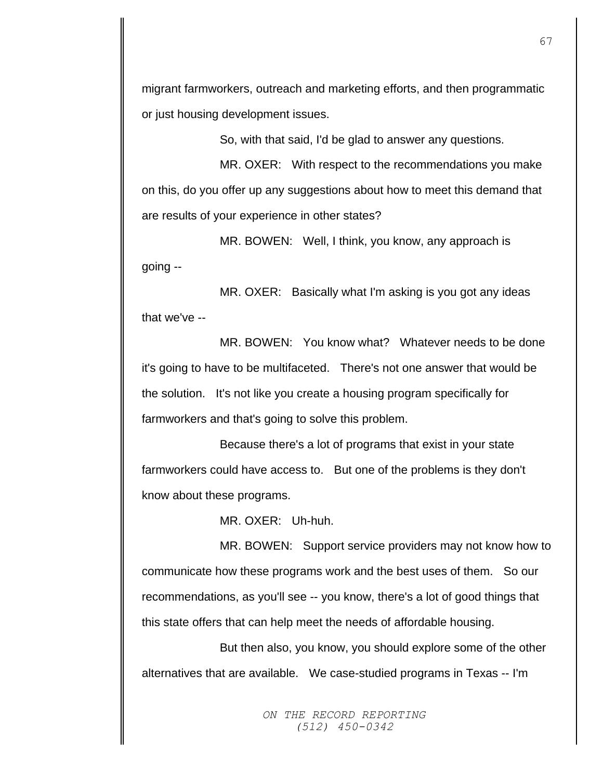migrant farmworkers, outreach and marketing efforts, and then programmatic or just housing development issues.

So, with that said, I'd be glad to answer any questions.

MR. OXER: With respect to the recommendations you make on this, do you offer up any suggestions about how to meet this demand that are results of your experience in other states?

MR. BOWEN: Well, I think, you know, any approach is going --

MR. OXER: Basically what I'm asking is you got any ideas that we've --

MR. BOWEN: You know what? Whatever needs to be done it's going to have to be multifaceted. There's not one answer that would be the solution. It's not like you create a housing program specifically for farmworkers and that's going to solve this problem.

Because there's a lot of programs that exist in your state farmworkers could have access to. But one of the problems is they don't know about these programs.

MR. OXER: Uh-huh.

MR. BOWEN: Support service providers may not know how to communicate how these programs work and the best uses of them. So our recommendations, as you'll see -- you know, there's a lot of good things that this state offers that can help meet the needs of affordable housing.

But then also, you know, you should explore some of the other alternatives that are available. We case-studied programs in Texas -- I'm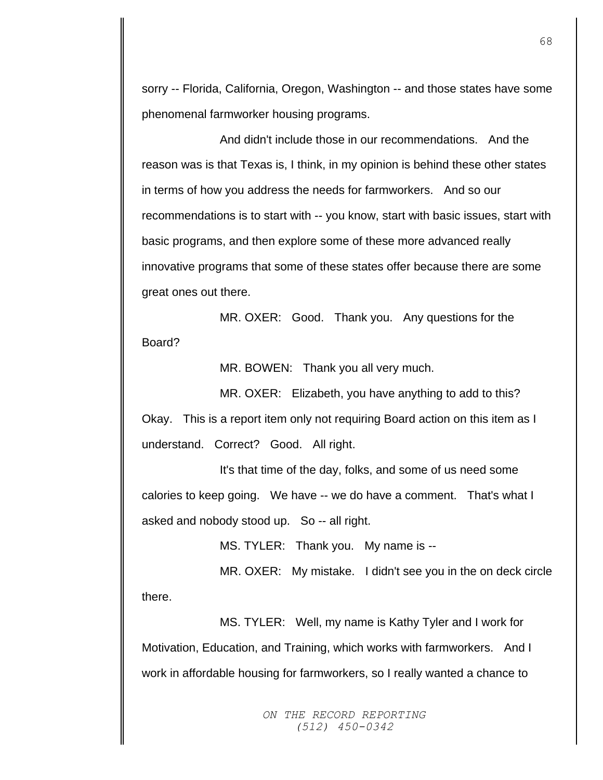sorry -- Florida, California, Oregon, Washington -- and those states have some phenomenal farmworker housing programs.

And didn't include those in our recommendations. And the reason was is that Texas is, I think, in my opinion is behind these other states in terms of how you address the needs for farmworkers. And so our recommendations is to start with -- you know, start with basic issues, start with basic programs, and then explore some of these more advanced really innovative programs that some of these states offer because there are some great ones out there.

MR. OXER: Good. Thank you. Any questions for the Board?

MR. BOWEN: Thank you all very much.

MR. OXER: Elizabeth, you have anything to add to this?

Okay. This is a report item only not requiring Board action on this item as I understand. Correct? Good. All right.

It's that time of the day, folks, and some of us need some calories to keep going. We have -- we do have a comment. That's what I asked and nobody stood up. So -- all right.

MS. TYLER: Thank you. My name is --

MR. OXER: My mistake. I didn't see you in the on deck circle there.

MS. TYLER: Well, my name is Kathy Tyler and I work for Motivation, Education, and Training, which works with farmworkers. And I work in affordable housing for farmworkers, so I really wanted a chance to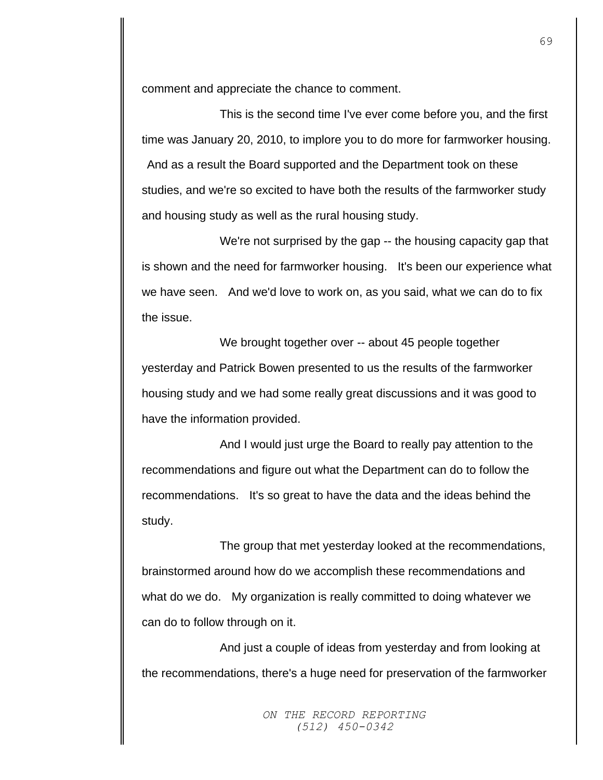comment and appreciate the chance to comment.

This is the second time I've ever come before you, and the first time was January 20, 2010, to implore you to do more for farmworker housing. And as a result the Board supported and the Department took on these studies, and we're so excited to have both the results of the farmworker study and housing study as well as the rural housing study.

We're not surprised by the gap -- the housing capacity gap that is shown and the need for farmworker housing. It's been our experience what we have seen. And we'd love to work on, as you said, what we can do to fix the issue.

We brought together over -- about 45 people together yesterday and Patrick Bowen presented to us the results of the farmworker housing study and we had some really great discussions and it was good to have the information provided.

And I would just urge the Board to really pay attention to the recommendations and figure out what the Department can do to follow the recommendations. It's so great to have the data and the ideas behind the study.

The group that met yesterday looked at the recommendations, brainstormed around how do we accomplish these recommendations and what do we do. My organization is really committed to doing whatever we can do to follow through on it.

And just a couple of ideas from yesterday and from looking at the recommendations, there's a huge need for preservation of the farmworker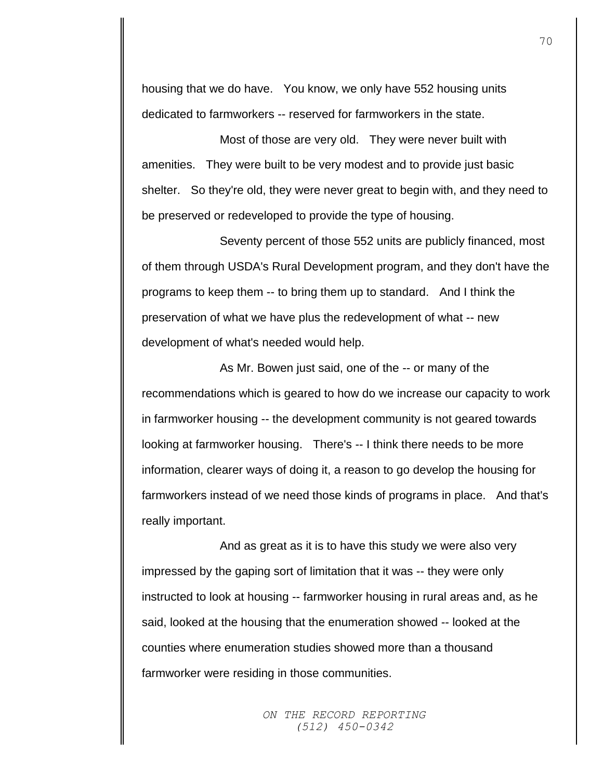housing that we do have. You know, we only have 552 housing units dedicated to farmworkers -- reserved for farmworkers in the state.

Most of those are very old. They were never built with amenities. They were built to be very modest and to provide just basic shelter. So they're old, they were never great to begin with, and they need to be preserved or redeveloped to provide the type of housing.

Seventy percent of those 552 units are publicly financed, most of them through USDA's Rural Development program, and they don't have the programs to keep them -- to bring them up to standard. And I think the preservation of what we have plus the redevelopment of what -- new development of what's needed would help.

As Mr. Bowen just said, one of the -- or many of the recommendations which is geared to how do we increase our capacity to work in farmworker housing -- the development community is not geared towards looking at farmworker housing. There's -- I think there needs to be more information, clearer ways of doing it, a reason to go develop the housing for farmworkers instead of we need those kinds of programs in place. And that's really important.

And as great as it is to have this study we were also very impressed by the gaping sort of limitation that it was -- they were only instructed to look at housing -- farmworker housing in rural areas and, as he said, looked at the housing that the enumeration showed -- looked at the counties where enumeration studies showed more than a thousand farmworker were residing in those communities.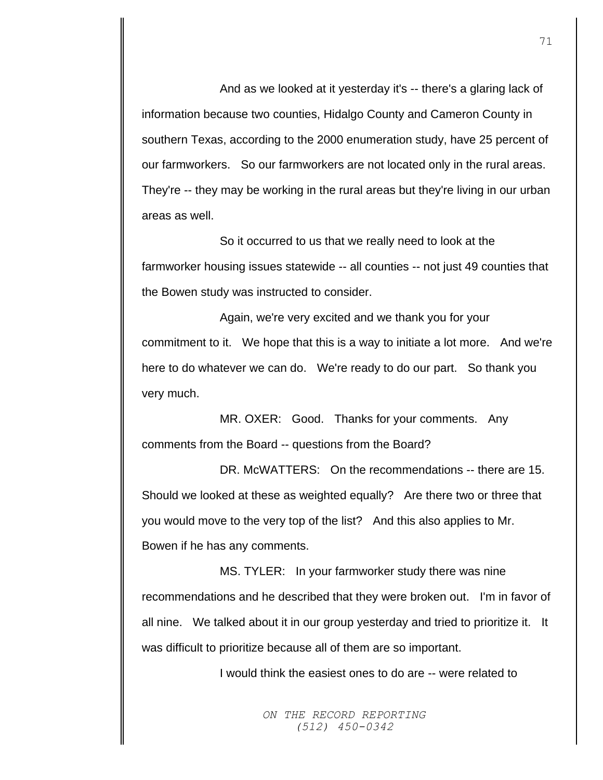And as we looked at it yesterday it's -- there's a glaring lack of information because two counties, Hidalgo County and Cameron County in southern Texas, according to the 2000 enumeration study, have 25 percent of our farmworkers. So our farmworkers are not located only in the rural areas. They're -- they may be working in the rural areas but they're living in our urban areas as well.

So it occurred to us that we really need to look at the farmworker housing issues statewide -- all counties -- not just 49 counties that the Bowen study was instructed to consider.

Again, we're very excited and we thank you for your commitment to it. We hope that this is a way to initiate a lot more. And we're here to do whatever we can do. We're ready to do our part. So thank you very much.

MR. OXER: Good. Thanks for your comments. Any comments from the Board -- questions from the Board?

DR. McWATTERS: On the recommendations -- there are 15. Should we looked at these as weighted equally? Are there two or three that you would move to the very top of the list? And this also applies to Mr. Bowen if he has any comments.

MS. TYLER: In your farmworker study there was nine recommendations and he described that they were broken out. I'm in favor of all nine. We talked about it in our group yesterday and tried to prioritize it. It was difficult to prioritize because all of them are so important.

I would think the easiest ones to do are -- were related to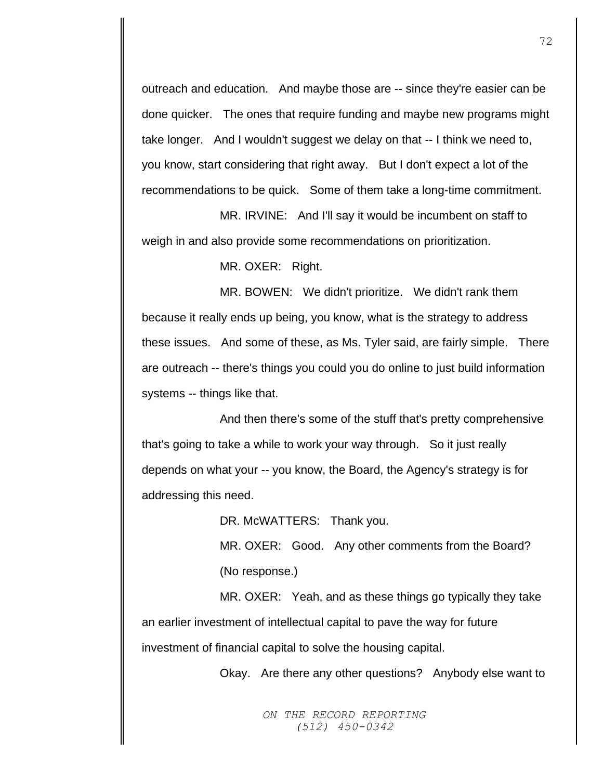outreach and education. And maybe those are -- since they're easier can be done quicker. The ones that require funding and maybe new programs might take longer. And I wouldn't suggest we delay on that -- I think we need to, you know, start considering that right away. But I don't expect a lot of the recommendations to be quick. Some of them take a long-time commitment.

MR. IRVINE: And I'll say it would be incumbent on staff to weigh in and also provide some recommendations on prioritization.

MR. OXER: Right.

MR. BOWEN: We didn't prioritize. We didn't rank them because it really ends up being, you know, what is the strategy to address these issues. And some of these, as Ms. Tyler said, are fairly simple. There are outreach -- there's things you could you do online to just build information systems -- things like that.

And then there's some of the stuff that's pretty comprehensive that's going to take a while to work your way through. So it just really depends on what your -- you know, the Board, the Agency's strategy is for addressing this need.

DR. McWATTERS: Thank you.

MR. OXER: Good. Any other comments from the Board? (No response.)

MR. OXER: Yeah, and as these things go typically they take an earlier investment of intellectual capital to pave the way for future investment of financial capital to solve the housing capital.

Okay. Are there any other questions? Anybody else want to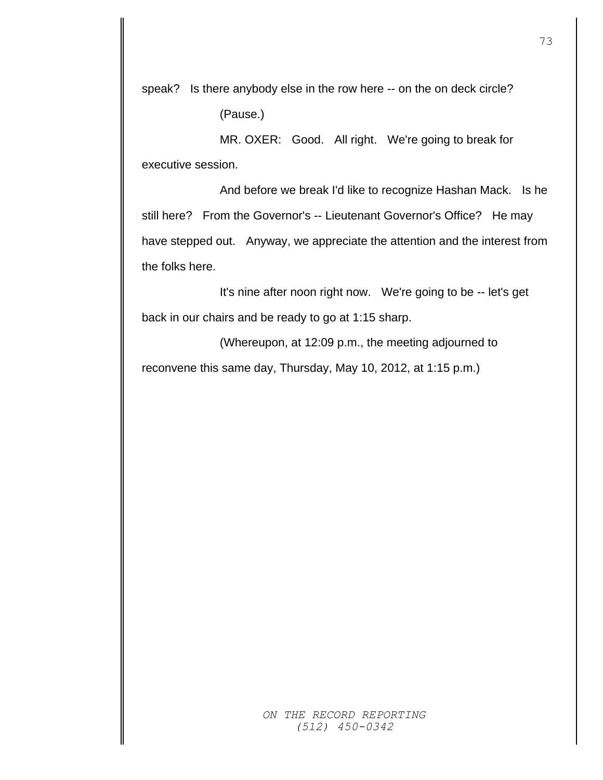speak? Is there anybody else in the row here -- on the on deck circle?

(Pause.)

MR. OXER: Good. All right. We're going to break for executive session.

And before we break I'd like to recognize Hashan Mack. Is he still here? From the Governor's -- Lieutenant Governor's Office? He may have stepped out. Anyway, we appreciate the attention and the interest from the folks here.

It's nine after noon right now. We're going to be -- let's get back in our chairs and be ready to go at 1:15 sharp.

(Whereupon, at 12:09 p.m., the meeting adjourned to reconvene this same day, Thursday, May 10, 2012, at 1:15 p.m.)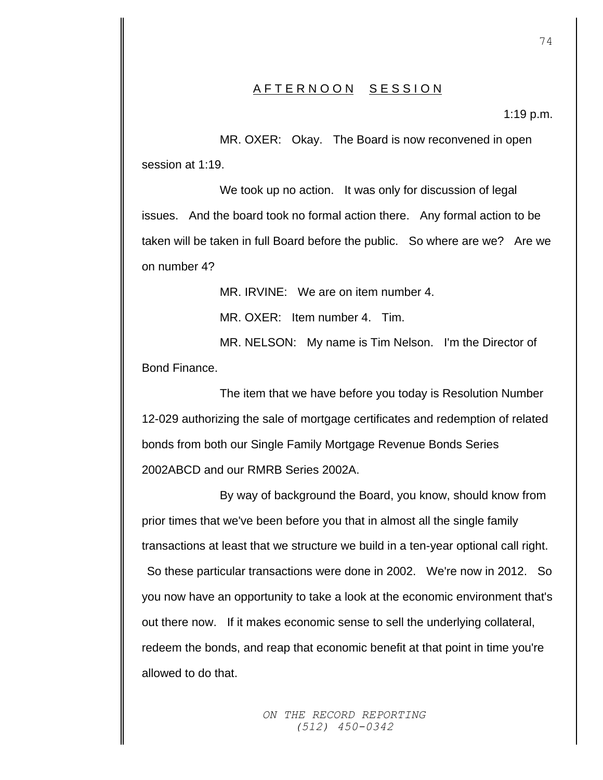## AFTERNOON SESSION

1:19 p.m.

MR. OXER: Okay. The Board is now reconvened in open session at 1:19.

We took up no action. It was only for discussion of legal issues. And the board took no formal action there. Any formal action to be taken will be taken in full Board before the public. So where are we? Are we on number 4?

MR. IRVINE: We are on item number 4.

MR. OXER: Item number 4. Tim.

MR. NELSON: My name is Tim Nelson. I'm the Director of Bond Finance.

The item that we have before you today is Resolution Number 12-029 authorizing the sale of mortgage certificates and redemption of related bonds from both our Single Family Mortgage Revenue Bonds Series 2002ABCD and our RMRB Series 2002A.

By way of background the Board, you know, should know from prior times that we've been before you that in almost all the single family transactions at least that we structure we build in a ten-year optional call right. So these particular transactions were done in 2002. We're now in 2012. So you now have an opportunity to take a look at the economic environment that's out there now. If it makes economic sense to sell the underlying collateral, redeem the bonds, and reap that economic benefit at that point in time you're allowed to do that.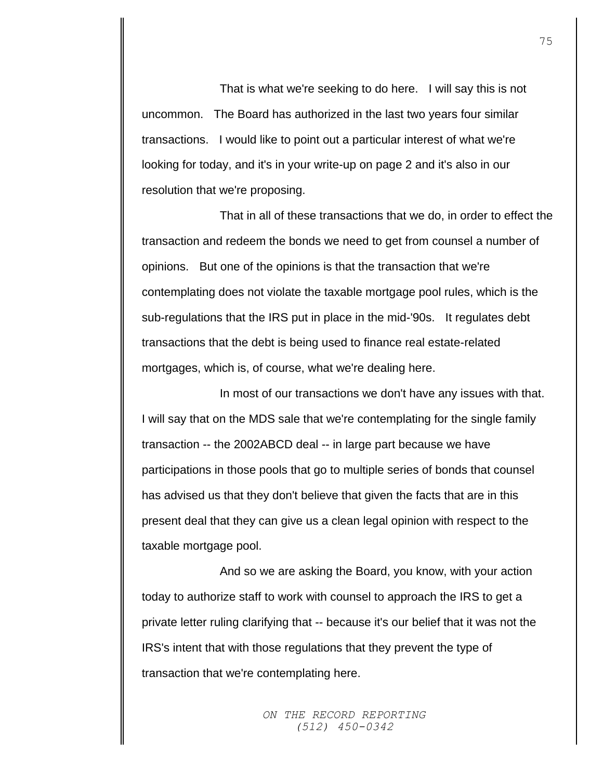That is what we're seeking to do here. I will say this is not uncommon. The Board has authorized in the last two years four similar transactions. I would like to point out a particular interest of what we're looking for today, and it's in your write-up on page 2 and it's also in our resolution that we're proposing.

That in all of these transactions that we do, in order to effect the transaction and redeem the bonds we need to get from counsel a number of opinions. But one of the opinions is that the transaction that we're contemplating does not violate the taxable mortgage pool rules, which is the sub-regulations that the IRS put in place in the mid-'90s. It regulates debt transactions that the debt is being used to finance real estate-related mortgages, which is, of course, what we're dealing here.

In most of our transactions we don't have any issues with that. I will say that on the MDS sale that we're contemplating for the single family transaction -- the 2002ABCD deal -- in large part because we have participations in those pools that go to multiple series of bonds that counsel has advised us that they don't believe that given the facts that are in this present deal that they can give us a clean legal opinion with respect to the taxable mortgage pool.

And so we are asking the Board, you know, with your action today to authorize staff to work with counsel to approach the IRS to get a private letter ruling clarifying that -- because it's our belief that it was not the IRS's intent that with those regulations that they prevent the type of transaction that we're contemplating here.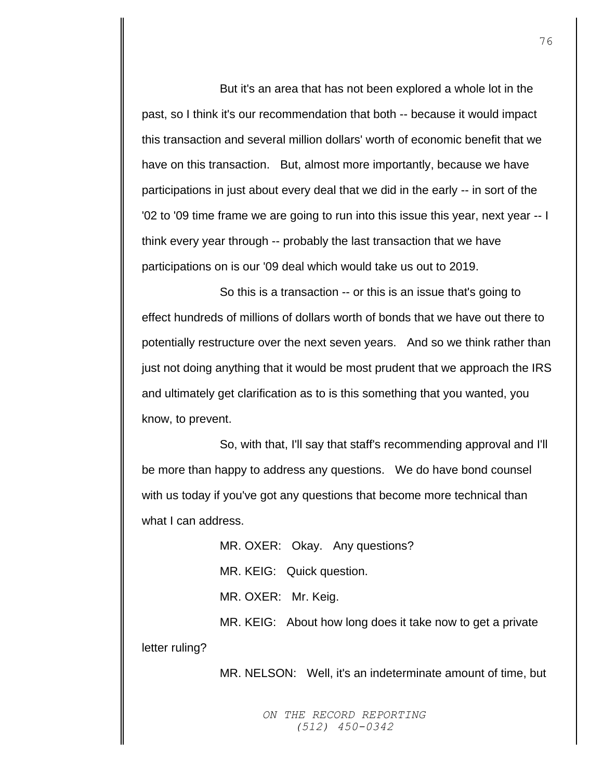But it's an area that has not been explored a whole lot in the past, so I think it's our recommendation that both -- because it would impact this transaction and several million dollars' worth of economic benefit that we have on this transaction. But, almost more importantly, because we have participations in just about every deal that we did in the early -- in sort of the '02 to '09 time frame we are going to run into this issue this year, next year -- I think every year through -- probably the last transaction that we have participations on is our '09 deal which would take us out to 2019.

So this is a transaction -- or this is an issue that's going to effect hundreds of millions of dollars worth of bonds that we have out there to potentially restructure over the next seven years. And so we think rather than just not doing anything that it would be most prudent that we approach the IRS and ultimately get clarification as to is this something that you wanted, you know, to prevent.

So, with that, I'll say that staff's recommending approval and I'll be more than happy to address any questions. We do have bond counsel with us today if you've got any questions that become more technical than what I can address.

> MR. OXER: Okay. Any questions? MR. KEIG: Quick question. MR. OXER: Mr. Keig.

MR. KEIG: About how long does it take now to get a private letter ruling?

MR. NELSON: Well, it's an indeterminate amount of time, but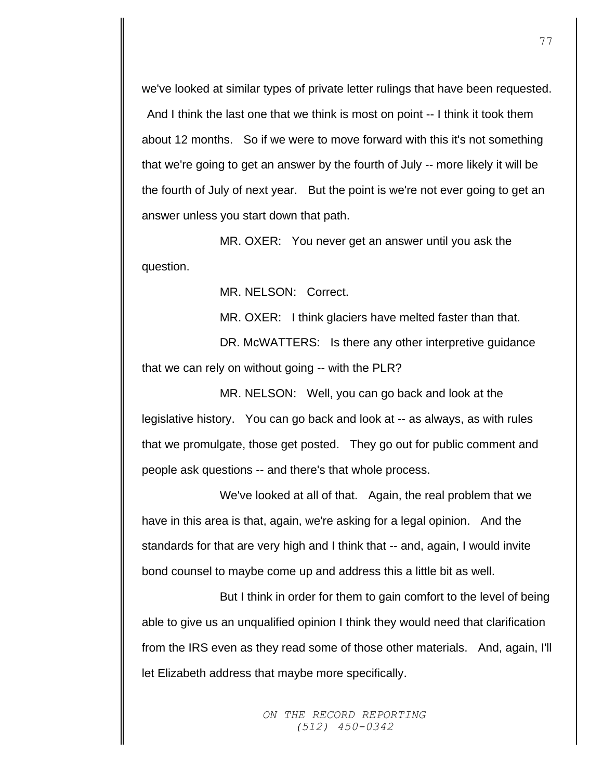we've looked at similar types of private letter rulings that have been requested. And I think the last one that we think is most on point -- I think it took them about 12 months. So if we were to move forward with this it's not something that we're going to get an answer by the fourth of July -- more likely it will be the fourth of July of next year. But the point is we're not ever going to get an answer unless you start down that path.

MR. OXER: You never get an answer until you ask the question.

MR. NELSON: Correct.

MR. OXER: I think glaciers have melted faster than that.

DR. McWATTERS: Is there any other interpretive guidance that we can rely on without going -- with the PLR?

MR. NELSON: Well, you can go back and look at the legislative history. You can go back and look at -- as always, as with rules that we promulgate, those get posted. They go out for public comment and people ask questions -- and there's that whole process.

We've looked at all of that. Again, the real problem that we have in this area is that, again, we're asking for a legal opinion. And the standards for that are very high and I think that -- and, again, I would invite bond counsel to maybe come up and address this a little bit as well.

But I think in order for them to gain comfort to the level of being able to give us an unqualified opinion I think they would need that clarification from the IRS even as they read some of those other materials. And, again, I'll let Elizabeth address that maybe more specifically.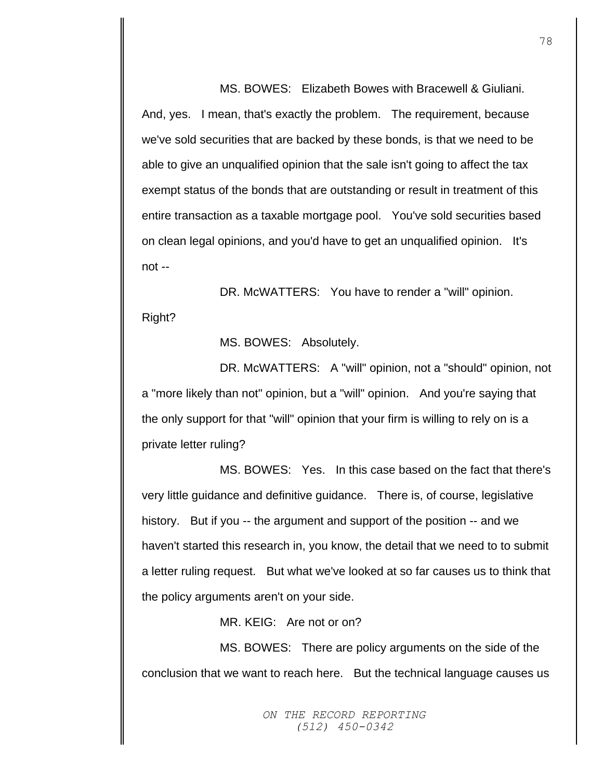MS. BOWES: Elizabeth Bowes with Bracewell & Giuliani. And, yes. I mean, that's exactly the problem. The requirement, because we've sold securities that are backed by these bonds, is that we need to be able to give an unqualified opinion that the sale isn't going to affect the tax exempt status of the bonds that are outstanding or result in treatment of this entire transaction as a taxable mortgage pool. You've sold securities based on clean legal opinions, and you'd have to get an unqualified opinion. It's not --

DR. McWATTERS: You have to render a "will" opinion. Right?

MS. BOWES: Absolutely.

DR. McWATTERS: A "will" opinion, not a "should" opinion, not a "more likely than not" opinion, but a "will" opinion. And you're saying that the only support for that "will" opinion that your firm is willing to rely on is a private letter ruling?

MS. BOWES: Yes. In this case based on the fact that there's very little guidance and definitive guidance. There is, of course, legislative history. But if you -- the argument and support of the position -- and we haven't started this research in, you know, the detail that we need to to submit a letter ruling request. But what we've looked at so far causes us to think that the policy arguments aren't on your side.

MR. KEIG: Are not or on?

MS. BOWES: There are policy arguments on the side of the conclusion that we want to reach here. But the technical language causes us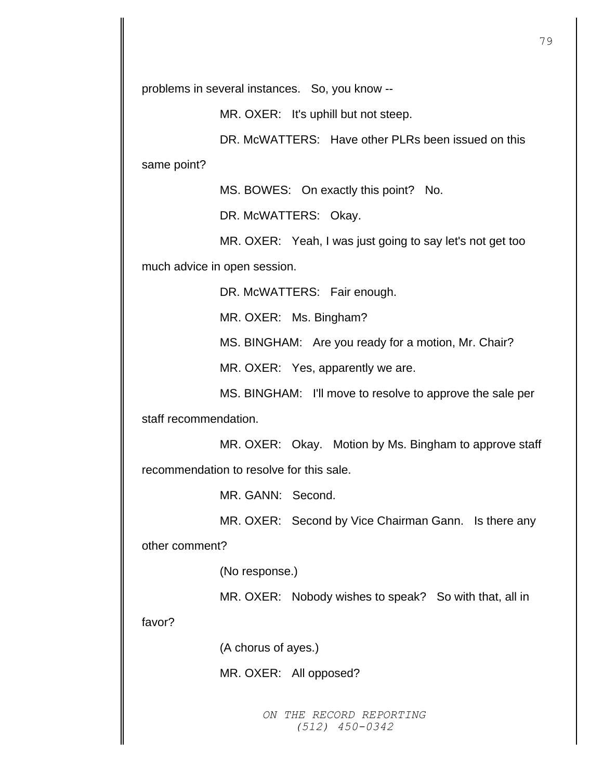problems in several instances. So, you know --

MR. OXER: It's uphill but not steep.

DR. McWATTERS: Have other PLRs been issued on this

same point?

MS. BOWES: On exactly this point? No.

DR. McWATTERS: Okay.

MR. OXER: Yeah, I was just going to say let's not get too much advice in open session.

DR. McWATTERS: Fair enough.

MR. OXER: Ms. Bingham?

MS. BINGHAM: Are you ready for a motion, Mr. Chair?

MR. OXER: Yes, apparently we are.

MS. BINGHAM: I'll move to resolve to approve the sale per

staff recommendation.

MR. OXER: Okay. Motion by Ms. Bingham to approve staff recommendation to resolve for this sale.

MR. GANN: Second.

MR. OXER: Second by Vice Chairman Gann. Is there any

other comment?

(No response.)

MR. OXER: Nobody wishes to speak? So with that, all in

favor?

(A chorus of ayes.)

MR. OXER: All opposed?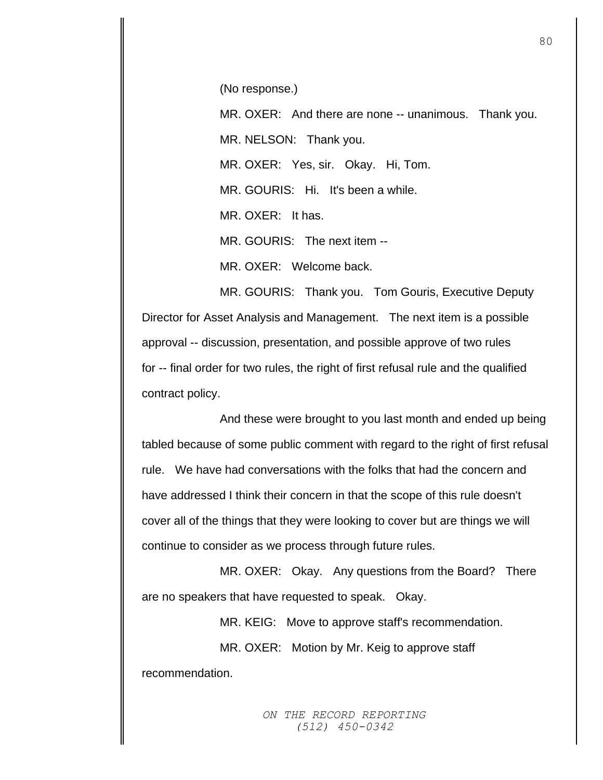(No response.)

MR. OXER: And there are none -- unanimous. Thank you. MR. NELSON: Thank you. MR. OXER: Yes, sir. Okay. Hi, Tom. MR. GOURIS: Hi. It's been a while. MR. OXER: It has.

MR. GOURIS: The next item --

MR. OXER: Welcome back.

MR. GOURIS: Thank you. Tom Gouris, Executive Deputy Director for Asset Analysis and Management. The next item is a possible approval -- discussion, presentation, and possible approve of two rules for -- final order for two rules, the right of first refusal rule and the qualified contract policy.

And these were brought to you last month and ended up being tabled because of some public comment with regard to the right of first refusal rule. We have had conversations with the folks that had the concern and have addressed I think their concern in that the scope of this rule doesn't cover all of the things that they were looking to cover but are things we will continue to consider as we process through future rules.

MR. OXER: Okay. Any questions from the Board? There are no speakers that have requested to speak. Okay.

MR. KEIG: Move to approve staff's recommendation.

MR. OXER: Motion by Mr. Keig to approve staff

recommendation.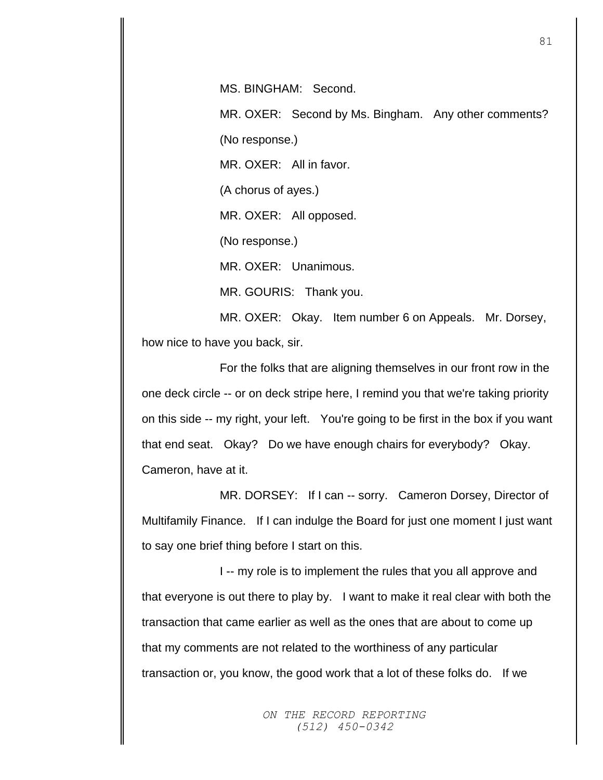MS. BINGHAM: Second.

MR. OXER: Second by Ms. Bingham. Any other comments? (No response.) MR. OXER: All in favor.

(A chorus of ayes.)

MR. OXER: All opposed.

(No response.)

MR. OXER: Unanimous.

MR. GOURIS: Thank you.

MR. OXER: Okay. Item number 6 on Appeals. Mr. Dorsey, how nice to have you back, sir.

For the folks that are aligning themselves in our front row in the one deck circle -- or on deck stripe here, I remind you that we're taking priority on this side -- my right, your left. You're going to be first in the box if you want that end seat. Okay? Do we have enough chairs for everybody? Okay. Cameron, have at it.

MR. DORSEY: If I can -- sorry. Cameron Dorsey, Director of Multifamily Finance. If I can indulge the Board for just one moment I just want to say one brief thing before I start on this.

I -- my role is to implement the rules that you all approve and that everyone is out there to play by. I want to make it real clear with both the transaction that came earlier as well as the ones that are about to come up that my comments are not related to the worthiness of any particular transaction or, you know, the good work that a lot of these folks do. If we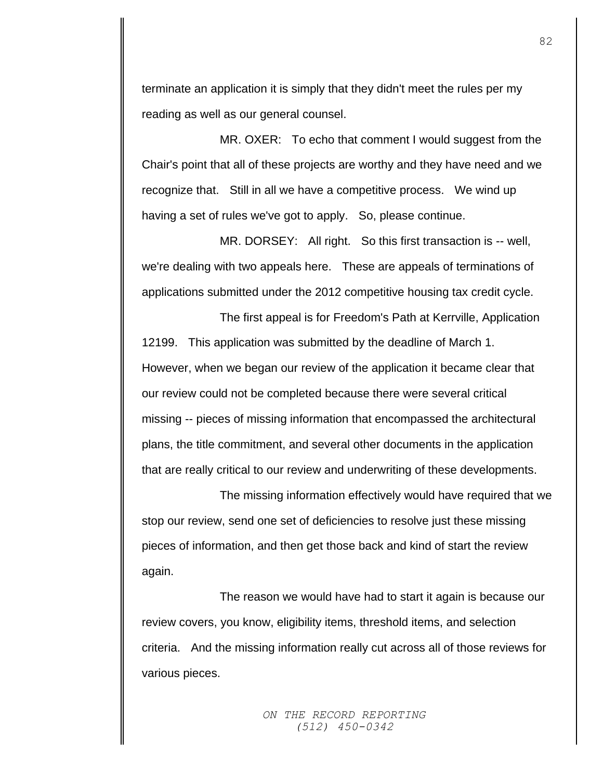terminate an application it is simply that they didn't meet the rules per my reading as well as our general counsel.

MR. OXER: To echo that comment I would suggest from the Chair's point that all of these projects are worthy and they have need and we recognize that. Still in all we have a competitive process. We wind up having a set of rules we've got to apply. So, please continue.

MR. DORSEY: All right. So this first transaction is -- well, we're dealing with two appeals here. These are appeals of terminations of applications submitted under the 2012 competitive housing tax credit cycle.

The first appeal is for Freedom's Path at Kerrville, Application 12199. This application was submitted by the deadline of March 1. However, when we began our review of the application it became clear that our review could not be completed because there were several critical missing -- pieces of missing information that encompassed the architectural plans, the title commitment, and several other documents in the application that are really critical to our review and underwriting of these developments.

The missing information effectively would have required that we stop our review, send one set of deficiencies to resolve just these missing pieces of information, and then get those back and kind of start the review again.

The reason we would have had to start it again is because our review covers, you know, eligibility items, threshold items, and selection criteria. And the missing information really cut across all of those reviews for various pieces.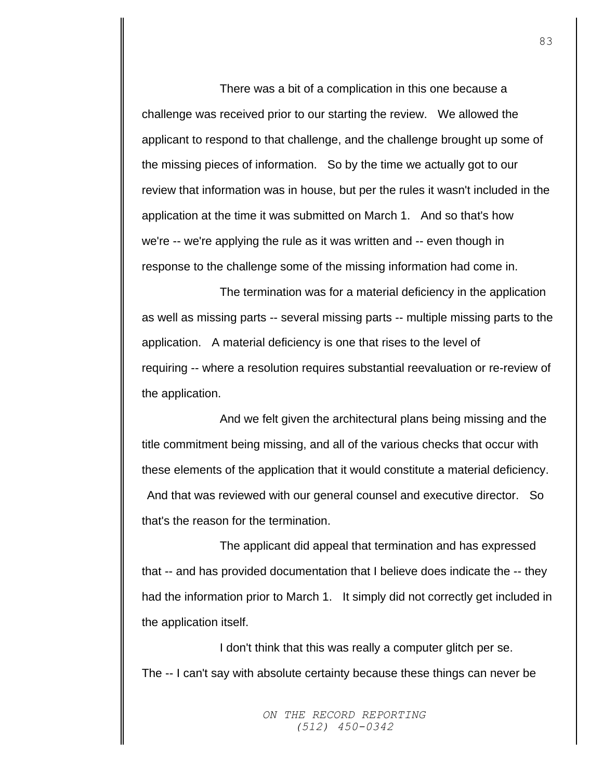There was a bit of a complication in this one because a challenge was received prior to our starting the review. We allowed the applicant to respond to that challenge, and the challenge brought up some of the missing pieces of information. So by the time we actually got to our review that information was in house, but per the rules it wasn't included in the application at the time it was submitted on March 1. And so that's how we're -- we're applying the rule as it was written and -- even though in response to the challenge some of the missing information had come in.

The termination was for a material deficiency in the application as well as missing parts -- several missing parts -- multiple missing parts to the application. A material deficiency is one that rises to the level of requiring -- where a resolution requires substantial reevaluation or re-review of the application.

And we felt given the architectural plans being missing and the title commitment being missing, and all of the various checks that occur with these elements of the application that it would constitute a material deficiency. And that was reviewed with our general counsel and executive director. So that's the reason for the termination.

The applicant did appeal that termination and has expressed that -- and has provided documentation that I believe does indicate the -- they had the information prior to March 1. It simply did not correctly get included in the application itself.

I don't think that this was really a computer glitch per se. The -- I can't say with absolute certainty because these things can never be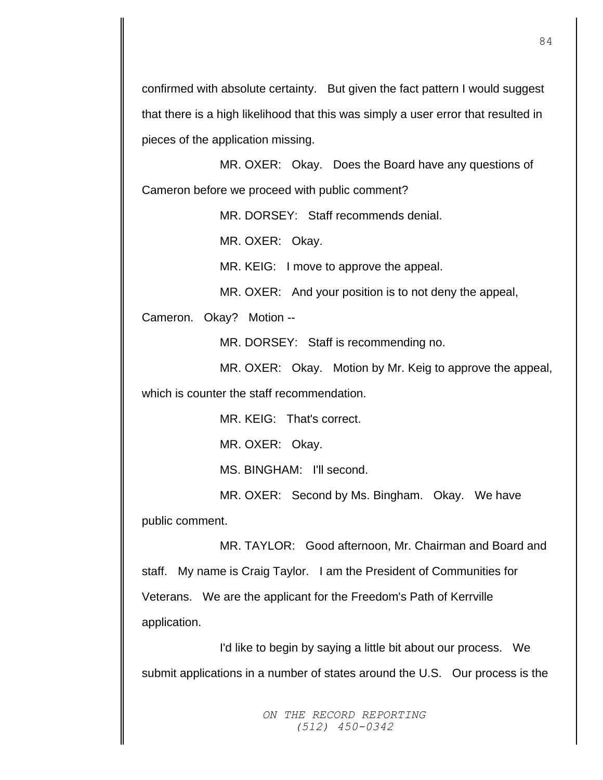confirmed with absolute certainty. But given the fact pattern I would suggest that there is a high likelihood that this was simply a user error that resulted in pieces of the application missing.

MR. OXER: Okay. Does the Board have any questions of Cameron before we proceed with public comment?

MR. DORSEY: Staff recommends denial.

MR. OXER: Okay.

MR. KEIG: I move to approve the appeal.

MR. OXER: And your position is to not deny the appeal,

Cameron. Okay? Motion --

MR. DORSEY: Staff is recommending no.

MR. OXER: Okay. Motion by Mr. Keig to approve the appeal, which is counter the staff recommendation.

MR. KEIG: That's correct.

MR. OXER: Okay.

MS. BINGHAM: I'll second.

MR. OXER: Second by Ms. Bingham. Okay. We have

public comment.

MR. TAYLOR: Good afternoon, Mr. Chairman and Board and staff. My name is Craig Taylor. I am the President of Communities for Veterans. We are the applicant for the Freedom's Path of Kerrville application.

I'd like to begin by saying a little bit about our process. We submit applications in a number of states around the U.S. Our process is the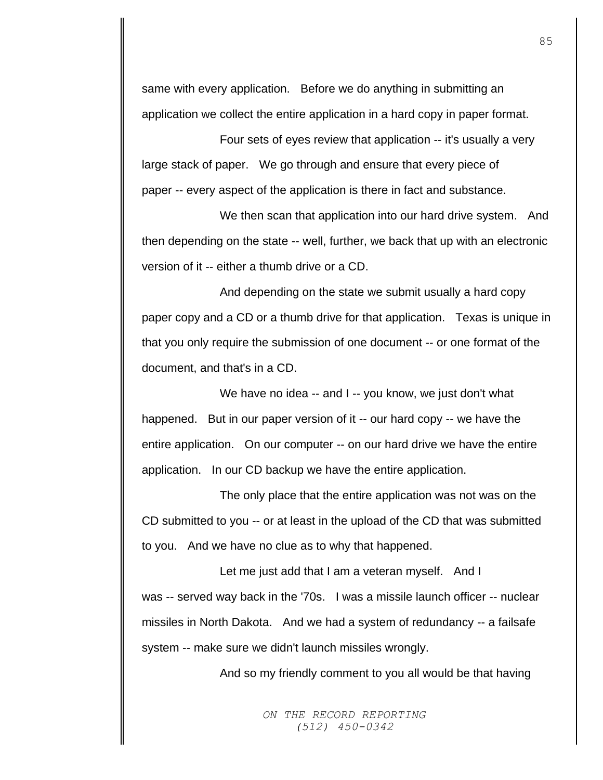same with every application. Before we do anything in submitting an application we collect the entire application in a hard copy in paper format.

Four sets of eyes review that application -- it's usually a very large stack of paper. We go through and ensure that every piece of paper -- every aspect of the application is there in fact and substance.

We then scan that application into our hard drive system. And then depending on the state -- well, further, we back that up with an electronic version of it -- either a thumb drive or a CD.

And depending on the state we submit usually a hard copy paper copy and a CD or a thumb drive for that application. Texas is unique in that you only require the submission of one document -- or one format of the document, and that's in a CD.

We have no idea -- and I -- you know, we just don't what happened. But in our paper version of it -- our hard copy -- we have the entire application. On our computer -- on our hard drive we have the entire application. In our CD backup we have the entire application.

The only place that the entire application was not was on the CD submitted to you -- or at least in the upload of the CD that was submitted to you. And we have no clue as to why that happened.

Let me just add that I am a veteran myself. And I was -- served way back in the '70s. I was a missile launch officer -- nuclear missiles in North Dakota. And we had a system of redundancy -- a failsafe system -- make sure we didn't launch missiles wrongly.

And so my friendly comment to you all would be that having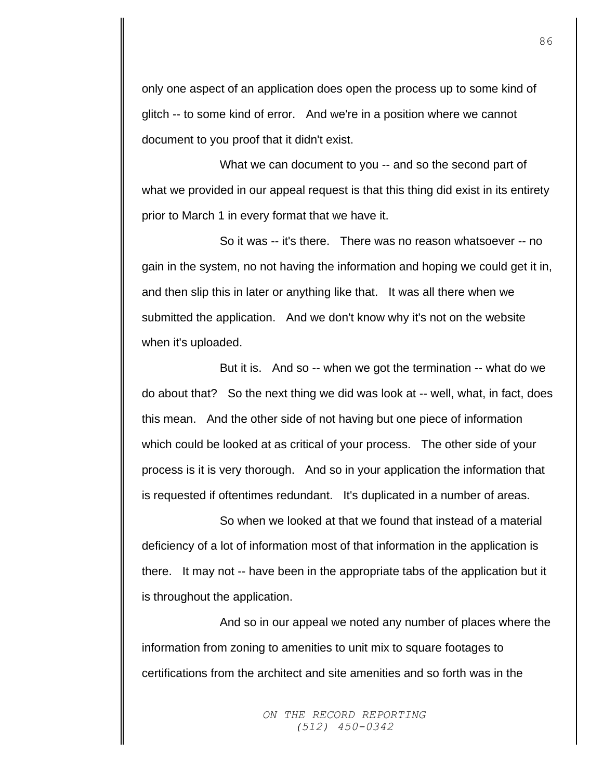only one aspect of an application does open the process up to some kind of glitch -- to some kind of error. And we're in a position where we cannot document to you proof that it didn't exist.

What we can document to you -- and so the second part of what we provided in our appeal request is that this thing did exist in its entirety prior to March 1 in every format that we have it.

So it was -- it's there. There was no reason whatsoever -- no gain in the system, no not having the information and hoping we could get it in, and then slip this in later or anything like that. It was all there when we submitted the application. And we don't know why it's not on the website when it's uploaded.

But it is. And so -- when we got the termination -- what do we do about that? So the next thing we did was look at -- well, what, in fact, does this mean. And the other side of not having but one piece of information which could be looked at as critical of your process. The other side of your process is it is very thorough. And so in your application the information that is requested if oftentimes redundant. It's duplicated in a number of areas.

So when we looked at that we found that instead of a material deficiency of a lot of information most of that information in the application is there. It may not -- have been in the appropriate tabs of the application but it is throughout the application.

And so in our appeal we noted any number of places where the information from zoning to amenities to unit mix to square footages to certifications from the architect and site amenities and so forth was in the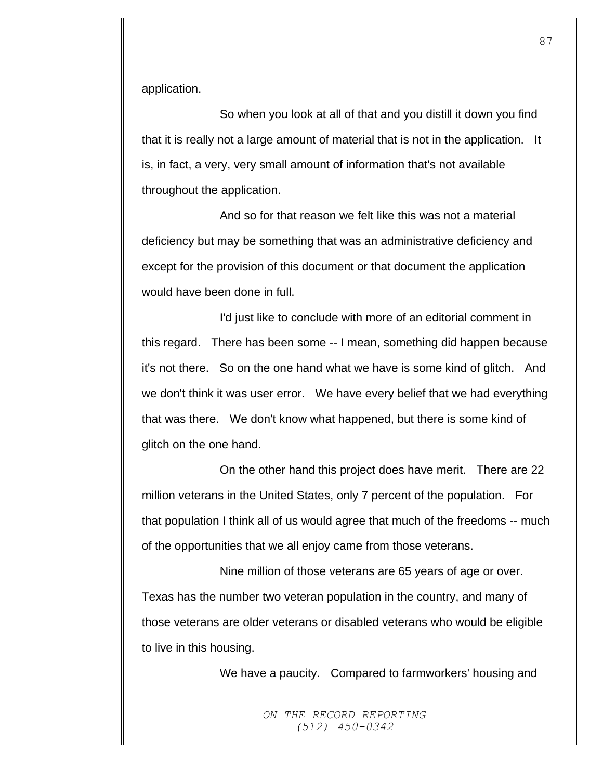application.

So when you look at all of that and you distill it down you find that it is really not a large amount of material that is not in the application. It is, in fact, a very, very small amount of information that's not available throughout the application.

And so for that reason we felt like this was not a material deficiency but may be something that was an administrative deficiency and except for the provision of this document or that document the application would have been done in full.

I'd just like to conclude with more of an editorial comment in this regard. There has been some -- I mean, something did happen because it's not there. So on the one hand what we have is some kind of glitch. And we don't think it was user error. We have every belief that we had everything that was there. We don't know what happened, but there is some kind of glitch on the one hand.

On the other hand this project does have merit. There are 22 million veterans in the United States, only 7 percent of the population. For that population I think all of us would agree that much of the freedoms -- much of the opportunities that we all enjoy came from those veterans.

Nine million of those veterans are 65 years of age or over. Texas has the number two veteran population in the country, and many of those veterans are older veterans or disabled veterans who would be eligible to live in this housing.

We have a paucity. Compared to farmworkers' housing and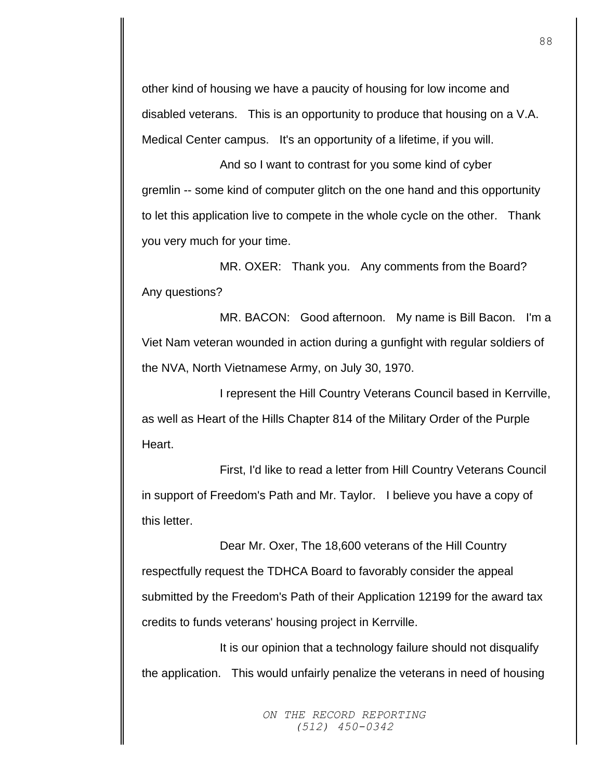other kind of housing we have a paucity of housing for low income and disabled veterans. This is an opportunity to produce that housing on a V.A. Medical Center campus. It's an opportunity of a lifetime, if you will.

And so I want to contrast for you some kind of cyber gremlin -- some kind of computer glitch on the one hand and this opportunity to let this application live to compete in the whole cycle on the other. Thank you very much for your time.

MR. OXER: Thank you. Any comments from the Board? Any questions?

MR. BACON: Good afternoon. My name is Bill Bacon. I'm a Viet Nam veteran wounded in action during a gunfight with regular soldiers of the NVA, North Vietnamese Army, on July 30, 1970.

I represent the Hill Country Veterans Council based in Kerrville, as well as Heart of the Hills Chapter 814 of the Military Order of the Purple Heart.

First, I'd like to read a letter from Hill Country Veterans Council in support of Freedom's Path and Mr. Taylor. I believe you have a copy of this letter.

Dear Mr. Oxer, The 18,600 veterans of the Hill Country respectfully request the TDHCA Board to favorably consider the appeal submitted by the Freedom's Path of their Application 12199 for the award tax credits to funds veterans' housing project in Kerrville.

It is our opinion that a technology failure should not disqualify the application. This would unfairly penalize the veterans in need of housing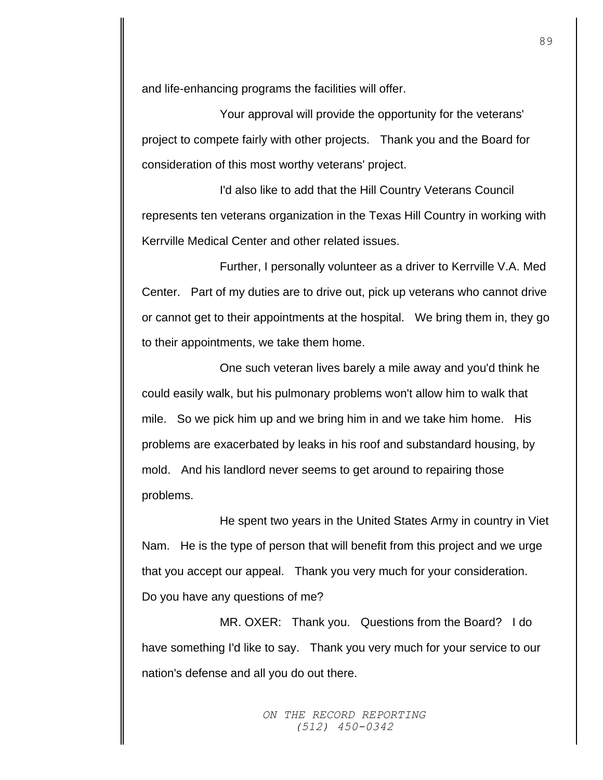and life-enhancing programs the facilities will offer.

Your approval will provide the opportunity for the veterans' project to compete fairly with other projects. Thank you and the Board for consideration of this most worthy veterans' project.

I'd also like to add that the Hill Country Veterans Council represents ten veterans organization in the Texas Hill Country in working with Kerrville Medical Center and other related issues.

Further, I personally volunteer as a driver to Kerrville V.A. Med Center. Part of my duties are to drive out, pick up veterans who cannot drive or cannot get to their appointments at the hospital. We bring them in, they go to their appointments, we take them home.

One such veteran lives barely a mile away and you'd think he could easily walk, but his pulmonary problems won't allow him to walk that mile. So we pick him up and we bring him in and we take him home. His problems are exacerbated by leaks in his roof and substandard housing, by mold. And his landlord never seems to get around to repairing those problems.

He spent two years in the United States Army in country in Viet Nam. He is the type of person that will benefit from this project and we urge that you accept our appeal. Thank you very much for your consideration. Do you have any questions of me?

MR. OXER: Thank you. Questions from the Board? I do have something I'd like to say. Thank you very much for your service to our nation's defense and all you do out there.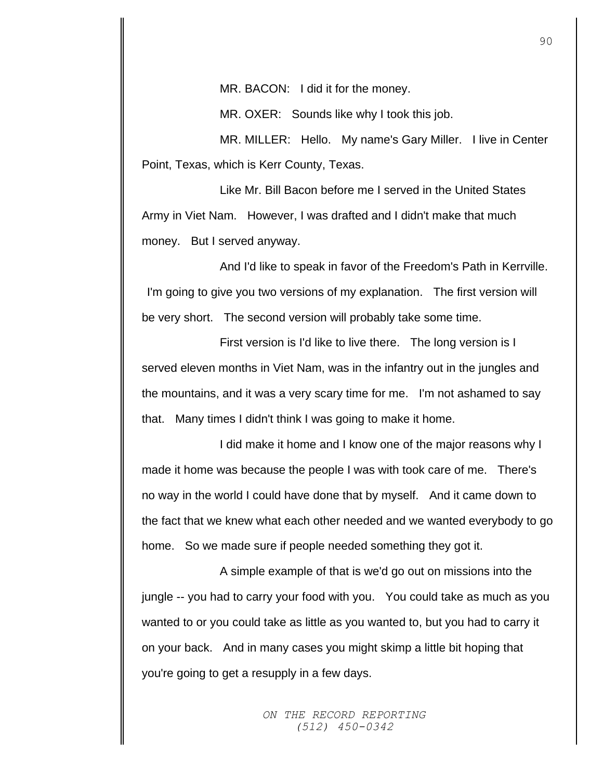MR. BACON: I did it for the money.

MR. OXER: Sounds like why I took this job.

MR. MILLER: Hello. My name's Gary Miller. I live in Center Point, Texas, which is Kerr County, Texas.

Like Mr. Bill Bacon before me I served in the United States Army in Viet Nam. However, I was drafted and I didn't make that much money. But I served anyway.

And I'd like to speak in favor of the Freedom's Path in Kerrville. I'm going to give you two versions of my explanation. The first version will be very short. The second version will probably take some time.

First version is I'd like to live there. The long version is I served eleven months in Viet Nam, was in the infantry out in the jungles and the mountains, and it was a very scary time for me. I'm not ashamed to say that. Many times I didn't think I was going to make it home.

I did make it home and I know one of the major reasons why I made it home was because the people I was with took care of me. There's no way in the world I could have done that by myself. And it came down to the fact that we knew what each other needed and we wanted everybody to go home. So we made sure if people needed something they got it.

A simple example of that is we'd go out on missions into the jungle -- you had to carry your food with you. You could take as much as you wanted to or you could take as little as you wanted to, but you had to carry it on your back. And in many cases you might skimp a little bit hoping that you're going to get a resupply in a few days.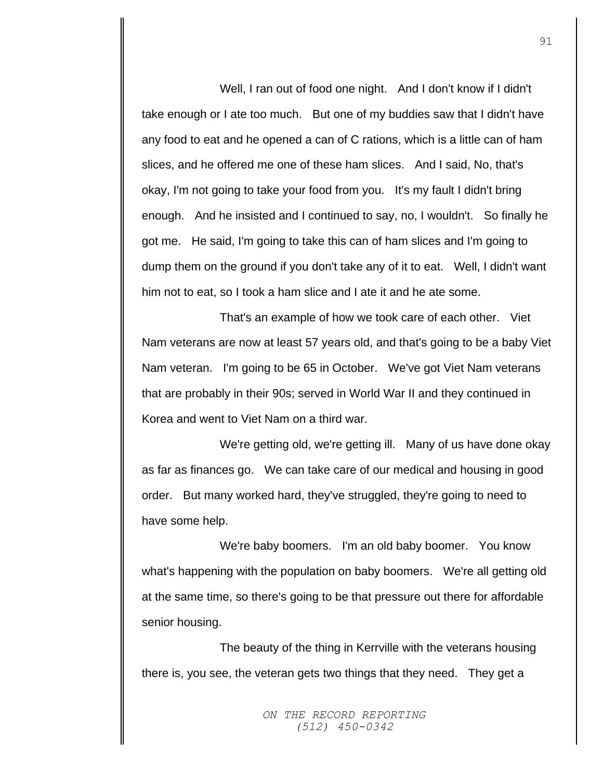Well, I ran out of food one night. And I don't know if I didn't take enough or I ate too much. But one of my buddies saw that I didn't have any food to eat and he opened a can of C rations, which is a little can of ham slices, and he offered me one of these ham slices. And I said, No, that's okay, I'm not going to take your food from you. It's my fault I didn't bring enough. And he insisted and I continued to say, no, I wouldn't. So finally he got me. He said, I'm going to take this can of ham slices and I'm going to dump them on the ground if you don't take any of it to eat. Well, I didn't want him not to eat, so I took a ham slice and I ate it and he ate some.

That's an example of how we took care of each other. Viet Nam veterans are now at least 57 years old, and that's going to be a baby Viet Nam veteran. I'm going to be 65 in October. We've got Viet Nam veterans that are probably in their 90s; served in World War II and they continued in Korea and went to Viet Nam on a third war.

We're getting old, we're getting ill. Many of us have done okay as far as finances go. We can take care of our medical and housing in good order. But many worked hard, they've struggled, they're going to need to have some help.

We're baby boomers. I'm an old baby boomer. You know what's happening with the population on baby boomers. We're all getting old at the same time, so there's going to be that pressure out there for affordable senior housing.

The beauty of the thing in Kerrville with the veterans housing there is, you see, the veteran gets two things that they need. They get a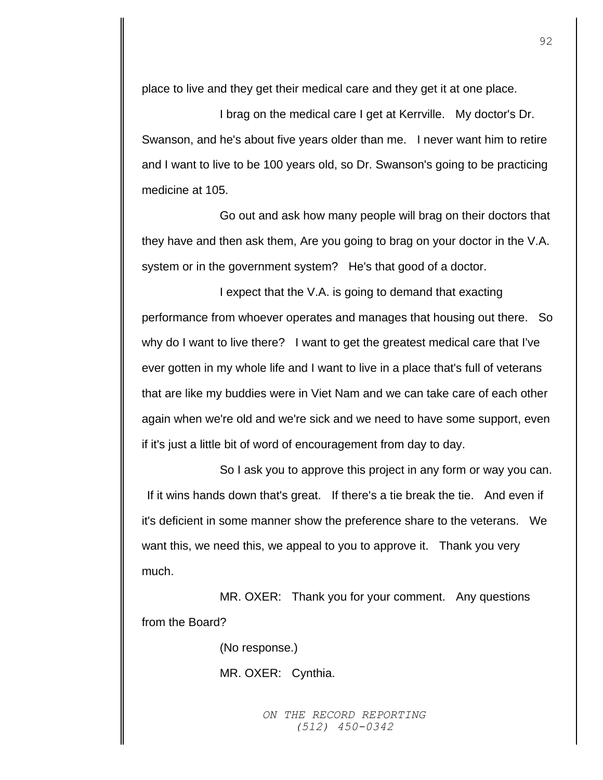place to live and they get their medical care and they get it at one place.

I brag on the medical care I get at Kerrville. My doctor's Dr. Swanson, and he's about five years older than me. I never want him to retire and I want to live to be 100 years old, so Dr. Swanson's going to be practicing medicine at 105.

Go out and ask how many people will brag on their doctors that they have and then ask them, Are you going to brag on your doctor in the V.A. system or in the government system? He's that good of a doctor.

I expect that the V.A. is going to demand that exacting performance from whoever operates and manages that housing out there. So why do I want to live there? I want to get the greatest medical care that I've ever gotten in my whole life and I want to live in a place that's full of veterans that are like my buddies were in Viet Nam and we can take care of each other again when we're old and we're sick and we need to have some support, even if it's just a little bit of word of encouragement from day to day.

So I ask you to approve this project in any form or way you can. If it wins hands down that's great. If there's a tie break the tie. And even if it's deficient in some manner show the preference share to the veterans. We want this, we need this, we appeal to you to approve it. Thank you very much.

MR. OXER: Thank you for your comment. Any questions from the Board?

(No response.)

MR. OXER: Cynthia.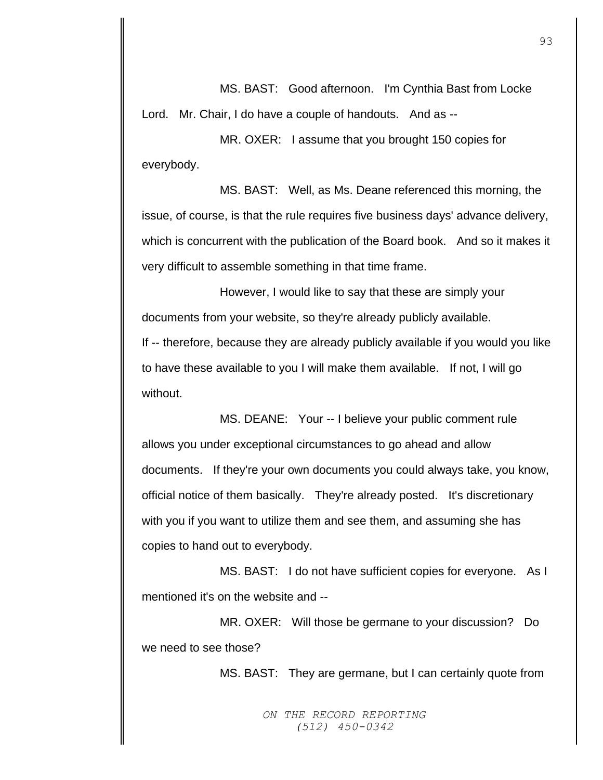MS. BAST: Good afternoon. I'm Cynthia Bast from Locke Lord. Mr. Chair, I do have a couple of handouts. And as --

MR. OXER: I assume that you brought 150 copies for everybody.

MS. BAST: Well, as Ms. Deane referenced this morning, the issue, of course, is that the rule requires five business days' advance delivery, which is concurrent with the publication of the Board book. And so it makes it very difficult to assemble something in that time frame.

However, I would like to say that these are simply your documents from your website, so they're already publicly available.

If -- therefore, because they are already publicly available if you would you like to have these available to you I will make them available. If not, I will go without.

MS. DEANE: Your -- I believe your public comment rule allows you under exceptional circumstances to go ahead and allow documents. If they're your own documents you could always take, you know, official notice of them basically. They're already posted. It's discretionary with you if you want to utilize them and see them, and assuming she has copies to hand out to everybody.

MS. BAST: I do not have sufficient copies for everyone. As I mentioned it's on the website and --

MR. OXER: Will those be germane to your discussion? Do we need to see those?

MS. BAST: They are germane, but I can certainly quote from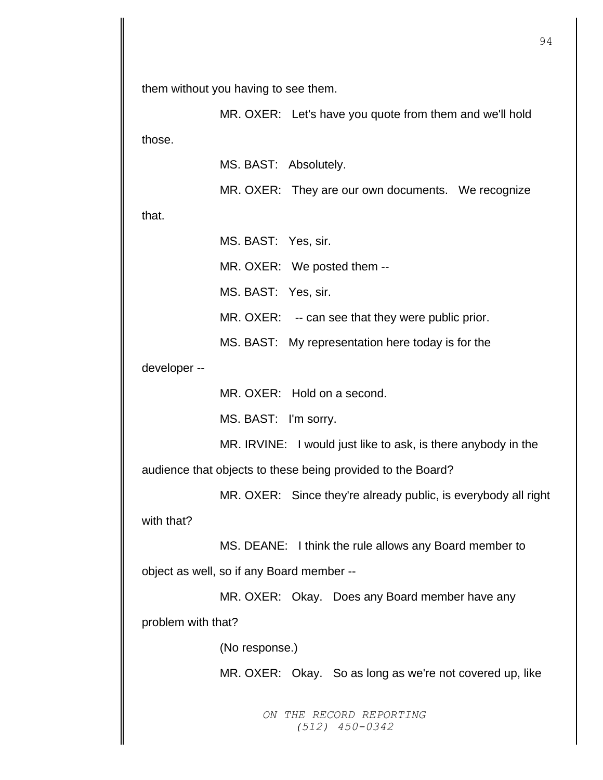them without you having to see them.

MR. OXER: Let's have you quote from them and we'll hold those.

MS. BAST: Absolutely.

MR. OXER: They are our own documents. We recognize

that.

MS. BAST: Yes, sir. MR. OXER: We posted them -- MS. BAST: Yes, sir. MR. OXER: -- can see that they were public prior. MS. BAST: My representation here today is for the

developer --

MR. OXER: Hold on a second.

MS. BAST: I'm sorry.

MR. IRVINE: I would just like to ask, is there anybody in the

audience that objects to these being provided to the Board?

MR. OXER: Since they're already public, is everybody all right with that?

MS. DEANE: I think the rule allows any Board member to object as well, so if any Board member --

MR. OXER: Okay. Does any Board member have any problem with that?

(No response.)

MR. OXER: Okay. So as long as we're not covered up, like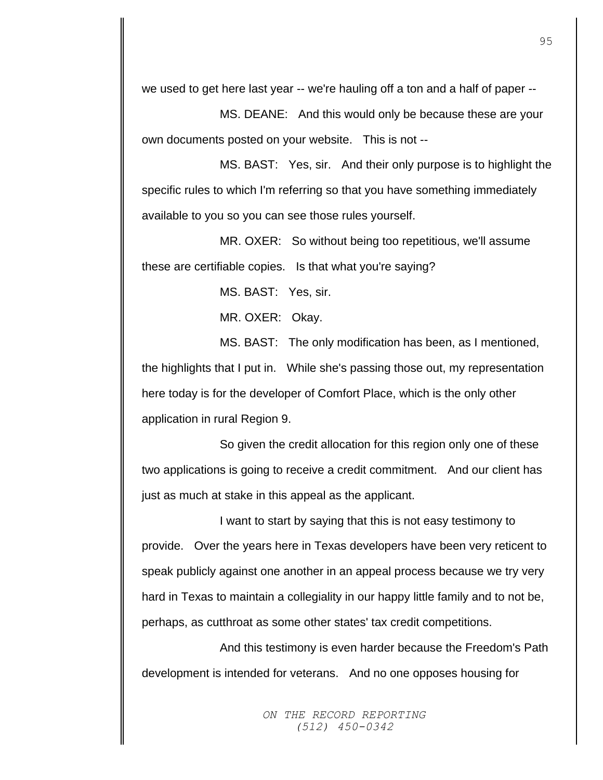we used to get here last year -- we're hauling off a ton and a half of paper --

MS. DEANE: And this would only be because these are your own documents posted on your website. This is not --

MS. BAST: Yes, sir. And their only purpose is to highlight the specific rules to which I'm referring so that you have something immediately available to you so you can see those rules yourself.

MR. OXER: So without being too repetitious, we'll assume these are certifiable copies. Is that what you're saying?

MS. BAST: Yes, sir.

MR. OXER: Okay.

MS. BAST: The only modification has been, as I mentioned, the highlights that I put in. While she's passing those out, my representation here today is for the developer of Comfort Place, which is the only other application in rural Region 9.

So given the credit allocation for this region only one of these two applications is going to receive a credit commitment. And our client has just as much at stake in this appeal as the applicant.

I want to start by saying that this is not easy testimony to provide. Over the years here in Texas developers have been very reticent to speak publicly against one another in an appeal process because we try very hard in Texas to maintain a collegiality in our happy little family and to not be, perhaps, as cutthroat as some other states' tax credit competitions.

And this testimony is even harder because the Freedom's Path development is intended for veterans. And no one opposes housing for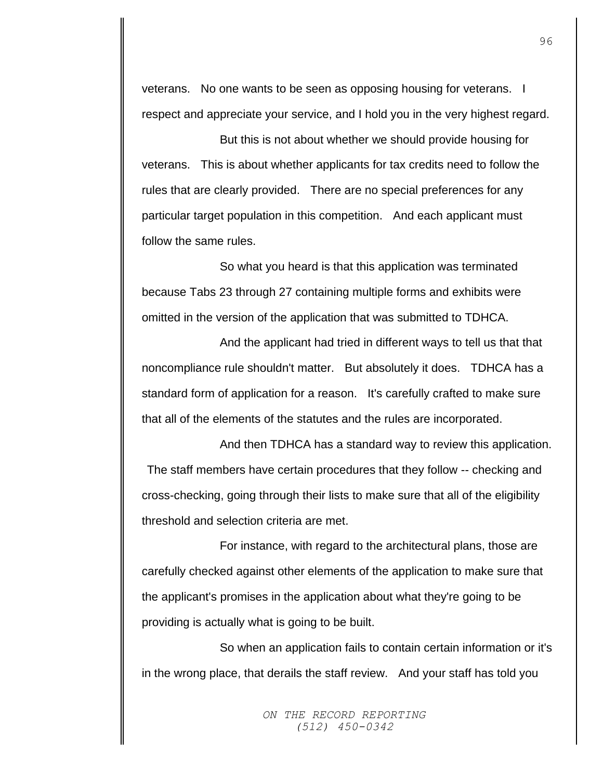veterans. No one wants to be seen as opposing housing for veterans. I respect and appreciate your service, and I hold you in the very highest regard.

But this is not about whether we should provide housing for veterans. This is about whether applicants for tax credits need to follow the rules that are clearly provided. There are no special preferences for any particular target population in this competition. And each applicant must follow the same rules.

So what you heard is that this application was terminated because Tabs 23 through 27 containing multiple forms and exhibits were omitted in the version of the application that was submitted to TDHCA.

And the applicant had tried in different ways to tell us that that noncompliance rule shouldn't matter. But absolutely it does. TDHCA has a standard form of application for a reason. It's carefully crafted to make sure that all of the elements of the statutes and the rules are incorporated.

And then TDHCA has a standard way to review this application. The staff members have certain procedures that they follow -- checking and cross-checking, going through their lists to make sure that all of the eligibility threshold and selection criteria are met.

For instance, with regard to the architectural plans, those are carefully checked against other elements of the application to make sure that the applicant's promises in the application about what they're going to be providing is actually what is going to be built.

So when an application fails to contain certain information or it's in the wrong place, that derails the staff review. And your staff has told you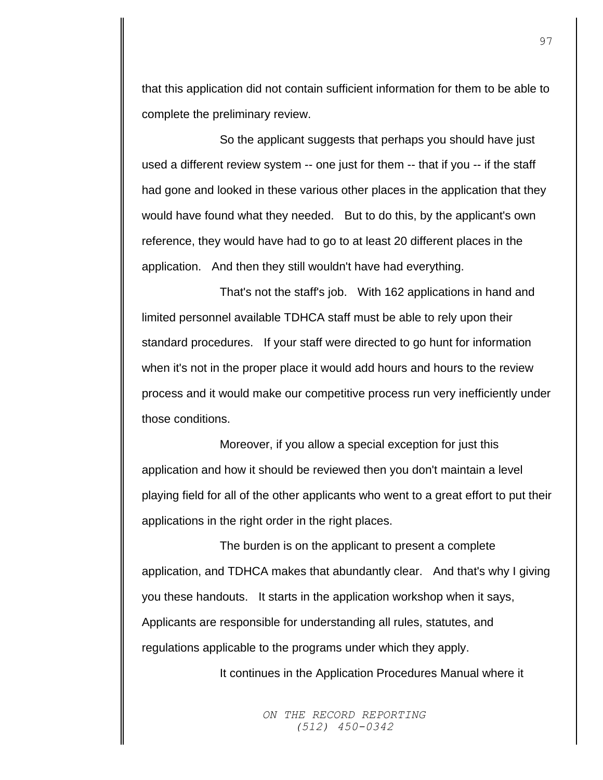that this application did not contain sufficient information for them to be able to complete the preliminary review.

So the applicant suggests that perhaps you should have just used a different review system -- one just for them -- that if you -- if the staff had gone and looked in these various other places in the application that they would have found what they needed. But to do this, by the applicant's own reference, they would have had to go to at least 20 different places in the application. And then they still wouldn't have had everything.

That's not the staff's job. With 162 applications in hand and limited personnel available TDHCA staff must be able to rely upon their standard procedures. If your staff were directed to go hunt for information when it's not in the proper place it would add hours and hours to the review process and it would make our competitive process run very inefficiently under those conditions.

Moreover, if you allow a special exception for just this application and how it should be reviewed then you don't maintain a level playing field for all of the other applicants who went to a great effort to put their applications in the right order in the right places.

The burden is on the applicant to present a complete application, and TDHCA makes that abundantly clear. And that's why I giving you these handouts. It starts in the application workshop when it says, Applicants are responsible for understanding all rules, statutes, and regulations applicable to the programs under which they apply.

It continues in the Application Procedures Manual where it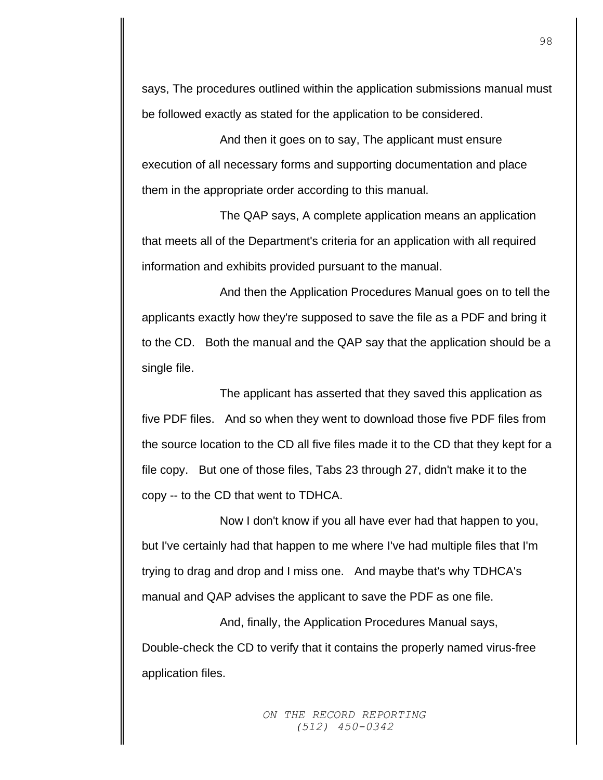says, The procedures outlined within the application submissions manual must be followed exactly as stated for the application to be considered.

And then it goes on to say, The applicant must ensure execution of all necessary forms and supporting documentation and place them in the appropriate order according to this manual.

The QAP says, A complete application means an application that meets all of the Department's criteria for an application with all required information and exhibits provided pursuant to the manual.

And then the Application Procedures Manual goes on to tell the applicants exactly how they're supposed to save the file as a PDF and bring it to the CD. Both the manual and the QAP say that the application should be a single file.

The applicant has asserted that they saved this application as five PDF files. And so when they went to download those five PDF files from the source location to the CD all five files made it to the CD that they kept for a file copy. But one of those files, Tabs 23 through 27, didn't make it to the copy -- to the CD that went to TDHCA.

Now I don't know if you all have ever had that happen to you, but I've certainly had that happen to me where I've had multiple files that I'm trying to drag and drop and I miss one. And maybe that's why TDHCA's manual and QAP advises the applicant to save the PDF as one file.

And, finally, the Application Procedures Manual says, Double-check the CD to verify that it contains the properly named virus-free application files.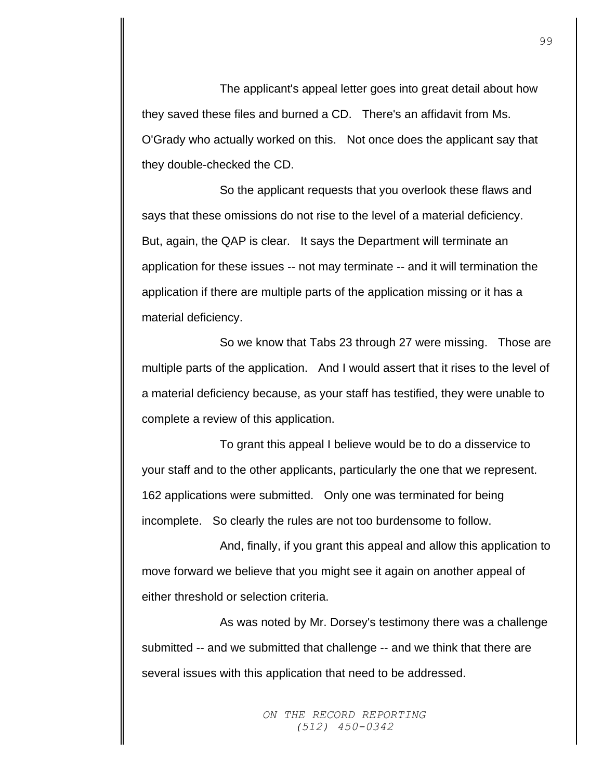The applicant's appeal letter goes into great detail about how they saved these files and burned a CD. There's an affidavit from Ms. O'Grady who actually worked on this. Not once does the applicant say that they double-checked the CD.

So the applicant requests that you overlook these flaws and says that these omissions do not rise to the level of a material deficiency. But, again, the QAP is clear. It says the Department will terminate an application for these issues -- not may terminate -- and it will termination the application if there are multiple parts of the application missing or it has a material deficiency.

So we know that Tabs 23 through 27 were missing. Those are multiple parts of the application. And I would assert that it rises to the level of a material deficiency because, as your staff has testified, they were unable to complete a review of this application.

To grant this appeal I believe would be to do a disservice to your staff and to the other applicants, particularly the one that we represent. 162 applications were submitted. Only one was terminated for being incomplete. So clearly the rules are not too burdensome to follow.

And, finally, if you grant this appeal and allow this application to move forward we believe that you might see it again on another appeal of either threshold or selection criteria.

As was noted by Mr. Dorsey's testimony there was a challenge submitted -- and we submitted that challenge -- and we think that there are several issues with this application that need to be addressed.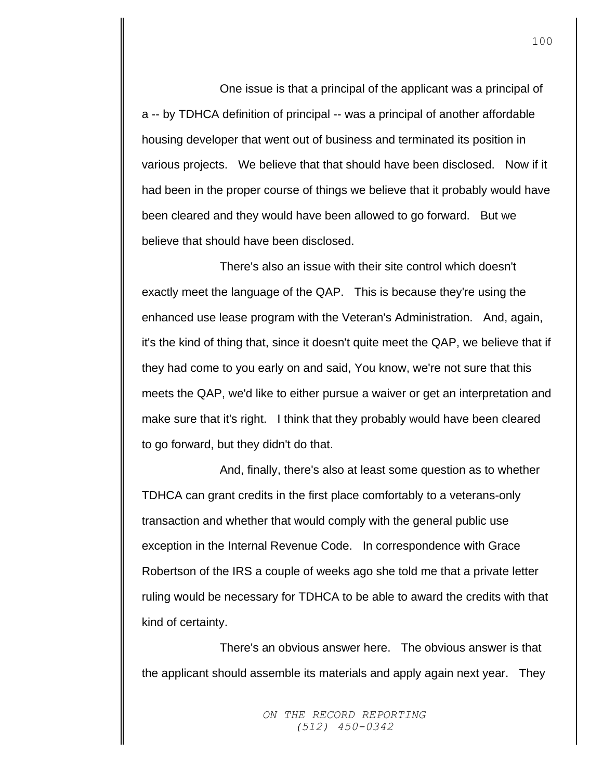One issue is that a principal of the applicant was a principal of a -- by TDHCA definition of principal -- was a principal of another affordable housing developer that went out of business and terminated its position in various projects. We believe that that should have been disclosed. Now if it had been in the proper course of things we believe that it probably would have been cleared and they would have been allowed to go forward. But we believe that should have been disclosed.

There's also an issue with their site control which doesn't exactly meet the language of the QAP. This is because they're using the enhanced use lease program with the Veteran's Administration. And, again, it's the kind of thing that, since it doesn't quite meet the QAP, we believe that if they had come to you early on and said, You know, we're not sure that this meets the QAP, we'd like to either pursue a waiver or get an interpretation and make sure that it's right. I think that they probably would have been cleared to go forward, but they didn't do that.

And, finally, there's also at least some question as to whether TDHCA can grant credits in the first place comfortably to a veterans-only transaction and whether that would comply with the general public use exception in the Internal Revenue Code. In correspondence with Grace Robertson of the IRS a couple of weeks ago she told me that a private letter ruling would be necessary for TDHCA to be able to award the credits with that kind of certainty.

There's an obvious answer here. The obvious answer is that the applicant should assemble its materials and apply again next year. They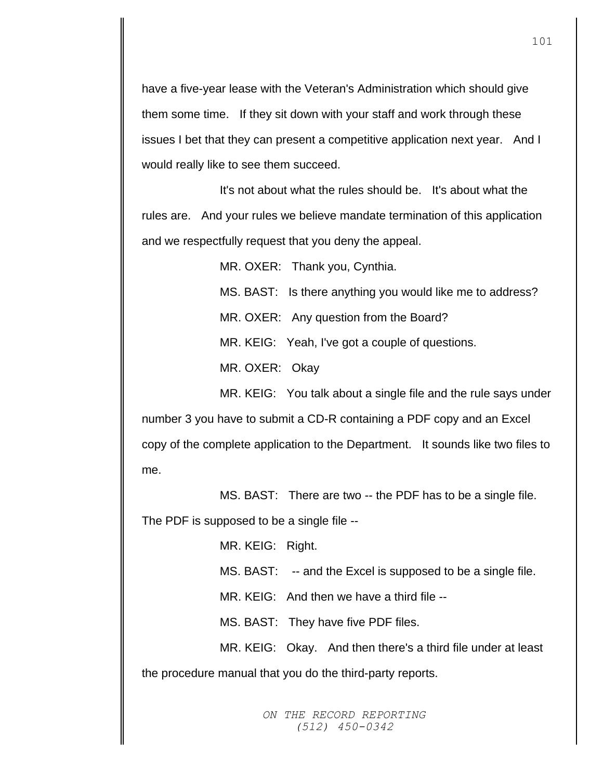have a five-year lease with the Veteran's Administration which should give them some time. If they sit down with your staff and work through these issues I bet that they can present a competitive application next year. And I would really like to see them succeed.

It's not about what the rules should be. It's about what the rules are. And your rules we believe mandate termination of this application and we respectfully request that you deny the appeal.

MR. OXER: Thank you, Cynthia.

MS. BAST: Is there anything you would like me to address?

MR. OXER: Any question from the Board?

MR. KEIG: Yeah, I've got a couple of questions.

MR. OXER: Okay

MR. KEIG: You talk about a single file and the rule says under

number 3 you have to submit a CD-R containing a PDF copy and an Excel copy of the complete application to the Department. It sounds like two files to me.

MS. BAST: There are two -- the PDF has to be a single file.

The PDF is supposed to be a single file --

MR. KEIG: Right.

MS. BAST: -- and the Excel is supposed to be a single file.

MR. KEIG: And then we have a third file --

MS. BAST: They have five PDF files.

MR. KEIG: Okay. And then there's a third file under at least

the procedure manual that you do the third-party reports.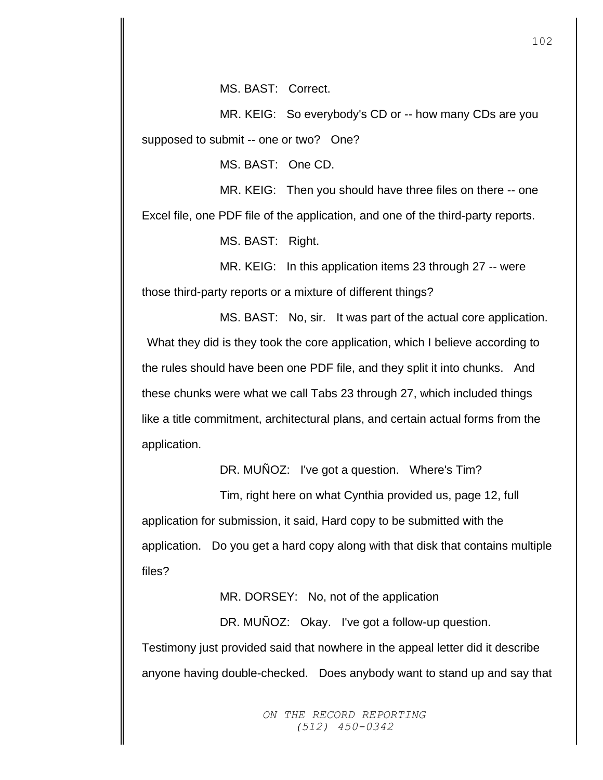MS. BAST: Correct.

MR. KEIG: So everybody's CD or -- how many CDs are you supposed to submit -- one or two? One?

MS. BAST: One CD.

MR. KEIG: Then you should have three files on there -- one Excel file, one PDF file of the application, and one of the third-party reports.

MS. BAST: Right.

MR. KEIG: In this application items 23 through 27 -- were those third-party reports or a mixture of different things?

MS. BAST: No, sir. It was part of the actual core application. What they did is they took the core application, which I believe according to the rules should have been one PDF file, and they split it into chunks. And these chunks were what we call Tabs 23 through 27, which included things like a title commitment, architectural plans, and certain actual forms from the application.

DR. MUÑOZ: I've got a question. Where's Tim?

Tim, right here on what Cynthia provided us, page 12, full application for submission, it said, Hard copy to be submitted with the application. Do you get a hard copy along with that disk that contains multiple files?

MR. DORSEY: No, not of the application

DR. MUÑOZ: Okay. I've got a follow-up question. Testimony just provided said that nowhere in the appeal letter did it describe anyone having double-checked. Does anybody want to stand up and say that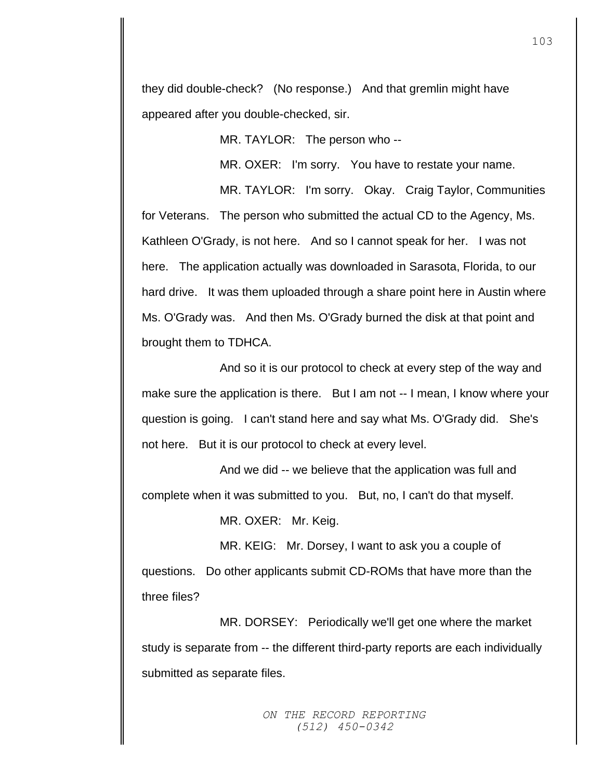they did double-check? (No response.) And that gremlin might have appeared after you double-checked, sir.

MR. TAYLOR: The person who --

MR. OXER: I'm sorry. You have to restate your name.

MR. TAYLOR: I'm sorry. Okay. Craig Taylor, Communities for Veterans. The person who submitted the actual CD to the Agency, Ms. Kathleen O'Grady, is not here. And so I cannot speak for her. I was not here. The application actually was downloaded in Sarasota, Florida, to our hard drive. It was them uploaded through a share point here in Austin where Ms. O'Grady was. And then Ms. O'Grady burned the disk at that point and brought them to TDHCA.

And so it is our protocol to check at every step of the way and make sure the application is there. But I am not -- I mean, I know where your question is going. I can't stand here and say what Ms. O'Grady did. She's not here. But it is our protocol to check at every level.

And we did -- we believe that the application was full and complete when it was submitted to you. But, no, I can't do that myself.

MR. OXER: Mr. Keig.

MR. KEIG: Mr. Dorsey, I want to ask you a couple of questions. Do other applicants submit CD-ROMs that have more than the three files?

MR. DORSEY: Periodically we'll get one where the market study is separate from -- the different third-party reports are each individually submitted as separate files.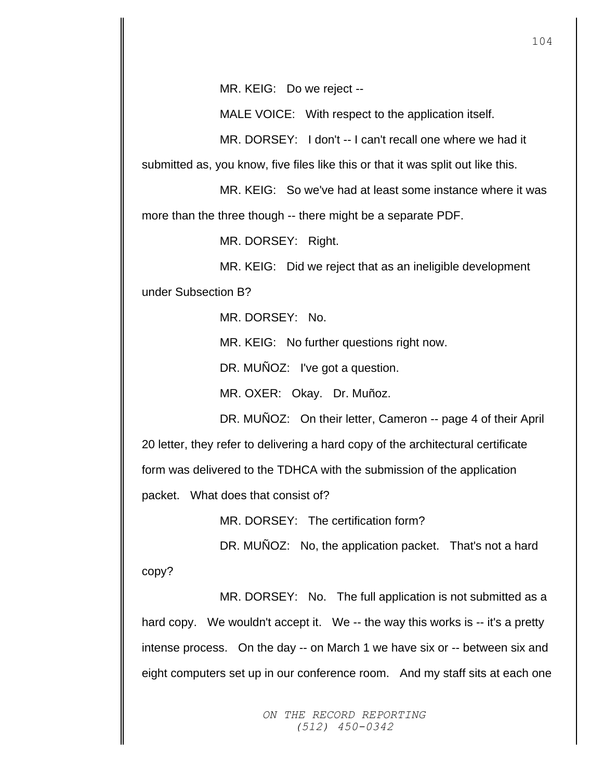MR. KEIG: Do we reject --

MALE VOICE: With respect to the application itself.

MR. DORSEY: I don't -- I can't recall one where we had it

submitted as, you know, five files like this or that it was split out like this.

MR. KEIG: So we've had at least some instance where it was

more than the three though -- there might be a separate PDF.

MR. DORSEY: Right.

MR. KEIG: Did we reject that as an ineligible development

under Subsection B?

MR. DORSEY: No.

MR. KEIG: No further questions right now.

DR. MUÑOZ: I've got a question.

MR. OXER: Okay. Dr. Muñoz.

DR. MUÑOZ: On their letter, Cameron -- page 4 of their April 20 letter, they refer to delivering a hard copy of the architectural certificate form was delivered to the TDHCA with the submission of the application packet. What does that consist of?

MR. DORSEY: The certification form?

DR. MUNOZ: No, the application packet. That's not a hard copy?

MR. DORSEY: No. The full application is not submitted as a hard copy. We wouldn't accept it. We -- the way this works is -- it's a pretty intense process. On the day -- on March 1 we have six or -- between six and eight computers set up in our conference room. And my staff sits at each one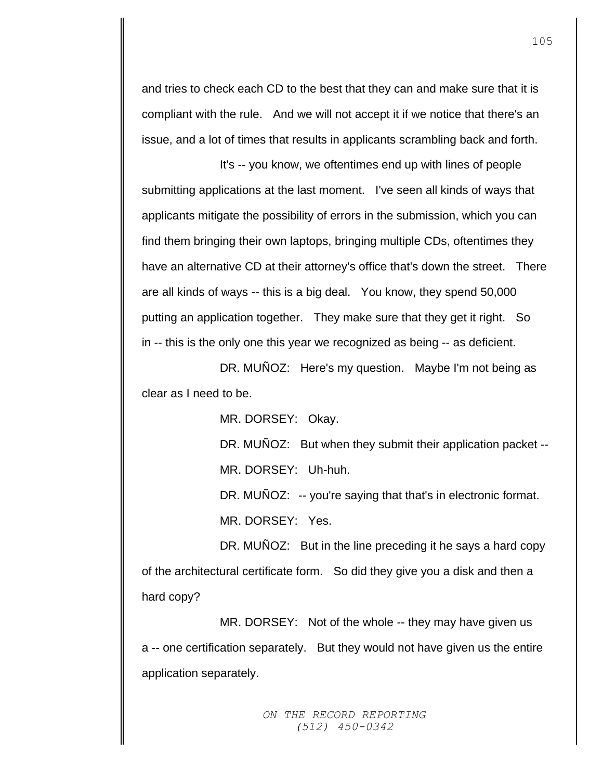and tries to check each CD to the best that they can and make sure that it is compliant with the rule. And we will not accept it if we notice that there's an issue, and a lot of times that results in applicants scrambling back and forth.

It's -- you know, we oftentimes end up with lines of people submitting applications at the last moment. I've seen all kinds of ways that applicants mitigate the possibility of errors in the submission, which you can find them bringing their own laptops, bringing multiple CDs, oftentimes they have an alternative CD at their attorney's office that's down the street. There are all kinds of ways -- this is a big deal. You know, they spend 50,000 putting an application together. They make sure that they get it right. So in -- this is the only one this year we recognized as being -- as deficient.

DR. MUÑOZ: Here's my question. Maybe I'm not being as clear as I need to be.

MR. DORSEY: Okay.

DR. MUÑOZ: But when they submit their application packet --MR. DORSEY: Uh-huh.

DR. MUNOZ: -- you're saying that that's in electronic format. MR. DORSEY: Yes.

DR. MUÑOZ: But in the line preceding it he says a hard copy of the architectural certificate form. So did they give you a disk and then a hard copy?

MR. DORSEY: Not of the whole -- they may have given us a -- one certification separately. But they would not have given us the entire application separately.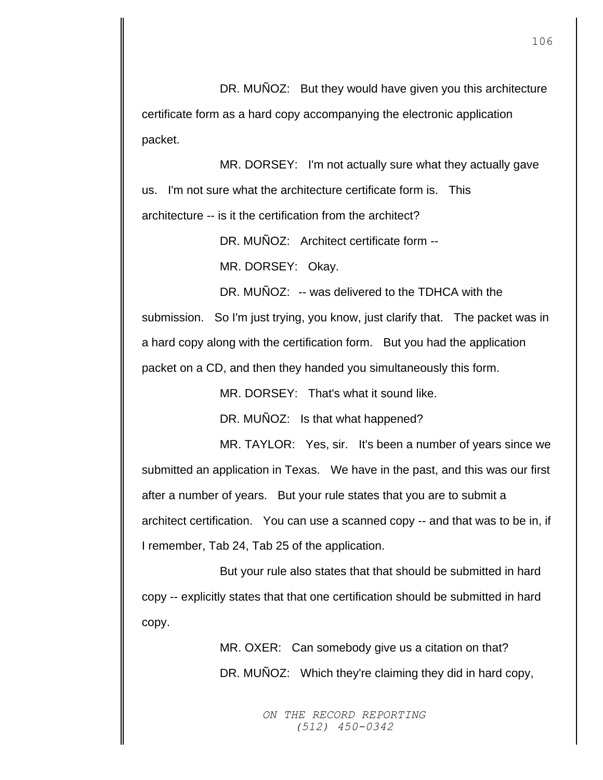DR. MUNOZ: But they would have given you this architecture certificate form as a hard copy accompanying the electronic application packet.

MR. DORSEY: I'm not actually sure what they actually gave us. I'm not sure what the architecture certificate form is. This architecture -- is it the certification from the architect?

DR. MUÑOZ: Architect certificate form --

MR. DORSEY: Okay.

DR. MUÑOZ: -- was delivered to the TDHCA with the submission. So I'm just trying, you know, just clarify that. The packet was in a hard copy along with the certification form. But you had the application packet on a CD, and then they handed you simultaneously this form.

MR. DORSEY: That's what it sound like.

DR. MUÑOZ: Is that what happened?

MR. TAYLOR: Yes, sir. It's been a number of years since we submitted an application in Texas. We have in the past, and this was our first after a number of years. But your rule states that you are to submit a architect certification. You can use a scanned copy -- and that was to be in, if I remember, Tab 24, Tab 25 of the application.

But your rule also states that that should be submitted in hard copy -- explicitly states that that one certification should be submitted in hard copy.

> MR. OXER: Can somebody give us a citation on that? DR. MUÑOZ: Which they're claiming they did in hard copy,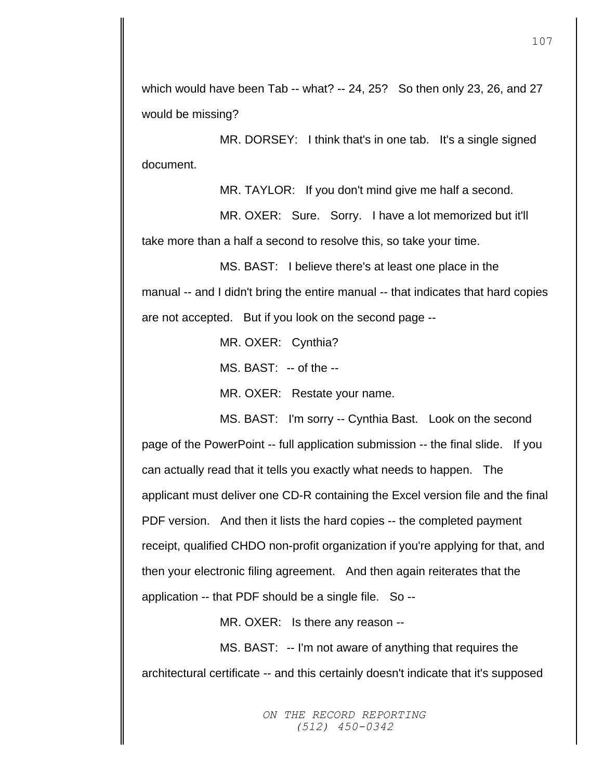which would have been Tab -- what? -- 24, 25? So then only 23, 26, and 27 would be missing?

MR. DORSEY: I think that's in one tab. It's a single signed document.

MR. TAYLOR: If you don't mind give me half a second.

MR. OXER: Sure. Sorry. I have a lot memorized but it'll take more than a half a second to resolve this, so take your time.

MS. BAST: I believe there's at least one place in the manual -- and I didn't bring the entire manual -- that indicates that hard copies are not accepted. But if you look on the second page --

MR. OXER: Cynthia?

MS. BAST: -- of the --

MR. OXER: Restate your name.

MS. BAST: I'm sorry -- Cynthia Bast. Look on the second page of the PowerPoint -- full application submission -- the final slide. If you can actually read that it tells you exactly what needs to happen. The applicant must deliver one CD-R containing the Excel version file and the final

PDF version. And then it lists the hard copies -- the completed payment receipt, qualified CHDO non-profit organization if you're applying for that, and then your electronic filing agreement. And then again reiterates that the application -- that PDF should be a single file. So --

MR. OXER: Is there any reason --

MS. BAST: -- I'm not aware of anything that requires the architectural certificate -- and this certainly doesn't indicate that it's supposed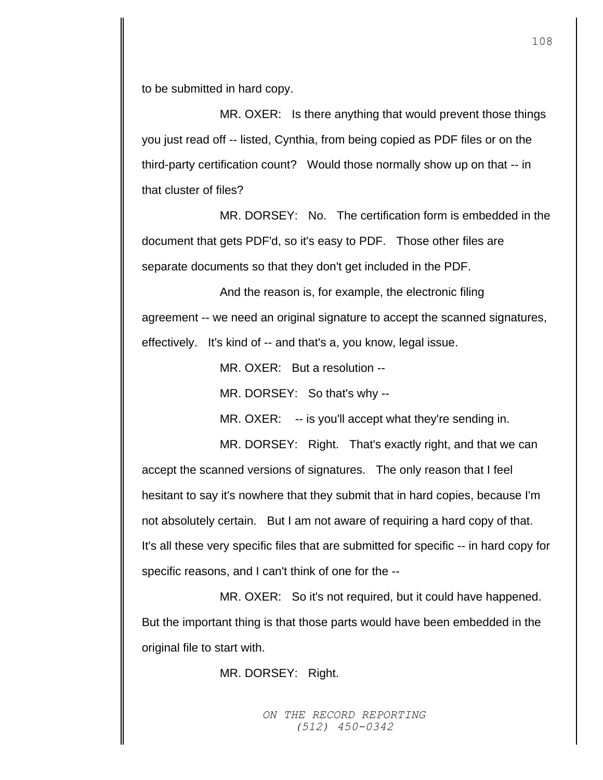to be submitted in hard copy.

MR. OXER: Is there anything that would prevent those things you just read off -- listed, Cynthia, from being copied as PDF files or on the third-party certification count? Would those normally show up on that -- in that cluster of files?

MR. DORSEY: No. The certification form is embedded in the document that gets PDF'd, so it's easy to PDF. Those other files are separate documents so that they don't get included in the PDF.

And the reason is, for example, the electronic filing agreement -- we need an original signature to accept the scanned signatures, effectively. It's kind of -- and that's a, you know, legal issue.

MR. OXER: But a resolution --

MR. DORSEY: So that's why --

MR. OXER: -- is you'll accept what they're sending in.

MR. DORSEY: Right. That's exactly right, and that we can accept the scanned versions of signatures. The only reason that I feel hesitant to say it's nowhere that they submit that in hard copies, because I'm not absolutely certain. But I am not aware of requiring a hard copy of that. It's all these very specific files that are submitted for specific -- in hard copy for specific reasons, and I can't think of one for the --

MR. OXER: So it's not required, but it could have happened. But the important thing is that those parts would have been embedded in the original file to start with.

MR. DORSEY: Right.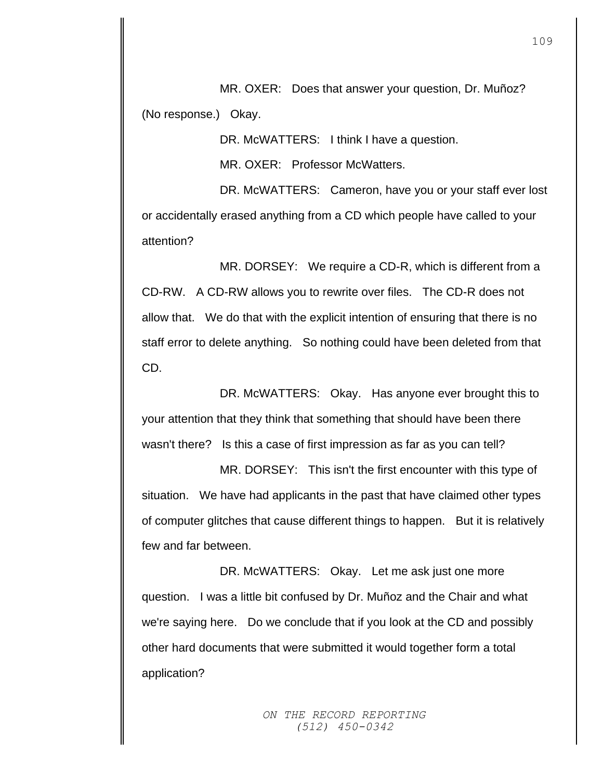MR. OXER: Does that answer your question, Dr. Muñoz? (No response.) Okay.

DR. McWATTERS: I think I have a question.

MR. OXER: Professor McWatters.

DR. McWATTERS: Cameron, have you or your staff ever lost or accidentally erased anything from a CD which people have called to your attention?

MR. DORSEY: We require a CD-R, which is different from a CD-RW. A CD-RW allows you to rewrite over files. The CD-R does not allow that. We do that with the explicit intention of ensuring that there is no staff error to delete anything. So nothing could have been deleted from that CD.

DR. McWATTERS: Okay. Has anyone ever brought this to your attention that they think that something that should have been there wasn't there? Is this a case of first impression as far as you can tell?

MR. DORSEY: This isn't the first encounter with this type of situation. We have had applicants in the past that have claimed other types of computer glitches that cause different things to happen. But it is relatively few and far between.

DR. McWATTERS: Okay. Let me ask just one more question. I was a little bit confused by Dr. Muñoz and the Chair and what we're saying here. Do we conclude that if you look at the CD and possibly other hard documents that were submitted it would together form a total application?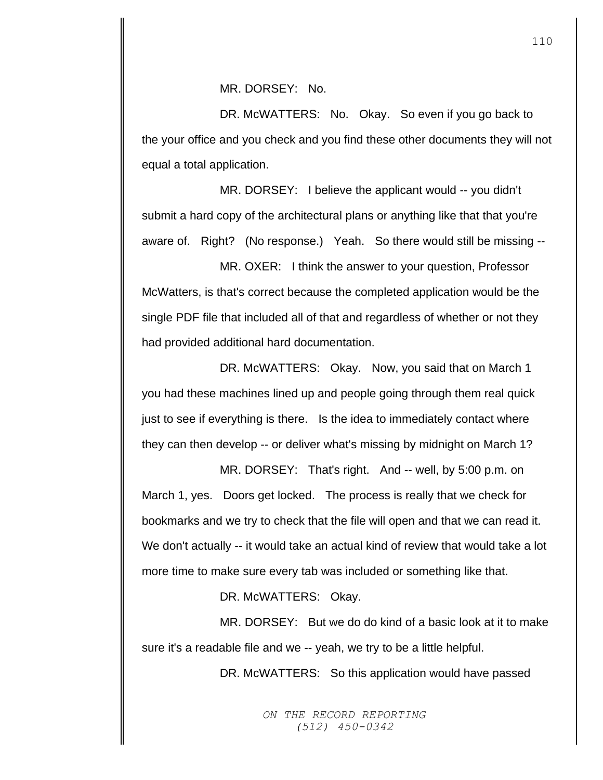DR. McWATTERS: No. Okay. So even if you go back to the your office and you check and you find these other documents they will not equal a total application.

MR. DORSEY: I believe the applicant would -- you didn't submit a hard copy of the architectural plans or anything like that that you're aware of. Right? (No response.) Yeah. So there would still be missing --

MR. OXER: I think the answer to your question, Professor McWatters, is that's correct because the completed application would be the single PDF file that included all of that and regardless of whether or not they had provided additional hard documentation.

DR. McWATTERS: Okay. Now, you said that on March 1 you had these machines lined up and people going through them real quick just to see if everything is there. Is the idea to immediately contact where they can then develop -- or deliver what's missing by midnight on March 1?

MR. DORSEY: That's right. And -- well, by 5:00 p.m. on March 1, yes. Doors get locked. The process is really that we check for bookmarks and we try to check that the file will open and that we can read it. We don't actually -- it would take an actual kind of review that would take a lot more time to make sure every tab was included or something like that.

DR. McWATTERS: Okay.

MR. DORSEY: But we do do kind of a basic look at it to make sure it's a readable file and we -- yeah, we try to be a little helpful.

DR. McWATTERS: So this application would have passed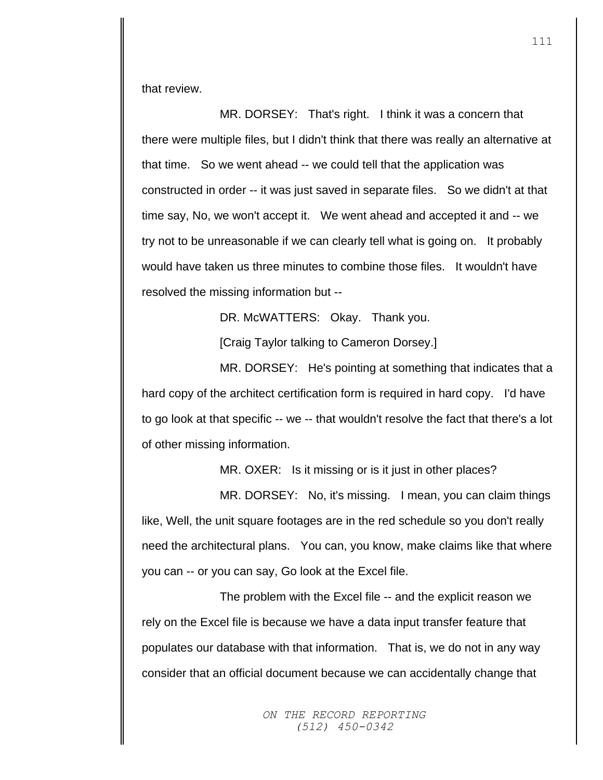that review.

MR. DORSEY: That's right. I think it was a concern that there were multiple files, but I didn't think that there was really an alternative at that time. So we went ahead -- we could tell that the application was constructed in order -- it was just saved in separate files. So we didn't at that time say, No, we won't accept it. We went ahead and accepted it and -- we try not to be unreasonable if we can clearly tell what is going on. It probably would have taken us three minutes to combine those files. It wouldn't have resolved the missing information but --

DR. McWATTERS: Okay. Thank you.

[Craig Taylor talking to Cameron Dorsey.]

MR. DORSEY: He's pointing at something that indicates that a hard copy of the architect certification form is required in hard copy. I'd have to go look at that specific -- we -- that wouldn't resolve the fact that there's a lot of other missing information.

MR. OXER: Is it missing or is it just in other places?

MR. DORSEY: No, it's missing. I mean, you can claim things like, Well, the unit square footages are in the red schedule so you don't really need the architectural plans. You can, you know, make claims like that where you can -- or you can say, Go look at the Excel file.

The problem with the Excel file -- and the explicit reason we rely on the Excel file is because we have a data input transfer feature that populates our database with that information. That is, we do not in any way consider that an official document because we can accidentally change that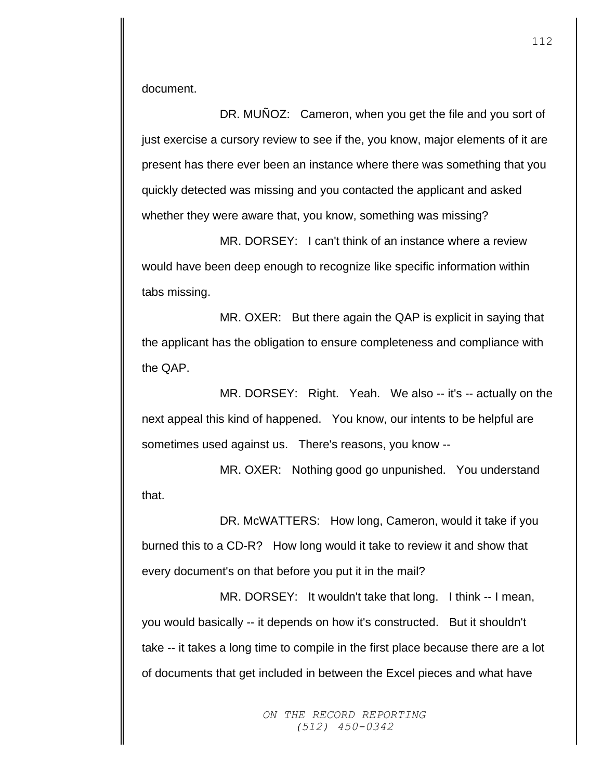document.

DR. MUÑOZ: Cameron, when you get the file and you sort of just exercise a cursory review to see if the, you know, major elements of it are present has there ever been an instance where there was something that you quickly detected was missing and you contacted the applicant and asked whether they were aware that, you know, something was missing?

MR. DORSEY: I can't think of an instance where a review would have been deep enough to recognize like specific information within tabs missing.

MR. OXER: But there again the QAP is explicit in saying that the applicant has the obligation to ensure completeness and compliance with the QAP.

MR. DORSEY: Right. Yeah. We also -- it's -- actually on the next appeal this kind of happened. You know, our intents to be helpful are sometimes used against us. There's reasons, you know --

MR. OXER: Nothing good go unpunished. You understand that.

DR. McWATTERS: How long, Cameron, would it take if you burned this to a CD-R? How long would it take to review it and show that every document's on that before you put it in the mail?

MR. DORSEY: It wouldn't take that long. I think -- I mean, you would basically -- it depends on how it's constructed. But it shouldn't take -- it takes a long time to compile in the first place because there are a lot of documents that get included in between the Excel pieces and what have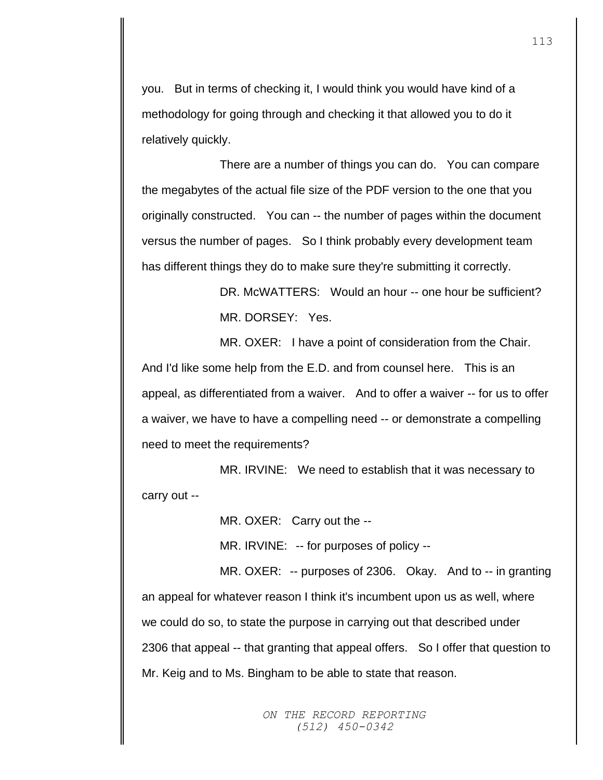you. But in terms of checking it, I would think you would have kind of a methodology for going through and checking it that allowed you to do it relatively quickly.

There are a number of things you can do. You can compare the megabytes of the actual file size of the PDF version to the one that you originally constructed. You can -- the number of pages within the document versus the number of pages. So I think probably every development team has different things they do to make sure they're submitting it correctly.

> DR. McWATTERS: Would an hour -- one hour be sufficient? MR. DORSEY: Yes.

MR. OXER: I have a point of consideration from the Chair. And I'd like some help from the E.D. and from counsel here. This is an appeal, as differentiated from a waiver. And to offer a waiver -- for us to offer a waiver, we have to have a compelling need -- or demonstrate a compelling need to meet the requirements?

MR. IRVINE: We need to establish that it was necessary to carry out --

MR. OXER: Carry out the --

MR. IRVINE: -- for purposes of policy --

MR. OXER: -- purposes of 2306. Okay. And to -- in granting an appeal for whatever reason I think it's incumbent upon us as well, where we could do so, to state the purpose in carrying out that described under 2306 that appeal -- that granting that appeal offers. So I offer that question to Mr. Keig and to Ms. Bingham to be able to state that reason.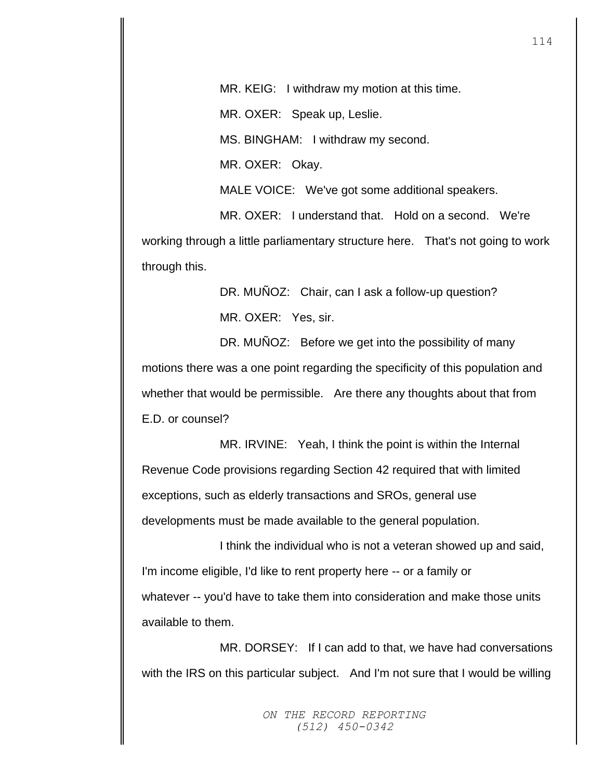MR. KEIG: I withdraw my motion at this time.

MR. OXER: Speak up, Leslie.

MS. BINGHAM: I withdraw my second.

MR. OXER: Okay.

MALE VOICE: We've got some additional speakers.

MR. OXER: I understand that. Hold on a second. We're working through a little parliamentary structure here. That's not going to work through this.

> DR. MUÑOZ: Chair, can I ask a follow-up question? MR. OXER: Yes, sir.

DR. MUÑOZ: Before we get into the possibility of many motions there was a one point regarding the specificity of this population and whether that would be permissible. Are there any thoughts about that from E.D. or counsel?

MR. IRVINE: Yeah, I think the point is within the Internal Revenue Code provisions regarding Section 42 required that with limited exceptions, such as elderly transactions and SROs, general use developments must be made available to the general population.

I think the individual who is not a veteran showed up and said, I'm income eligible, I'd like to rent property here -- or a family or whatever -- you'd have to take them into consideration and make those units available to them.

MR. DORSEY: If I can add to that, we have had conversations with the IRS on this particular subject. And I'm not sure that I would be willing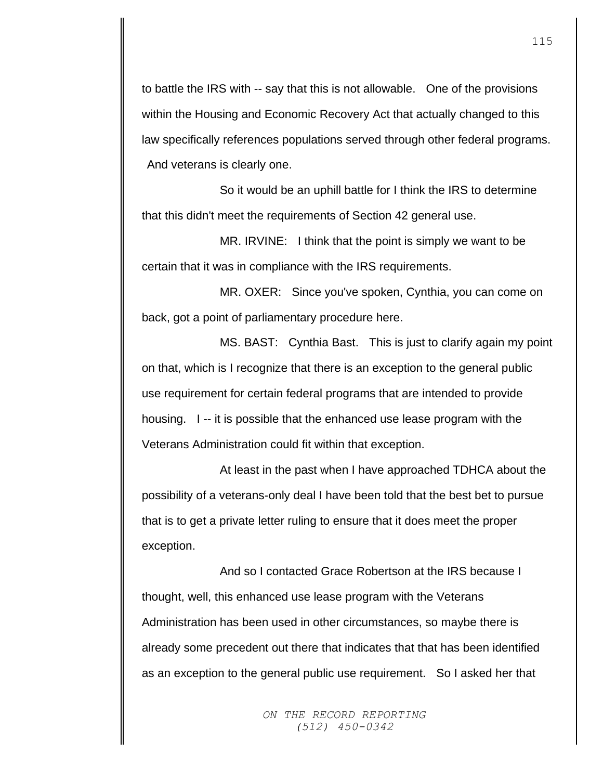to battle the IRS with -- say that this is not allowable. One of the provisions within the Housing and Economic Recovery Act that actually changed to this law specifically references populations served through other federal programs. And veterans is clearly one.

So it would be an uphill battle for I think the IRS to determine that this didn't meet the requirements of Section 42 general use.

MR. IRVINE: I think that the point is simply we want to be certain that it was in compliance with the IRS requirements.

MR. OXER: Since you've spoken, Cynthia, you can come on back, got a point of parliamentary procedure here.

MS. BAST: Cynthia Bast. This is just to clarify again my point on that, which is I recognize that there is an exception to the general public use requirement for certain federal programs that are intended to provide housing. I -- it is possible that the enhanced use lease program with the Veterans Administration could fit within that exception.

At least in the past when I have approached TDHCA about the possibility of a veterans-only deal I have been told that the best bet to pursue that is to get a private letter ruling to ensure that it does meet the proper exception.

And so I contacted Grace Robertson at the IRS because I thought, well, this enhanced use lease program with the Veterans Administration has been used in other circumstances, so maybe there is already some precedent out there that indicates that that has been identified as an exception to the general public use requirement. So I asked her that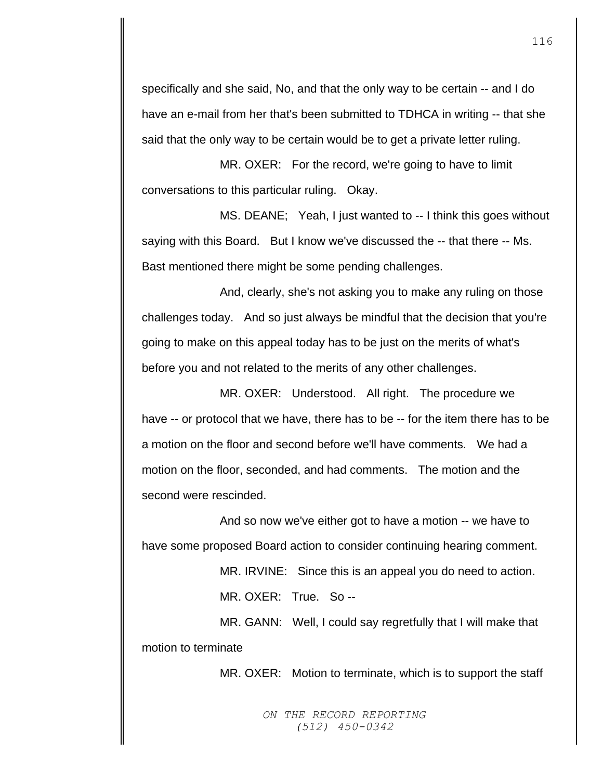specifically and she said, No, and that the only way to be certain -- and I do have an e-mail from her that's been submitted to TDHCA in writing -- that she said that the only way to be certain would be to get a private letter ruling.

MR. OXER: For the record, we're going to have to limit conversations to this particular ruling. Okay.

MS. DEANE; Yeah, I just wanted to -- I think this goes without saying with this Board. But I know we've discussed the -- that there -- Ms. Bast mentioned there might be some pending challenges.

And, clearly, she's not asking you to make any ruling on those challenges today. And so just always be mindful that the decision that you're going to make on this appeal today has to be just on the merits of what's before you and not related to the merits of any other challenges.

MR. OXER: Understood. All right. The procedure we have -- or protocol that we have, there has to be -- for the item there has to be a motion on the floor and second before we'll have comments. We had a motion on the floor, seconded, and had comments. The motion and the second were rescinded.

And so now we've either got to have a motion -- we have to have some proposed Board action to consider continuing hearing comment.

MR. IRVINE: Since this is an appeal you do need to action.

MR. OXER: True. So --

MR. GANN: Well, I could say regretfully that I will make that motion to terminate

MR. OXER: Motion to terminate, which is to support the staff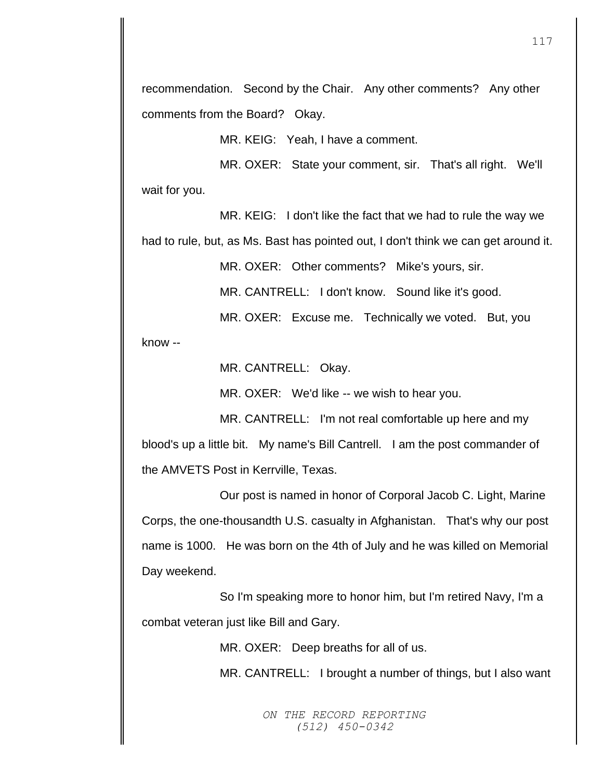recommendation. Second by the Chair. Any other comments? Any other comments from the Board? Okay.

MR. KEIG: Yeah, I have a comment.

MR. OXER: State your comment, sir. That's all right. We'll wait for you.

MR. KEIG: I don't like the fact that we had to rule the way we

had to rule, but, as Ms. Bast has pointed out, I don't think we can get around it.

MR. OXER: Other comments? Mike's yours, sir.

MR. CANTRELL: I don't know. Sound like it's good.

MR. OXER: Excuse me. Technically we voted. But, you

know --

MR. CANTRELL: Okay.

MR. OXER: We'd like -- we wish to hear you.

MR. CANTRELL: I'm not real comfortable up here and my blood's up a little bit. My name's Bill Cantrell. I am the post commander of the AMVETS Post in Kerrville, Texas.

Our post is named in honor of Corporal Jacob C. Light, Marine Corps, the one-thousandth U.S. casualty in Afghanistan. That's why our post name is 1000. He was born on the 4th of July and he was killed on Memorial Day weekend.

So I'm speaking more to honor him, but I'm retired Navy, I'm a combat veteran just like Bill and Gary.

MR. OXER: Deep breaths for all of us.

MR. CANTRELL: I brought a number of things, but I also want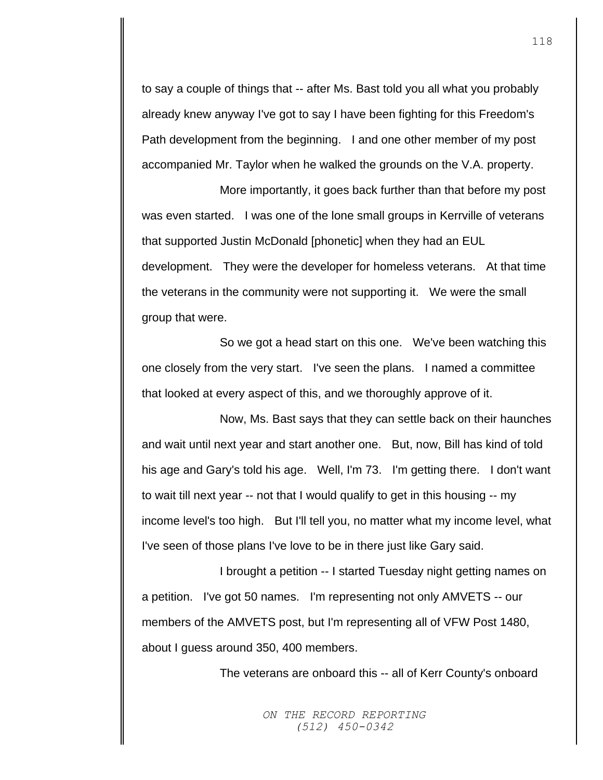to say a couple of things that -- after Ms. Bast told you all what you probably already knew anyway I've got to say I have been fighting for this Freedom's Path development from the beginning. I and one other member of my post accompanied Mr. Taylor when he walked the grounds on the V.A. property.

More importantly, it goes back further than that before my post was even started. I was one of the lone small groups in Kerrville of veterans that supported Justin McDonald [phonetic] when they had an EUL development. They were the developer for homeless veterans. At that time the veterans in the community were not supporting it. We were the small group that were.

So we got a head start on this one. We've been watching this one closely from the very start. I've seen the plans. I named a committee that looked at every aspect of this, and we thoroughly approve of it.

Now, Ms. Bast says that they can settle back on their haunches and wait until next year and start another one. But, now, Bill has kind of told his age and Gary's told his age. Well, I'm 73. I'm getting there. I don't want to wait till next year -- not that I would qualify to get in this housing -- my income level's too high. But I'll tell you, no matter what my income level, what I've seen of those plans I've love to be in there just like Gary said.

I brought a petition -- I started Tuesday night getting names on a petition. I've got 50 names. I'm representing not only AMVETS -- our members of the AMVETS post, but I'm representing all of VFW Post 1480, about I guess around 350, 400 members.

The veterans are onboard this -- all of Kerr County's onboard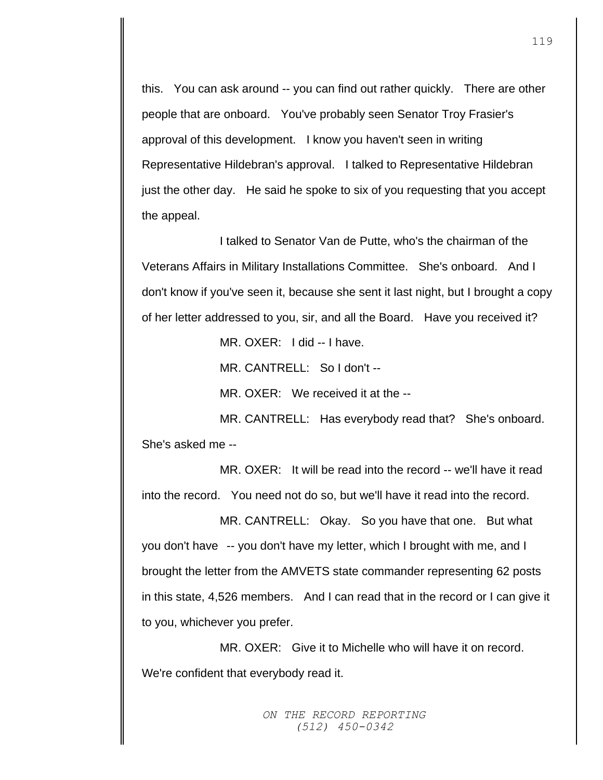this. You can ask around -- you can find out rather quickly. There are other people that are onboard. You've probably seen Senator Troy Frasier's approval of this development. I know you haven't seen in writing Representative Hildebran's approval. I talked to Representative Hildebran just the other day. He said he spoke to six of you requesting that you accept the appeal.

I talked to Senator Van de Putte, who's the chairman of the Veterans Affairs in Military Installations Committee. She's onboard. And I don't know if you've seen it, because she sent it last night, but I brought a copy of her letter addressed to you, sir, and all the Board. Have you received it?

MR. OXER: I did -- I have.

MR. CANTRELL: So I don't --

MR. OXER: We received it at the --

MR. CANTRELL: Has everybody read that? She's onboard. She's asked me --

MR. OXER: It will be read into the record -- we'll have it read into the record. You need not do so, but we'll have it read into the record.

MR. CANTRELL: Okay. So you have that one. But what you don't have -- you don't have my letter, which I brought with me, and I brought the letter from the AMVETS state commander representing 62 posts in this state, 4,526 members. And I can read that in the record or I can give it to you, whichever you prefer.

MR. OXER: Give it to Michelle who will have it on record. We're confident that everybody read it.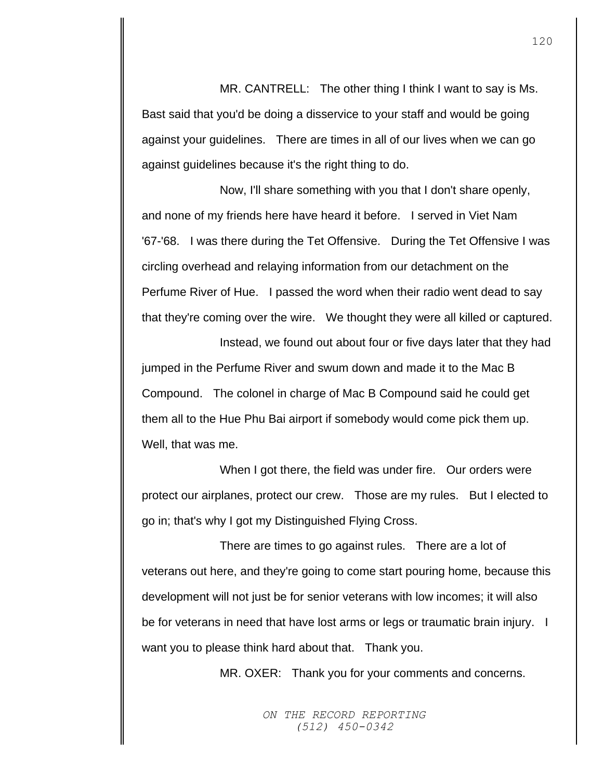MR. CANTRELL: The other thing I think I want to say is Ms. Bast said that you'd be doing a disservice to your staff and would be going against your guidelines. There are times in all of our lives when we can go against guidelines because it's the right thing to do.

Now, I'll share something with you that I don't share openly, and none of my friends here have heard it before. I served in Viet Nam '67-'68. I was there during the Tet Offensive. During the Tet Offensive I was circling overhead and relaying information from our detachment on the Perfume River of Hue. I passed the word when their radio went dead to say that they're coming over the wire. We thought they were all killed or captured.

Instead, we found out about four or five days later that they had jumped in the Perfume River and swum down and made it to the Mac B Compound. The colonel in charge of Mac B Compound said he could get them all to the Hue Phu Bai airport if somebody would come pick them up. Well, that was me.

When I got there, the field was under fire. Our orders were protect our airplanes, protect our crew. Those are my rules. But I elected to go in; that's why I got my Distinguished Flying Cross.

There are times to go against rules. There are a lot of veterans out here, and they're going to come start pouring home, because this development will not just be for senior veterans with low incomes; it will also be for veterans in need that have lost arms or legs or traumatic brain injury. I want you to please think hard about that. Thank you.

MR. OXER: Thank you for your comments and concerns.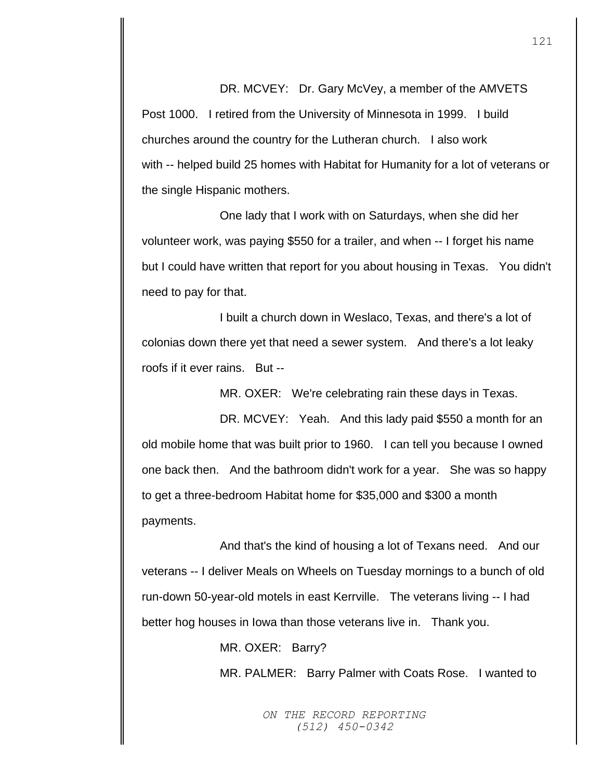DR. MCVEY: Dr. Gary McVey, a member of the AMVETS Post 1000. I retired from the University of Minnesota in 1999. I build churches around the country for the Lutheran church. I also work with -- helped build 25 homes with Habitat for Humanity for a lot of veterans or the single Hispanic mothers.

One lady that I work with on Saturdays, when she did her volunteer work, was paying \$550 for a trailer, and when -- I forget his name but I could have written that report for you about housing in Texas. You didn't need to pay for that.

I built a church down in Weslaco, Texas, and there's a lot of colonias down there yet that need a sewer system. And there's a lot leaky roofs if it ever rains. But --

MR. OXER: We're celebrating rain these days in Texas.

DR. MCVEY: Yeah. And this lady paid \$550 a month for an old mobile home that was built prior to 1960. I can tell you because I owned one back then. And the bathroom didn't work for a year. She was so happy to get a three-bedroom Habitat home for \$35,000 and \$300 a month payments.

And that's the kind of housing a lot of Texans need. And our veterans -- I deliver Meals on Wheels on Tuesday mornings to a bunch of old run-down 50-year-old motels in east Kerrville. The veterans living -- I had better hog houses in Iowa than those veterans live in. Thank you.

MR. OXER: Barry?

MR. PALMER: Barry Palmer with Coats Rose. I wanted to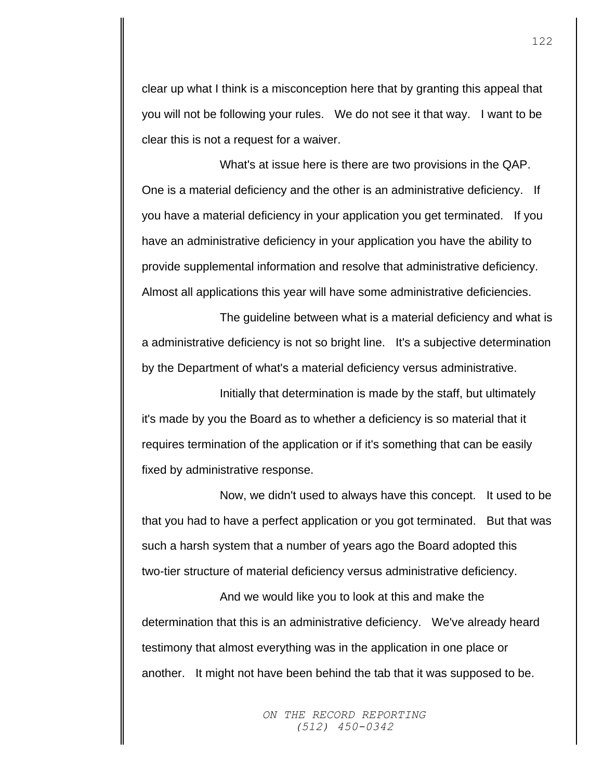clear up what I think is a misconception here that by granting this appeal that you will not be following your rules. We do not see it that way. I want to be clear this is not a request for a waiver.

What's at issue here is there are two provisions in the QAP. One is a material deficiency and the other is an administrative deficiency. If you have a material deficiency in your application you get terminated. If you have an administrative deficiency in your application you have the ability to provide supplemental information and resolve that administrative deficiency. Almost all applications this year will have some administrative deficiencies.

The guideline between what is a material deficiency and what is a administrative deficiency is not so bright line. It's a subjective determination by the Department of what's a material deficiency versus administrative.

Initially that determination is made by the staff, but ultimately it's made by you the Board as to whether a deficiency is so material that it requires termination of the application or if it's something that can be easily fixed by administrative response.

Now, we didn't used to always have this concept. It used to be that you had to have a perfect application or you got terminated. But that was such a harsh system that a number of years ago the Board adopted this two-tier structure of material deficiency versus administrative deficiency.

And we would like you to look at this and make the determination that this is an administrative deficiency. We've already heard testimony that almost everything was in the application in one place or another. It might not have been behind the tab that it was supposed to be.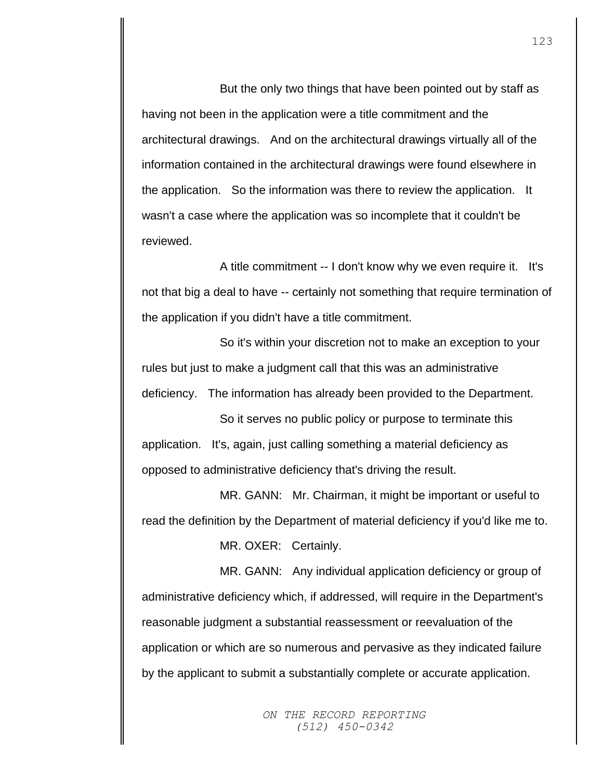But the only two things that have been pointed out by staff as having not been in the application were a title commitment and the architectural drawings. And on the architectural drawings virtually all of the information contained in the architectural drawings were found elsewhere in the application. So the information was there to review the application. It wasn't a case where the application was so incomplete that it couldn't be reviewed.

A title commitment -- I don't know why we even require it. It's not that big a deal to have -- certainly not something that require termination of the application if you didn't have a title commitment.

So it's within your discretion not to make an exception to your rules but just to make a judgment call that this was an administrative deficiency. The information has already been provided to the Department.

So it serves no public policy or purpose to terminate this application. It's, again, just calling something a material deficiency as opposed to administrative deficiency that's driving the result.

MR. GANN: Mr. Chairman, it might be important or useful to read the definition by the Department of material deficiency if you'd like me to.

MR. OXER: Certainly.

MR. GANN: Any individual application deficiency or group of administrative deficiency which, if addressed, will require in the Department's reasonable judgment a substantial reassessment or reevaluation of the application or which are so numerous and pervasive as they indicated failure by the applicant to submit a substantially complete or accurate application.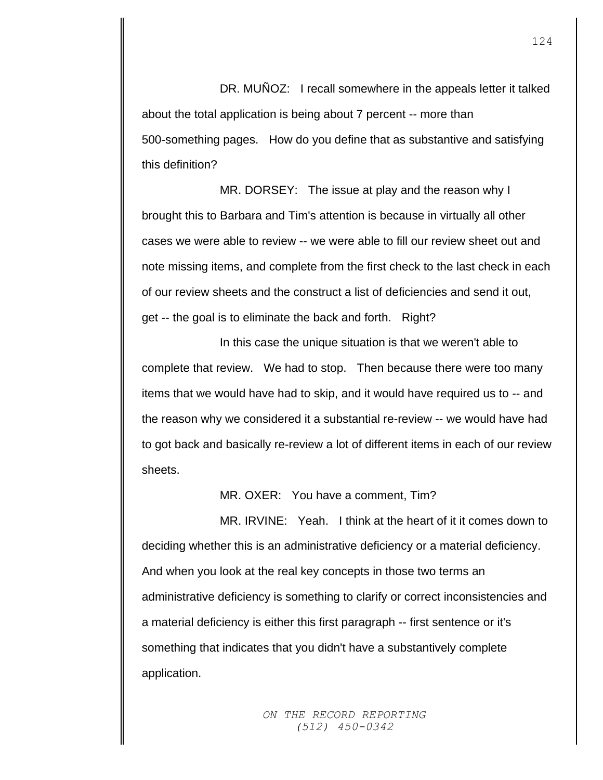DR. MUÑOZ: I recall somewhere in the appeals letter it talked about the total application is being about 7 percent -- more than 500-something pages. How do you define that as substantive and satisfying this definition?

MR. DORSEY: The issue at play and the reason why I brought this to Barbara and Tim's attention is because in virtually all other cases we were able to review -- we were able to fill our review sheet out and note missing items, and complete from the first check to the last check in each of our review sheets and the construct a list of deficiencies and send it out, get -- the goal is to eliminate the back and forth. Right?

In this case the unique situation is that we weren't able to complete that review. We had to stop. Then because there were too many items that we would have had to skip, and it would have required us to -- and the reason why we considered it a substantial re-review -- we would have had to got back and basically re-review a lot of different items in each of our review sheets.

MR. OXER: You have a comment, Tim?

MR. IRVINE: Yeah. I think at the heart of it it comes down to deciding whether this is an administrative deficiency or a material deficiency. And when you look at the real key concepts in those two terms an administrative deficiency is something to clarify or correct inconsistencies and a material deficiency is either this first paragraph -- first sentence or it's something that indicates that you didn't have a substantively complete application.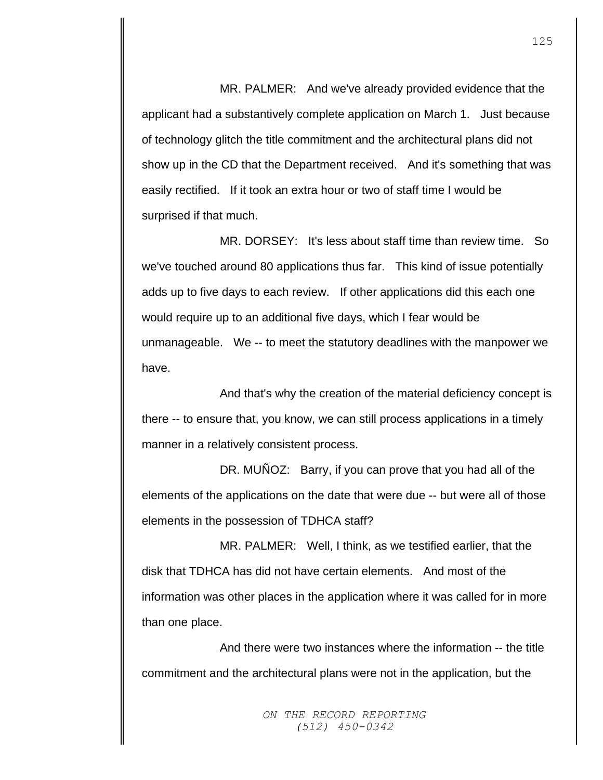MR. PALMER: And we've already provided evidence that the applicant had a substantively complete application on March 1. Just because of technology glitch the title commitment and the architectural plans did not show up in the CD that the Department received. And it's something that was easily rectified. If it took an extra hour or two of staff time I would be surprised if that much.

MR. DORSEY: It's less about staff time than review time. So we've touched around 80 applications thus far. This kind of issue potentially adds up to five days to each review. If other applications did this each one would require up to an additional five days, which I fear would be unmanageable. We -- to meet the statutory deadlines with the manpower we have.

And that's why the creation of the material deficiency concept is there -- to ensure that, you know, we can still process applications in a timely manner in a relatively consistent process.

DR. MUÑOZ: Barry, if you can prove that you had all of the elements of the applications on the date that were due -- but were all of those elements in the possession of TDHCA staff?

MR. PALMER: Well, I think, as we testified earlier, that the disk that TDHCA has did not have certain elements. And most of the information was other places in the application where it was called for in more than one place.

And there were two instances where the information -- the title commitment and the architectural plans were not in the application, but the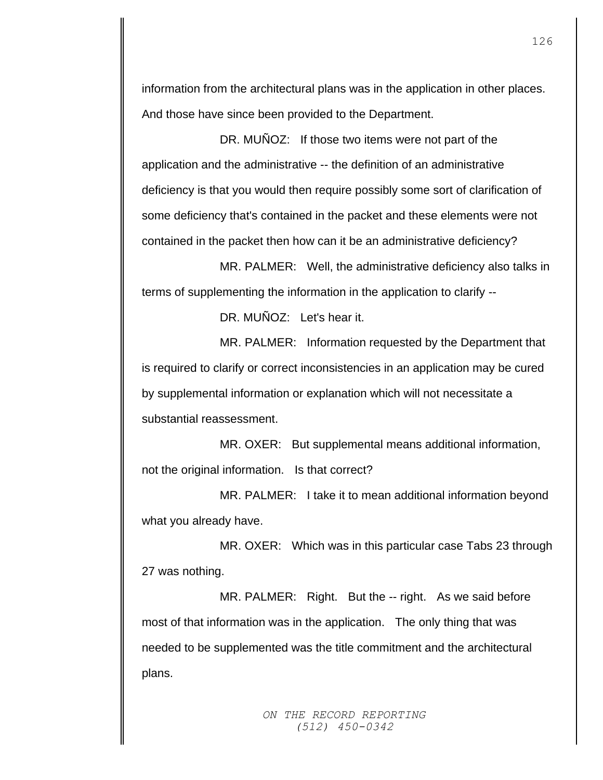information from the architectural plans was in the application in other places. And those have since been provided to the Department.

DR. MUÑOZ: If those two items were not part of the application and the administrative -- the definition of an administrative deficiency is that you would then require possibly some sort of clarification of some deficiency that's contained in the packet and these elements were not contained in the packet then how can it be an administrative deficiency?

MR. PALMER: Well, the administrative deficiency also talks in terms of supplementing the information in the application to clarify --

DR. MUÑOZ: Let's hear it.

MR. PALMER: Information requested by the Department that is required to clarify or correct inconsistencies in an application may be cured by supplemental information or explanation which will not necessitate a substantial reassessment.

MR. OXER: But supplemental means additional information, not the original information. Is that correct?

MR. PALMER: I take it to mean additional information beyond what you already have.

MR. OXER: Which was in this particular case Tabs 23 through 27 was nothing.

MR. PALMER: Right. But the -- right. As we said before most of that information was in the application. The only thing that was needed to be supplemented was the title commitment and the architectural plans.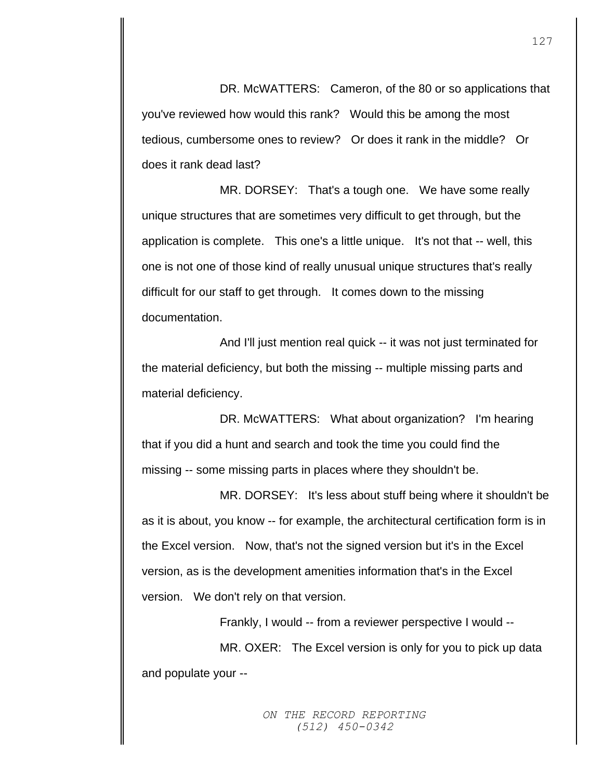DR. McWATTERS: Cameron, of the 80 or so applications that you've reviewed how would this rank? Would this be among the most tedious, cumbersome ones to review? Or does it rank in the middle? Or does it rank dead last?

MR. DORSEY: That's a tough one. We have some really unique structures that are sometimes very difficult to get through, but the application is complete. This one's a little unique. It's not that -- well, this one is not one of those kind of really unusual unique structures that's really difficult for our staff to get through. It comes down to the missing documentation.

And I'll just mention real quick -- it was not just terminated for the material deficiency, but both the missing -- multiple missing parts and material deficiency.

DR. McWATTERS: What about organization? I'm hearing that if you did a hunt and search and took the time you could find the missing -- some missing parts in places where they shouldn't be.

MR. DORSEY: It's less about stuff being where it shouldn't be as it is about, you know -- for example, the architectural certification form is in the Excel version. Now, that's not the signed version but it's in the Excel version, as is the development amenities information that's in the Excel version. We don't rely on that version.

Frankly, I would -- from a reviewer perspective I would --

MR. OXER: The Excel version is only for you to pick up data and populate your --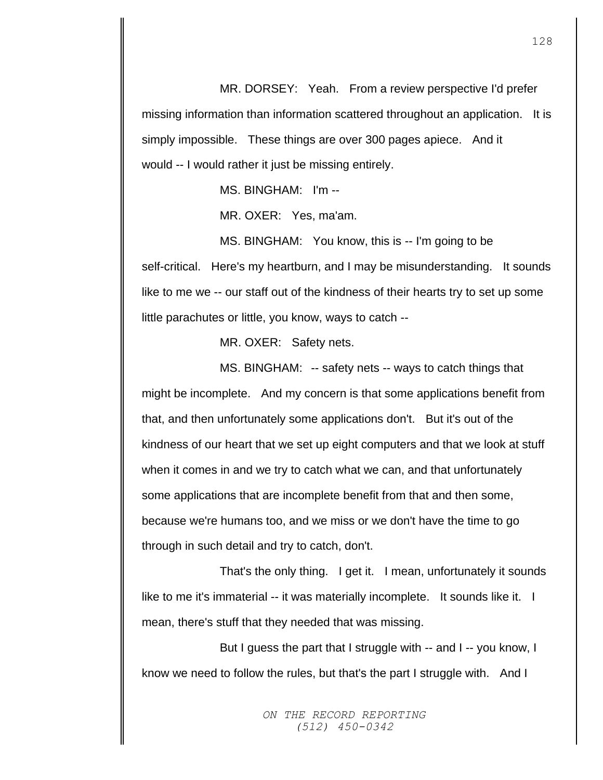MR. DORSEY: Yeah. From a review perspective I'd prefer missing information than information scattered throughout an application. It is simply impossible. These things are over 300 pages apiece. And it would -- I would rather it just be missing entirely.

MS. BINGHAM: I'm --

MR. OXER: Yes, ma'am.

MS. BINGHAM: You know, this is -- I'm going to be self-critical. Here's my heartburn, and I may be misunderstanding. It sounds like to me we -- our staff out of the kindness of their hearts try to set up some little parachutes or little, you know, ways to catch --

MR. OXER: Safety nets.

MS. BINGHAM: -- safety nets -- ways to catch things that might be incomplete. And my concern is that some applications benefit from that, and then unfortunately some applications don't. But it's out of the kindness of our heart that we set up eight computers and that we look at stuff when it comes in and we try to catch what we can, and that unfortunately some applications that are incomplete benefit from that and then some, because we're humans too, and we miss or we don't have the time to go through in such detail and try to catch, don't.

That's the only thing. I get it. I mean, unfortunately it sounds like to me it's immaterial -- it was materially incomplete. It sounds like it. I mean, there's stuff that they needed that was missing.

But I guess the part that I struggle with -- and I -- you know, I know we need to follow the rules, but that's the part I struggle with. And I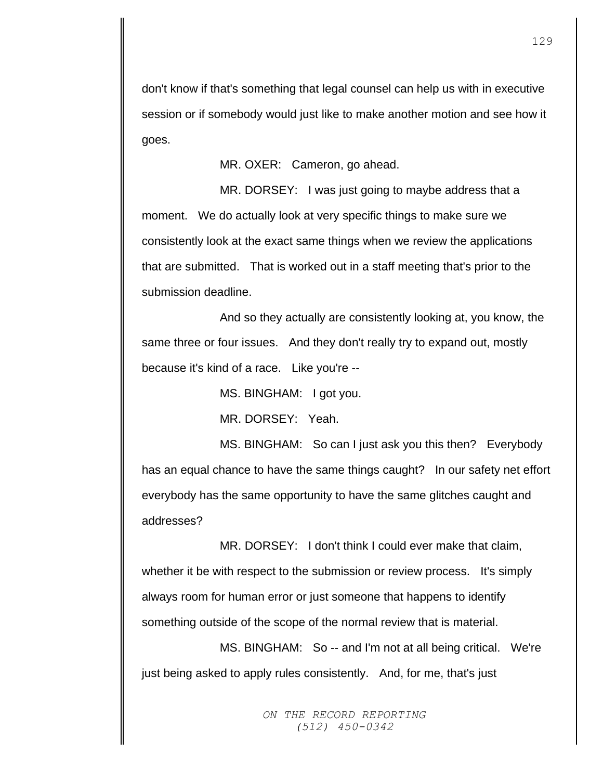don't know if that's something that legal counsel can help us with in executive session or if somebody would just like to make another motion and see how it goes.

MR. OXER: Cameron, go ahead.

MR. DORSEY: I was just going to maybe address that a moment. We do actually look at very specific things to make sure we consistently look at the exact same things when we review the applications that are submitted. That is worked out in a staff meeting that's prior to the submission deadline.

And so they actually are consistently looking at, you know, the same three or four issues. And they don't really try to expand out, mostly because it's kind of a race. Like you're --

MS. BINGHAM: I got you.

MR. DORSEY: Yeah.

MS. BINGHAM: So can I just ask you this then? Everybody has an equal chance to have the same things caught? In our safety net effort everybody has the same opportunity to have the same glitches caught and addresses?

MR. DORSEY: I don't think I could ever make that claim, whether it be with respect to the submission or review process. It's simply always room for human error or just someone that happens to identify something outside of the scope of the normal review that is material.

MS. BINGHAM: So -- and I'm not at all being critical. We're just being asked to apply rules consistently. And, for me, that's just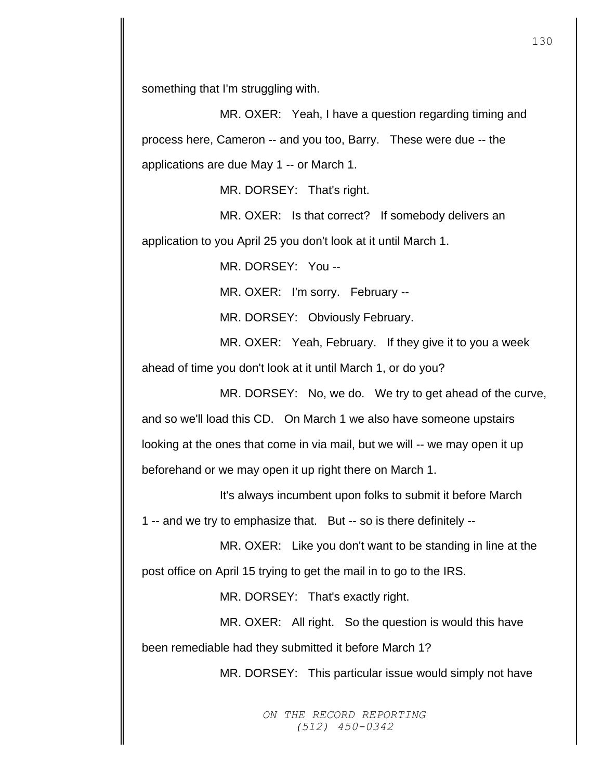something that I'm struggling with.

MR. OXER: Yeah, I have a question regarding timing and process here, Cameron -- and you too, Barry. These were due -- the applications are due May 1 -- or March 1.

MR. DORSEY: That's right.

MR. OXER: Is that correct? If somebody delivers an application to you April 25 you don't look at it until March 1.

MR. DORSEY: You --

MR. OXER: I'm sorry. February --

MR. DORSEY: Obviously February.

MR. OXER: Yeah, February. If they give it to you a week ahead of time you don't look at it until March 1, or do you?

MR. DORSEY: No, we do. We try to get ahead of the curve, and so we'll load this CD. On March 1 we also have someone upstairs looking at the ones that come in via mail, but we will -- we may open it up beforehand or we may open it up right there on March 1.

It's always incumbent upon folks to submit it before March 1 -- and we try to emphasize that. But -- so is there definitely --

MR. OXER: Like you don't want to be standing in line at the post office on April 15 trying to get the mail in to go to the IRS.

MR. DORSEY: That's exactly right.

MR. OXER: All right. So the question is would this have been remediable had they submitted it before March 1?

MR. DORSEY: This particular issue would simply not have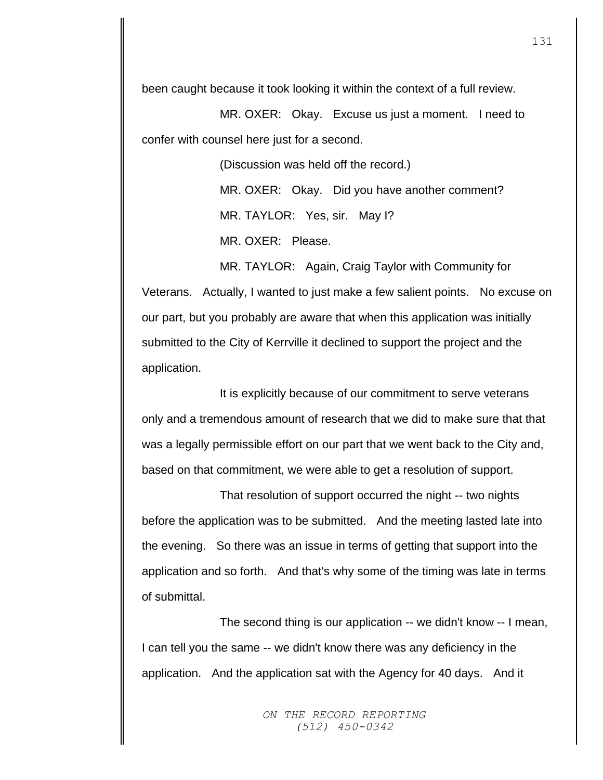been caught because it took looking it within the context of a full review.

MR. OXER: Okay. Excuse us just a moment. I need to confer with counsel here just for a second.

> (Discussion was held off the record.) MR. OXER: Okay. Did you have another comment? MR. TAYLOR: Yes, sir. May I? MR. OXER: Please.

MR. TAYLOR: Again, Craig Taylor with Community for Veterans. Actually, I wanted to just make a few salient points. No excuse on our part, but you probably are aware that when this application was initially submitted to the City of Kerrville it declined to support the project and the application.

It is explicitly because of our commitment to serve veterans only and a tremendous amount of research that we did to make sure that that was a legally permissible effort on our part that we went back to the City and, based on that commitment, we were able to get a resolution of support.

That resolution of support occurred the night -- two nights before the application was to be submitted. And the meeting lasted late into the evening. So there was an issue in terms of getting that support into the application and so forth. And that's why some of the timing was late in terms of submittal.

The second thing is our application -- we didn't know -- I mean, I can tell you the same -- we didn't know there was any deficiency in the application. And the application sat with the Agency for 40 days. And it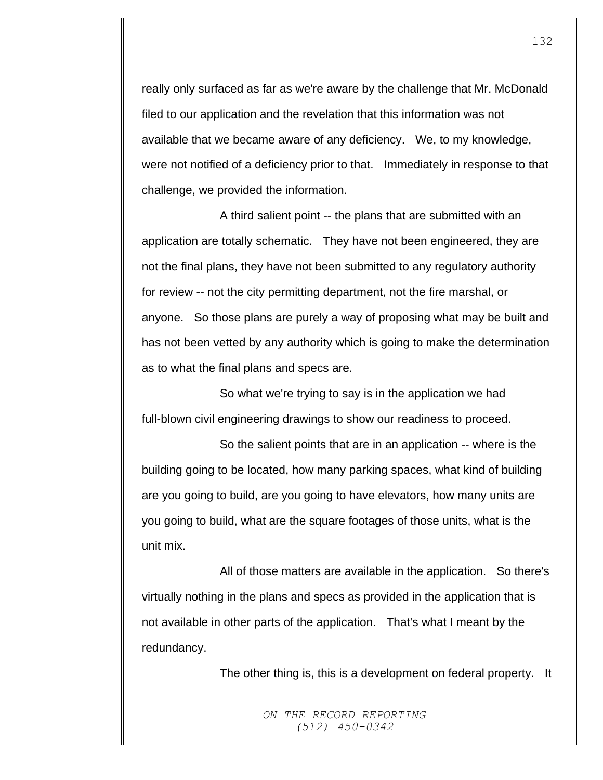really only surfaced as far as we're aware by the challenge that Mr. McDonald filed to our application and the revelation that this information was not available that we became aware of any deficiency. We, to my knowledge, were not notified of a deficiency prior to that. Immediately in response to that challenge, we provided the information.

A third salient point -- the plans that are submitted with an application are totally schematic. They have not been engineered, they are not the final plans, they have not been submitted to any regulatory authority for review -- not the city permitting department, not the fire marshal, or anyone. So those plans are purely a way of proposing what may be built and has not been vetted by any authority which is going to make the determination as to what the final plans and specs are.

So what we're trying to say is in the application we had full-blown civil engineering drawings to show our readiness to proceed.

So the salient points that are in an application -- where is the building going to be located, how many parking spaces, what kind of building are you going to build, are you going to have elevators, how many units are you going to build, what are the square footages of those units, what is the unit mix.

All of those matters are available in the application. So there's virtually nothing in the plans and specs as provided in the application that is not available in other parts of the application. That's what I meant by the redundancy.

The other thing is, this is a development on federal property. It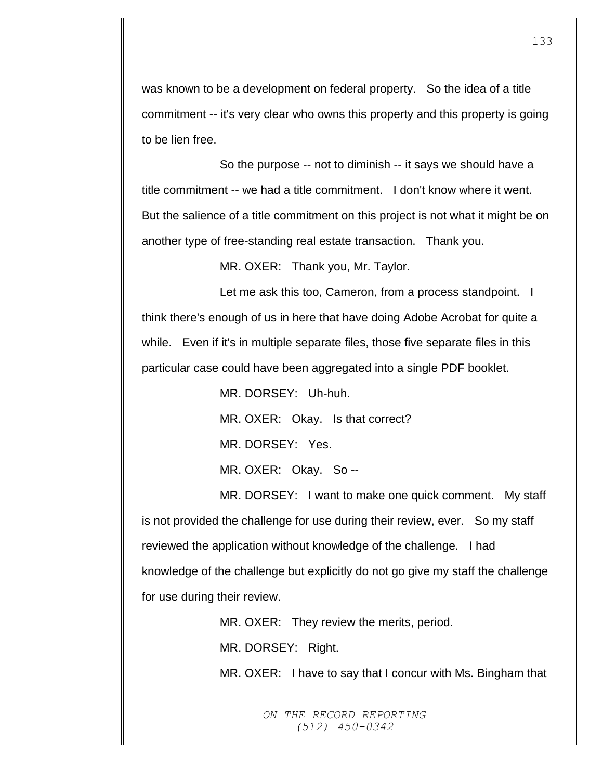was known to be a development on federal property. So the idea of a title commitment -- it's very clear who owns this property and this property is going to be lien free.

So the purpose -- not to diminish -- it says we should have a title commitment -- we had a title commitment. I don't know where it went. But the salience of a title commitment on this project is not what it might be on another type of free-standing real estate transaction. Thank you.

MR. OXER: Thank you, Mr. Taylor.

Let me ask this too, Cameron, from a process standpoint. I think there's enough of us in here that have doing Adobe Acrobat for quite a while. Even if it's in multiple separate files, those five separate files in this particular case could have been aggregated into a single PDF booklet.

MR. DORSEY: Uh-huh.

MR. OXER: Okay. Is that correct?

MR. DORSEY: Yes.

MR. OXER: Okay. So --

MR. DORSEY: I want to make one quick comment. My staff is not provided the challenge for use during their review, ever. So my staff reviewed the application without knowledge of the challenge. I had knowledge of the challenge but explicitly do not go give my staff the challenge for use during their review.

MR. OXER: They review the merits, period.

MR. DORSEY: Right.

MR. OXER: I have to say that I concur with Ms. Bingham that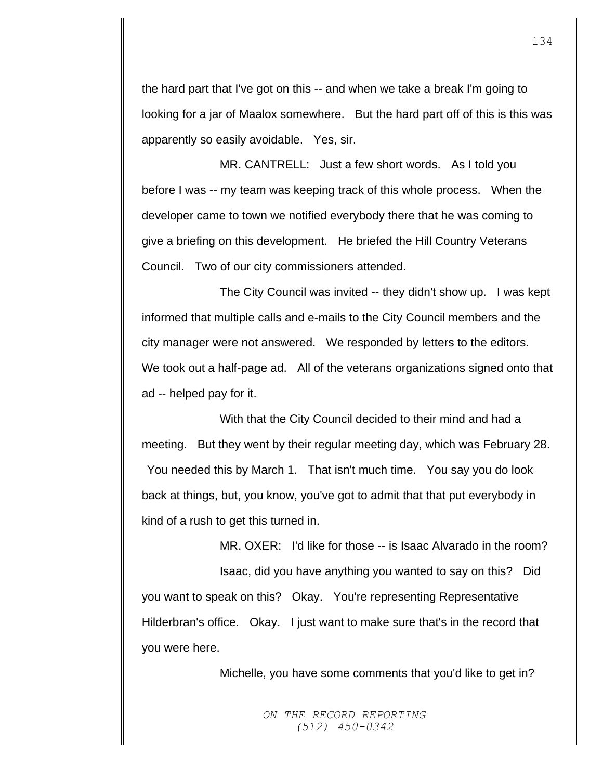the hard part that I've got on this -- and when we take a break I'm going to looking for a jar of Maalox somewhere. But the hard part off of this is this was apparently so easily avoidable. Yes, sir.

MR. CANTRELL: Just a few short words. As I told you before I was -- my team was keeping track of this whole process. When the developer came to town we notified everybody there that he was coming to give a briefing on this development. He briefed the Hill Country Veterans Council. Two of our city commissioners attended.

The City Council was invited -- they didn't show up. I was kept informed that multiple calls and e-mails to the City Council members and the city manager were not answered. We responded by letters to the editors. We took out a half-page ad. All of the veterans organizations signed onto that ad -- helped pay for it.

With that the City Council decided to their mind and had a meeting. But they went by their regular meeting day, which was February 28. You needed this by March 1. That isn't much time. You say you do look back at things, but, you know, you've got to admit that that put everybody in kind of a rush to get this turned in.

MR. OXER: I'd like for those -- is Isaac Alvarado in the room? Isaac, did you have anything you wanted to say on this? Did you want to speak on this? Okay. You're representing Representative Hilderbran's office. Okay. I just want to make sure that's in the record that you were here.

Michelle, you have some comments that you'd like to get in?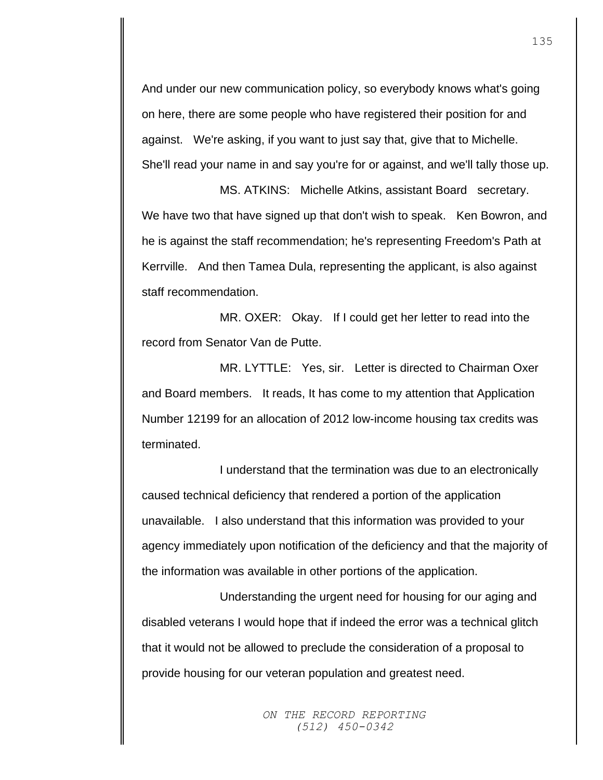And under our new communication policy, so everybody knows what's going on here, there are some people who have registered their position for and against. We're asking, if you want to just say that, give that to Michelle. She'll read your name in and say you're for or against, and we'll tally those up.

MS. ATKINS: Michelle Atkins, assistant Board secretary. We have two that have signed up that don't wish to speak. Ken Bowron, and he is against the staff recommendation; he's representing Freedom's Path at Kerrville. And then Tamea Dula, representing the applicant, is also against staff recommendation.

MR. OXER: Okay. If I could get her letter to read into the record from Senator Van de Putte.

MR. LYTTLE: Yes, sir. Letter is directed to Chairman Oxer and Board members. It reads, It has come to my attention that Application Number 12199 for an allocation of 2012 low-income housing tax credits was terminated.

I understand that the termination was due to an electronically caused technical deficiency that rendered a portion of the application unavailable. I also understand that this information was provided to your agency immediately upon notification of the deficiency and that the majority of the information was available in other portions of the application.

Understanding the urgent need for housing for our aging and disabled veterans I would hope that if indeed the error was a technical glitch that it would not be allowed to preclude the consideration of a proposal to provide housing for our veteran population and greatest need.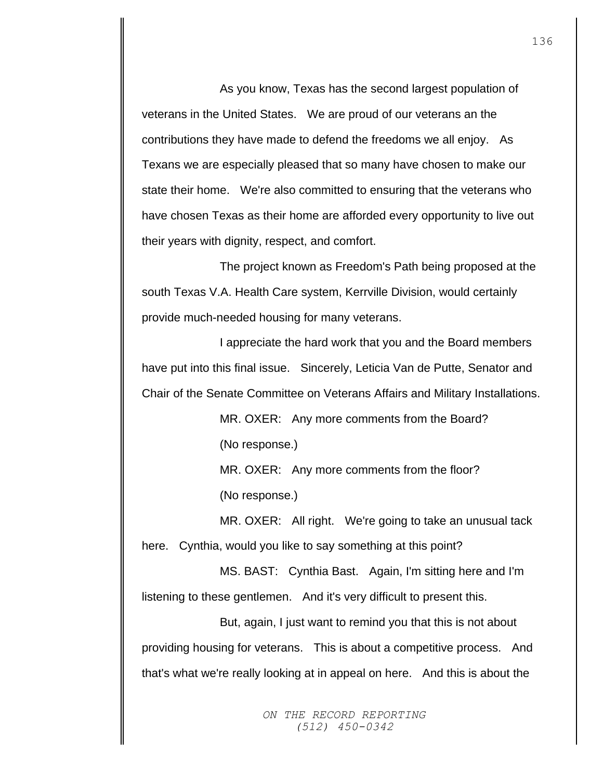As you know, Texas has the second largest population of veterans in the United States. We are proud of our veterans an the contributions they have made to defend the freedoms we all enjoy. As Texans we are especially pleased that so many have chosen to make our state their home. We're also committed to ensuring that the veterans who have chosen Texas as their home are afforded every opportunity to live out their years with dignity, respect, and comfort.

The project known as Freedom's Path being proposed at the south Texas V.A. Health Care system, Kerrville Division, would certainly provide much-needed housing for many veterans.

I appreciate the hard work that you and the Board members have put into this final issue. Sincerely, Leticia Van de Putte, Senator and Chair of the Senate Committee on Veterans Affairs and Military Installations.

> MR. OXER: Any more comments from the Board? (No response.)

MR. OXER: Any more comments from the floor? (No response.)

MR. OXER: All right. We're going to take an unusual tack here. Cynthia, would you like to say something at this point?

MS. BAST: Cynthia Bast. Again, I'm sitting here and I'm listening to these gentlemen. And it's very difficult to present this.

But, again, I just want to remind you that this is not about providing housing for veterans. This is about a competitive process. And that's what we're really looking at in appeal on here. And this is about the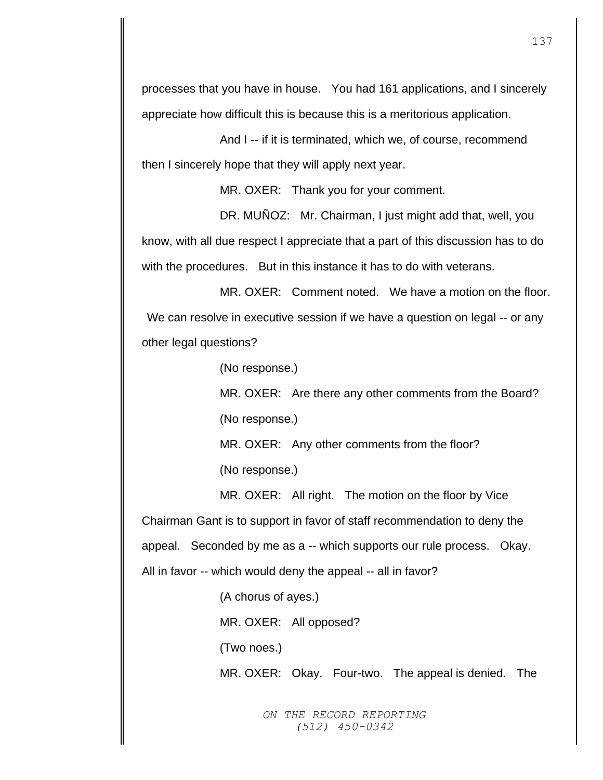processes that you have in house. You had 161 applications, and I sincerely appreciate how difficult this is because this is a meritorious application.

And I -- if it is terminated, which we, of course, recommend then I sincerely hope that they will apply next year.

MR. OXER: Thank you for your comment.

DR. MUÑOZ: Mr. Chairman, I just might add that, well, you know, with all due respect I appreciate that a part of this discussion has to do with the procedures. But in this instance it has to do with veterans.

MR. OXER: Comment noted. We have a motion on the floor. We can resolve in executive session if we have a question on legal -- or any other legal questions?

(No response.)

MR. OXER: Are there any other comments from the Board? (No response.)

MR. OXER: Any other comments from the floor?

(No response.)

MR. OXER: All right. The motion on the floor by Vice Chairman Gant is to support in favor of staff recommendation to deny the appeal. Seconded by me as a -- which supports our rule process. Okay. All in favor -- which would deny the appeal -- all in favor?

(A chorus of ayes.)

MR. OXER: All opposed?

(Two noes.)

MR. OXER: Okay. Four-two. The appeal is denied. The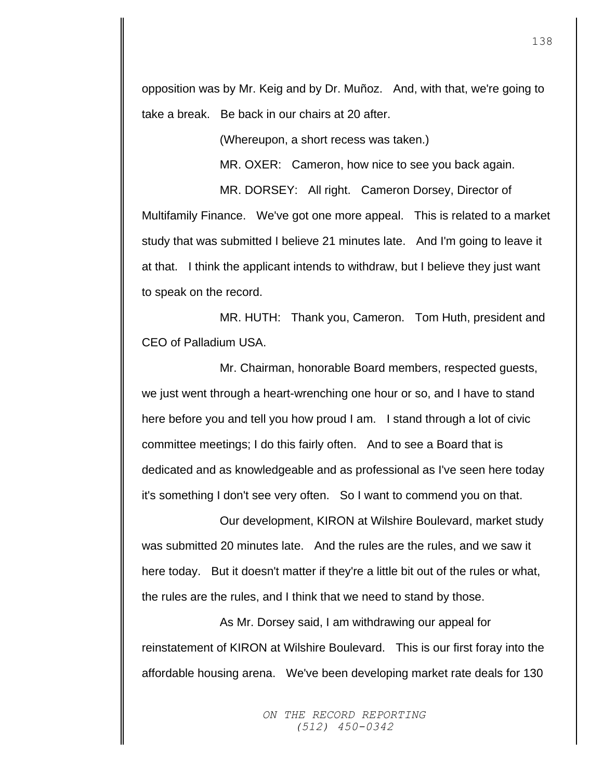opposition was by Mr. Keig and by Dr. Muñoz. And, with that, we're going to take a break. Be back in our chairs at 20 after.

(Whereupon, a short recess was taken.)

MR. OXER: Cameron, how nice to see you back again.

MR. DORSEY: All right. Cameron Dorsey, Director of Multifamily Finance. We've got one more appeal. This is related to a market study that was submitted I believe 21 minutes late. And I'm going to leave it at that. I think the applicant intends to withdraw, but I believe they just want to speak on the record.

MR. HUTH: Thank you, Cameron. Tom Huth, president and CEO of Palladium USA.

Mr. Chairman, honorable Board members, respected guests, we just went through a heart-wrenching one hour or so, and I have to stand here before you and tell you how proud I am. I stand through a lot of civic committee meetings; I do this fairly often. And to see a Board that is dedicated and as knowledgeable and as professional as I've seen here today it's something I don't see very often. So I want to commend you on that.

Our development, KIRON at Wilshire Boulevard, market study was submitted 20 minutes late. And the rules are the rules, and we saw it here today. But it doesn't matter if they're a little bit out of the rules or what, the rules are the rules, and I think that we need to stand by those.

As Mr. Dorsey said, I am withdrawing our appeal for reinstatement of KIRON at Wilshire Boulevard. This is our first foray into the affordable housing arena. We've been developing market rate deals for 130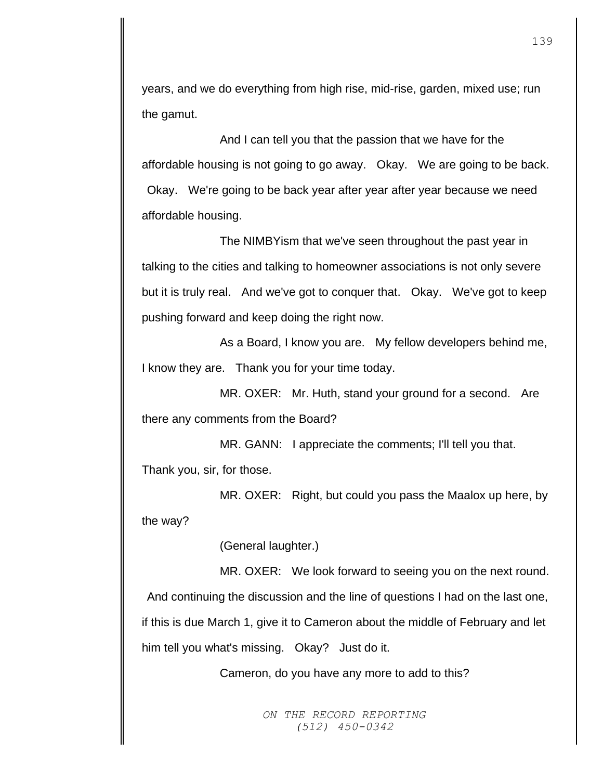years, and we do everything from high rise, mid-rise, garden, mixed use; run the gamut.

And I can tell you that the passion that we have for the affordable housing is not going to go away. Okay. We are going to be back. Okay. We're going to be back year after year after year because we need affordable housing.

The NIMBYism that we've seen throughout the past year in talking to the cities and talking to homeowner associations is not only severe but it is truly real. And we've got to conquer that. Okay. We've got to keep pushing forward and keep doing the right now.

As a Board, I know you are. My fellow developers behind me, I know they are. Thank you for your time today.

MR. OXER: Mr. Huth, stand your ground for a second. Are there any comments from the Board?

MR. GANN: I appreciate the comments; I'll tell you that. Thank you, sir, for those.

MR. OXER: Right, but could you pass the Maalox up here, by the way?

(General laughter.)

MR. OXER: We look forward to seeing you on the next round.

And continuing the discussion and the line of questions I had on the last one, if this is due March 1, give it to Cameron about the middle of February and let him tell you what's missing. Okay? Just do it.

Cameron, do you have any more to add to this?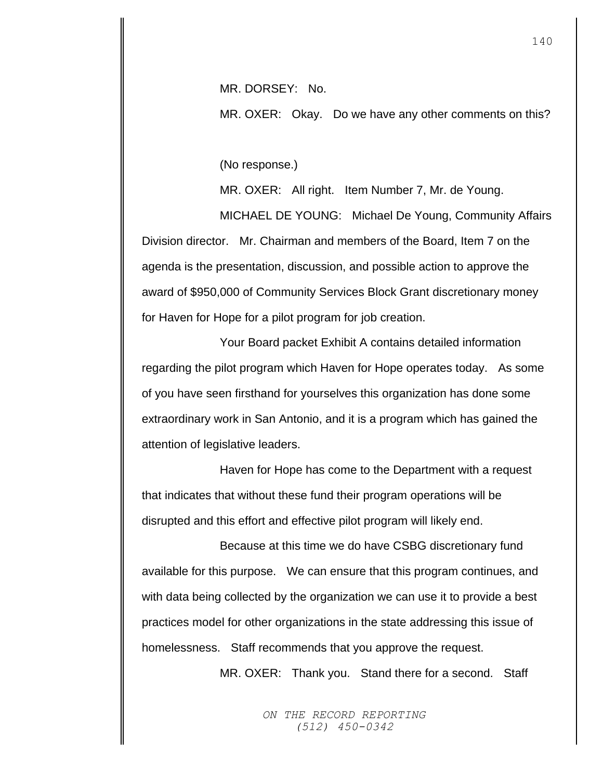MR. DORSEY: No.

MR. OXER: Okay. Do we have any other comments on this?

(No response.)

MR. OXER: All right. Item Number 7, Mr. de Young.

MICHAEL DE YOUNG: Michael De Young, Community Affairs Division director. Mr. Chairman and members of the Board, Item 7 on the agenda is the presentation, discussion, and possible action to approve the award of \$950,000 of Community Services Block Grant discretionary money for Haven for Hope for a pilot program for job creation.

Your Board packet Exhibit A contains detailed information regarding the pilot program which Haven for Hope operates today. As some of you have seen firsthand for yourselves this organization has done some extraordinary work in San Antonio, and it is a program which has gained the attention of legislative leaders.

Haven for Hope has come to the Department with a request that indicates that without these fund their program operations will be disrupted and this effort and effective pilot program will likely end.

Because at this time we do have CSBG discretionary fund available for this purpose. We can ensure that this program continues, and with data being collected by the organization we can use it to provide a best practices model for other organizations in the state addressing this issue of homelessness. Staff recommends that you approve the request.

MR. OXER: Thank you. Stand there for a second. Staff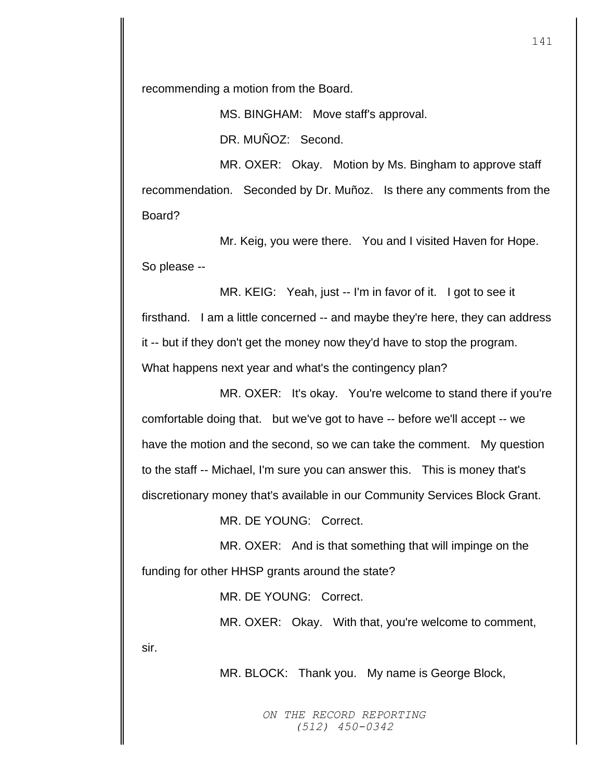recommending a motion from the Board.

MS. BINGHAM: Move staff's approval. DR. MUÑOZ: Second.

MR. OXER: Okay. Motion by Ms. Bingham to approve staff recommendation. Seconded by Dr. Muñoz. Is there any comments from the Board?

Mr. Keig, you were there. You and I visited Haven for Hope. So please --

MR. KEIG: Yeah, just -- I'm in favor of it. I got to see it firsthand. I am a little concerned -- and maybe they're here, they can address it -- but if they don't get the money now they'd have to stop the program. What happens next year and what's the contingency plan?

MR. OXER: It's okay. You're welcome to stand there if you're comfortable doing that. but we've got to have -- before we'll accept -- we have the motion and the second, so we can take the comment. My question to the staff -- Michael, I'm sure you can answer this. This is money that's discretionary money that's available in our Community Services Block Grant.

MR. DE YOUNG: Correct.

MR. OXER: And is that something that will impinge on the funding for other HHSP grants around the state?

MR. DE YOUNG: Correct.

MR. OXER: Okay. With that, you're welcome to comment,

sir.

MR. BLOCK: Thank you. My name is George Block,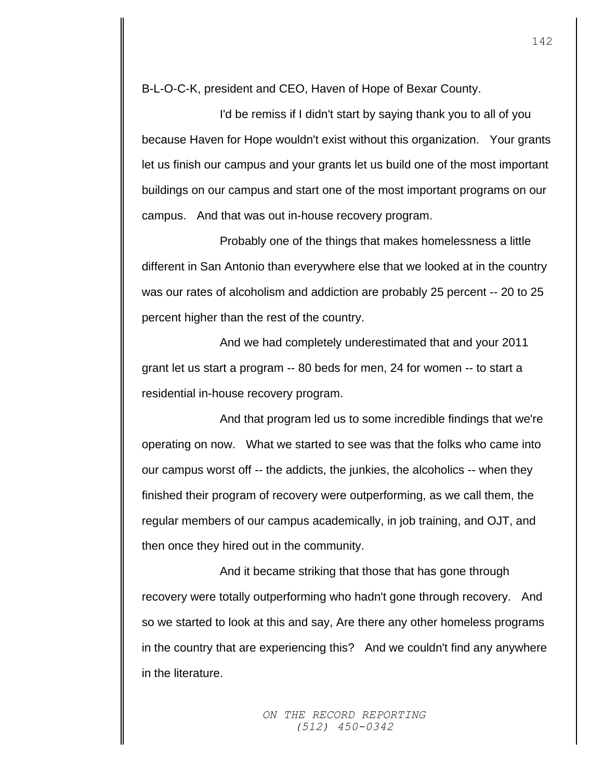B-L-O-C-K, president and CEO, Haven of Hope of Bexar County.

I'd be remiss if I didn't start by saying thank you to all of you because Haven for Hope wouldn't exist without this organization. Your grants let us finish our campus and your grants let us build one of the most important buildings on our campus and start one of the most important programs on our campus. And that was out in-house recovery program.

Probably one of the things that makes homelessness a little different in San Antonio than everywhere else that we looked at in the country was our rates of alcoholism and addiction are probably 25 percent -- 20 to 25 percent higher than the rest of the country.

And we had completely underestimated that and your 2011 grant let us start a program -- 80 beds for men, 24 for women -- to start a residential in-house recovery program.

And that program led us to some incredible findings that we're operating on now. What we started to see was that the folks who came into our campus worst off -- the addicts, the junkies, the alcoholics -- when they finished their program of recovery were outperforming, as we call them, the regular members of our campus academically, in job training, and OJT, and then once they hired out in the community.

And it became striking that those that has gone through recovery were totally outperforming who hadn't gone through recovery. And so we started to look at this and say, Are there any other homeless programs in the country that are experiencing this? And we couldn't find any anywhere in the literature.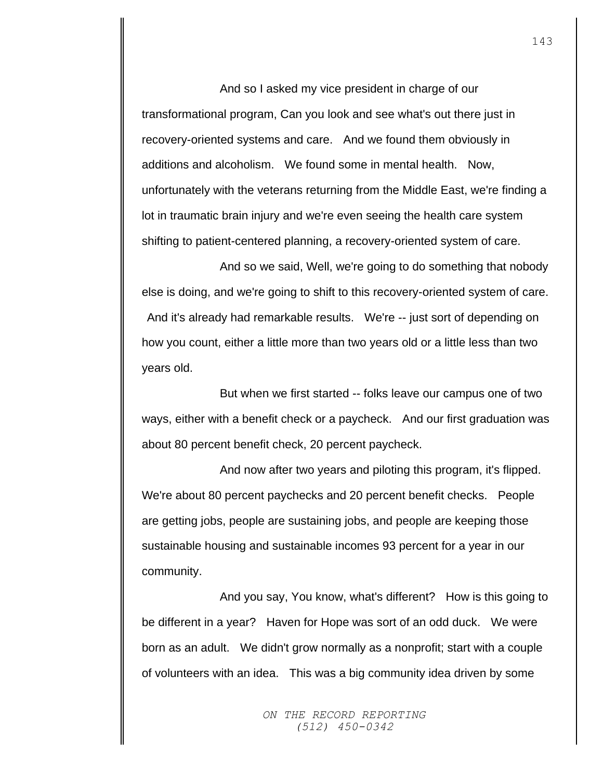And so I asked my vice president in charge of our transformational program, Can you look and see what's out there just in recovery-oriented systems and care. And we found them obviously in additions and alcoholism. We found some in mental health. Now, unfortunately with the veterans returning from the Middle East, we're finding a lot in traumatic brain injury and we're even seeing the health care system shifting to patient-centered planning, a recovery-oriented system of care.

And so we said, Well, we're going to do something that nobody else is doing, and we're going to shift to this recovery-oriented system of care. And it's already had remarkable results. We're -- just sort of depending on how you count, either a little more than two years old or a little less than two years old.

But when we first started -- folks leave our campus one of two ways, either with a benefit check or a paycheck. And our first graduation was about 80 percent benefit check, 20 percent paycheck.

And now after two years and piloting this program, it's flipped. We're about 80 percent paychecks and 20 percent benefit checks. People are getting jobs, people are sustaining jobs, and people are keeping those sustainable housing and sustainable incomes 93 percent for a year in our community.

And you say, You know, what's different? How is this going to be different in a year? Haven for Hope was sort of an odd duck. We were born as an adult. We didn't grow normally as a nonprofit; start with a couple of volunteers with an idea. This was a big community idea driven by some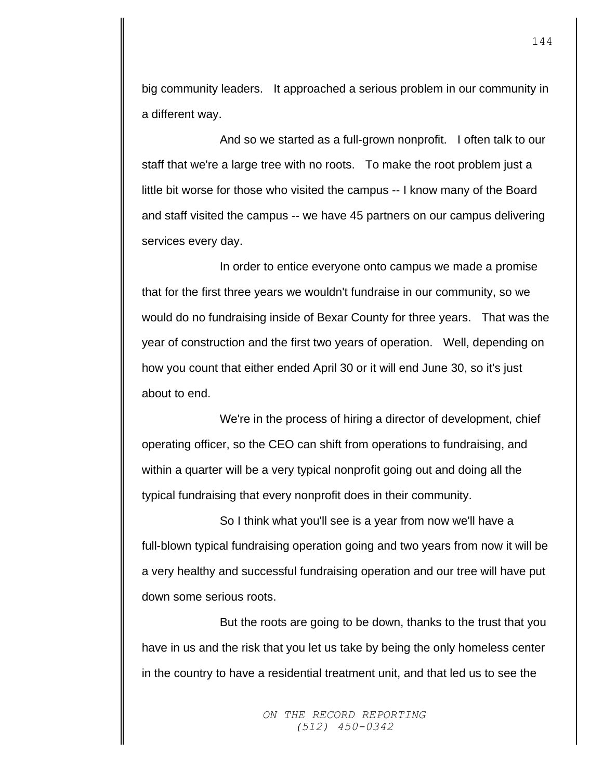big community leaders. It approached a serious problem in our community in a different way.

And so we started as a full-grown nonprofit. I often talk to our staff that we're a large tree with no roots. To make the root problem just a little bit worse for those who visited the campus -- I know many of the Board and staff visited the campus -- we have 45 partners on our campus delivering services every day.

In order to entice everyone onto campus we made a promise that for the first three years we wouldn't fundraise in our community, so we would do no fundraising inside of Bexar County for three years. That was the year of construction and the first two years of operation. Well, depending on how you count that either ended April 30 or it will end June 30, so it's just about to end.

We're in the process of hiring a director of development, chief operating officer, so the CEO can shift from operations to fundraising, and within a quarter will be a very typical nonprofit going out and doing all the typical fundraising that every nonprofit does in their community.

So I think what you'll see is a year from now we'll have a full-blown typical fundraising operation going and two years from now it will be a very healthy and successful fundraising operation and our tree will have put down some serious roots.

But the roots are going to be down, thanks to the trust that you have in us and the risk that you let us take by being the only homeless center in the country to have a residential treatment unit, and that led us to see the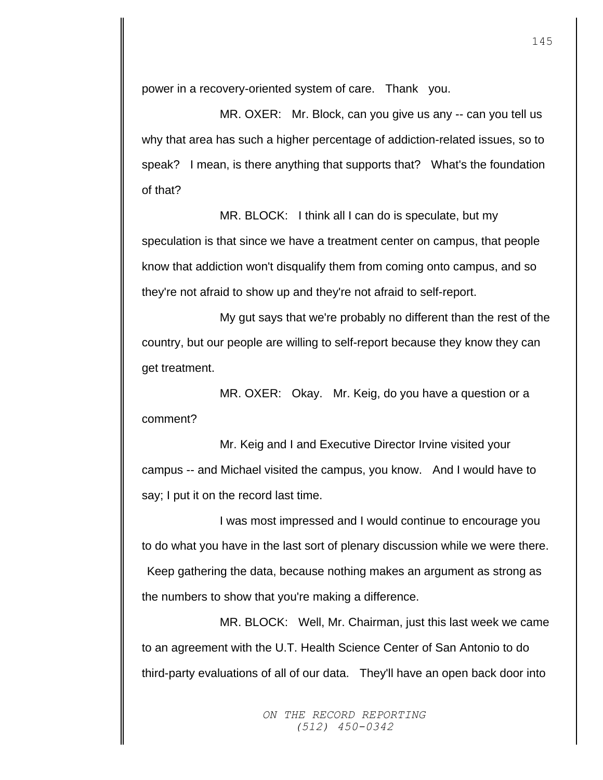power in a recovery-oriented system of care. Thank you.

MR. OXER: Mr. Block, can you give us any -- can you tell us why that area has such a higher percentage of addiction-related issues, so to speak? I mean, is there anything that supports that? What's the foundation of that?

MR. BLOCK: I think all I can do is speculate, but my speculation is that since we have a treatment center on campus, that people know that addiction won't disqualify them from coming onto campus, and so they're not afraid to show up and they're not afraid to self-report.

My gut says that we're probably no different than the rest of the country, but our people are willing to self-report because they know they can get treatment.

MR. OXER: Okay. Mr. Keig, do you have a question or a comment?

Mr. Keig and I and Executive Director Irvine visited your campus -- and Michael visited the campus, you know. And I would have to say; I put it on the record last time.

I was most impressed and I would continue to encourage you to do what you have in the last sort of plenary discussion while we were there. Keep gathering the data, because nothing makes an argument as strong as the numbers to show that you're making a difference.

MR. BLOCK: Well, Mr. Chairman, just this last week we came to an agreement with the U.T. Health Science Center of San Antonio to do third-party evaluations of all of our data. They'll have an open back door into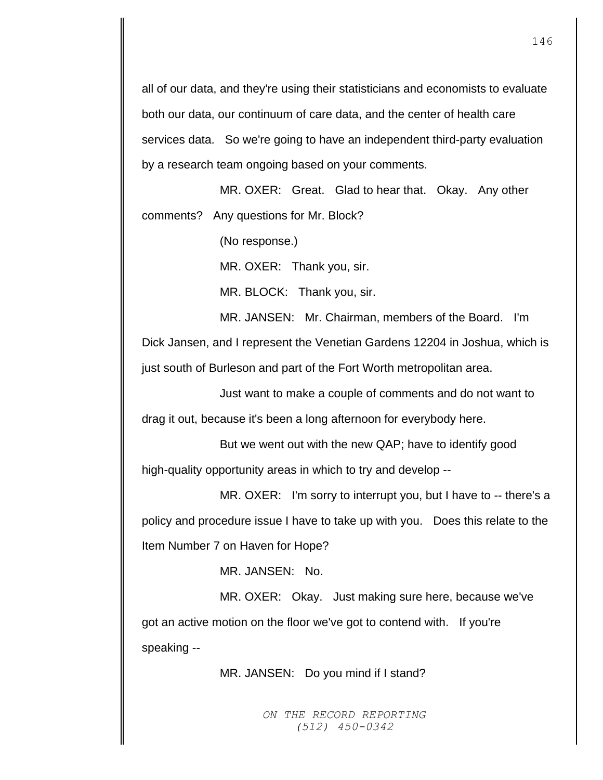all of our data, and they're using their statisticians and economists to evaluate both our data, our continuum of care data, and the center of health care services data. So we're going to have an independent third-party evaluation by a research team ongoing based on your comments.

MR. OXER: Great. Glad to hear that. Okay. Any other comments? Any questions for Mr. Block?

(No response.)

MR. OXER: Thank you, sir.

MR. BLOCK: Thank you, sir.

MR. JANSEN: Mr. Chairman, members of the Board. I'm Dick Jansen, and I represent the Venetian Gardens 12204 in Joshua, which is just south of Burleson and part of the Fort Worth metropolitan area.

Just want to make a couple of comments and do not want to drag it out, because it's been a long afternoon for everybody here.

But we went out with the new QAP; have to identify good high-quality opportunity areas in which to try and develop --

MR. OXER: I'm sorry to interrupt you, but I have to -- there's a policy and procedure issue I have to take up with you. Does this relate to the Item Number 7 on Haven for Hope?

MR. JANSEN: No.

MR. OXER: Okay. Just making sure here, because we've got an active motion on the floor we've got to contend with. If you're speaking --

MR. JANSEN: Do you mind if I stand?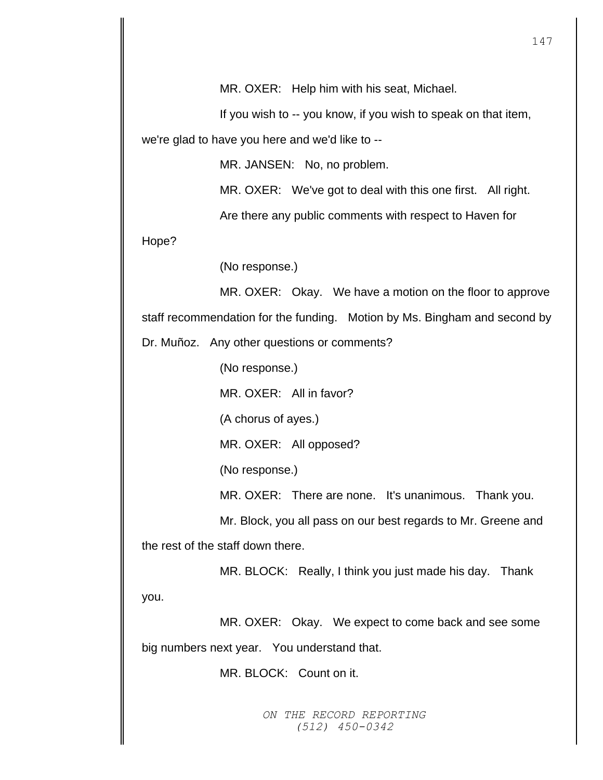If you wish to -- you know, if you wish to speak on that item, we're glad to have you here and we'd like to --

MR. JANSEN: No, no problem.

MR. OXER: We've got to deal with this one first. All right.

Are there any public comments with respect to Haven for

Hope?

(No response.)

MR. OXER: Okay. We have a motion on the floor to approve staff recommendation for the funding. Motion by Ms. Bingham and second by

Dr. Muñoz. Any other questions or comments?

(No response.)

MR. OXER: All in favor?

(A chorus of ayes.)

MR. OXER: All opposed?

(No response.)

MR. OXER: There are none. It's unanimous. Thank you.

Mr. Block, you all pass on our best regards to Mr. Greene and the rest of the staff down there.

MR. BLOCK: Really, I think you just made his day. Thank you.

MR. OXER: Okay. We expect to come back and see some big numbers next year. You understand that.

MR. BLOCK: Count on it.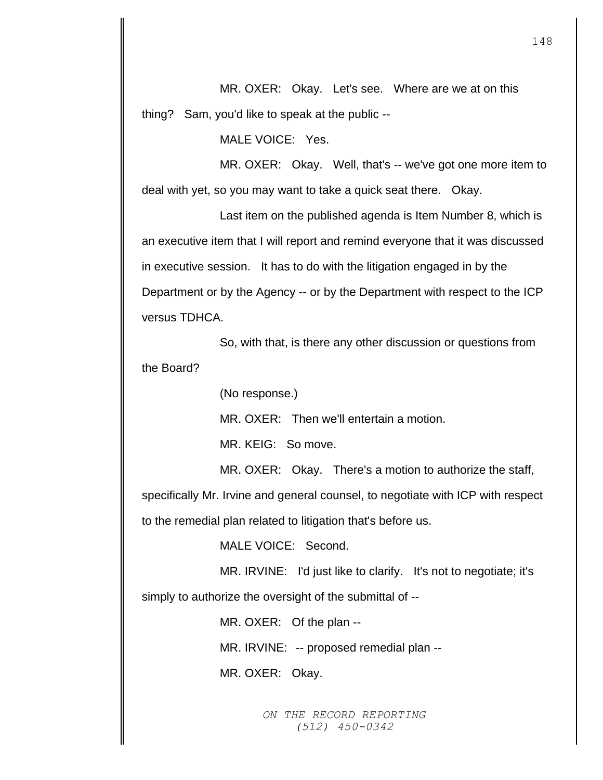MR. OXER: Okay. Let's see. Where are we at on this thing? Sam, you'd like to speak at the public --

MALE VOICE: Yes.

MR. OXER: Okay. Well, that's -- we've got one more item to deal with yet, so you may want to take a quick seat there. Okay.

Last item on the published agenda is Item Number 8, which is an executive item that I will report and remind everyone that it was discussed in executive session. It has to do with the litigation engaged in by the Department or by the Agency -- or by the Department with respect to the ICP versus TDHCA.

So, with that, is there any other discussion or questions from the Board?

(No response.)

MR. OXER: Then we'll entertain a motion.

MR. KEIG: So move.

MR. OXER: Okay. There's a motion to authorize the staff,

specifically Mr. Irvine and general counsel, to negotiate with ICP with respect to the remedial plan related to litigation that's before us.

MALE VOICE: Second.

MR. IRVINE: I'd just like to clarify. It's not to negotiate; it's simply to authorize the oversight of the submittal of --

MR. OXER: Of the plan --

MR. IRVINE: -- proposed remedial plan --

MR. OXER: Okay.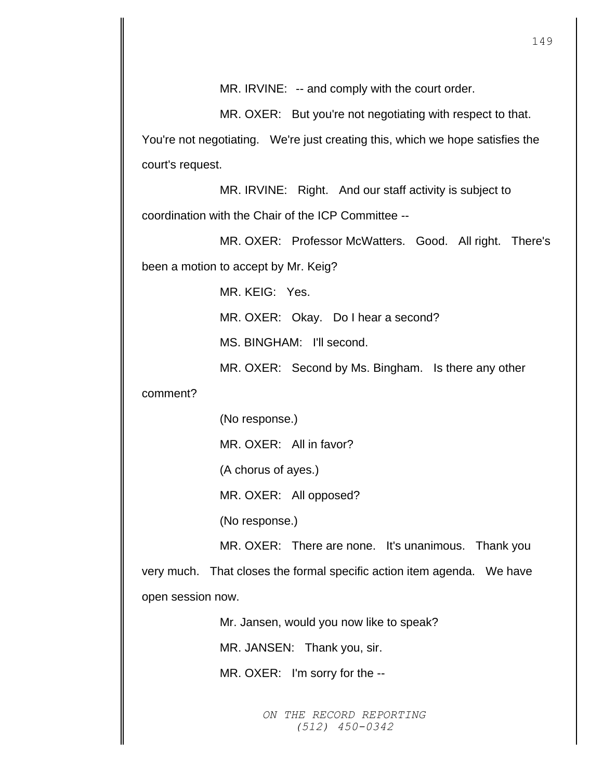MR. OXER: But you're not negotiating with respect to that. You're not negotiating. We're just creating this, which we hope satisfies the court's request.

MR. IRVINE: Right. And our staff activity is subject to coordination with the Chair of the ICP Committee --

MR. OXER: Professor McWatters. Good. All right. There's been a motion to accept by Mr. Keig?

MR. KEIG: Yes.

MR. OXER: Okay. Do I hear a second?

MS. BINGHAM: I'll second.

MR. OXER: Second by Ms. Bingham. Is there any other

comment?

(No response.)

MR. OXER: All in favor?

(A chorus of ayes.)

MR. OXER: All opposed?

(No response.)

MR. OXER: There are none. It's unanimous. Thank you very much. That closes the formal specific action item agenda. We have open session now.

Mr. Jansen, would you now like to speak?

MR. JANSEN: Thank you, sir.

MR. OXER: I'm sorry for the --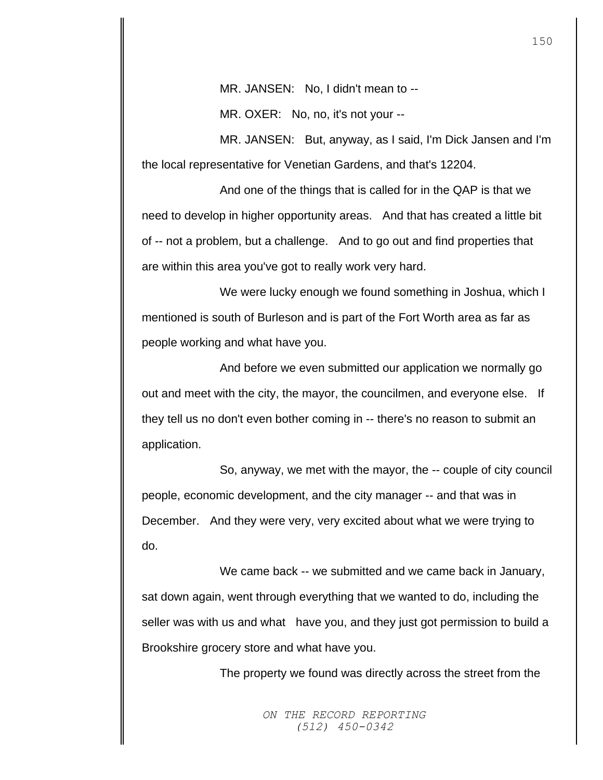MR. JANSEN: No, I didn't mean to --

MR. OXER: No, no, it's not your --

MR. JANSEN: But, anyway, as I said, I'm Dick Jansen and I'm the local representative for Venetian Gardens, and that's 12204.

And one of the things that is called for in the QAP is that we need to develop in higher opportunity areas. And that has created a little bit of -- not a problem, but a challenge. And to go out and find properties that are within this area you've got to really work very hard.

We were lucky enough we found something in Joshua, which I mentioned is south of Burleson and is part of the Fort Worth area as far as people working and what have you.

And before we even submitted our application we normally go out and meet with the city, the mayor, the councilmen, and everyone else. If they tell us no don't even bother coming in -- there's no reason to submit an application.

So, anyway, we met with the mayor, the -- couple of city council people, economic development, and the city manager -- and that was in December. And they were very, very excited about what we were trying to do.

We came back -- we submitted and we came back in January, sat down again, went through everything that we wanted to do, including the seller was with us and what have you, and they just got permission to build a Brookshire grocery store and what have you.

The property we found was directly across the street from the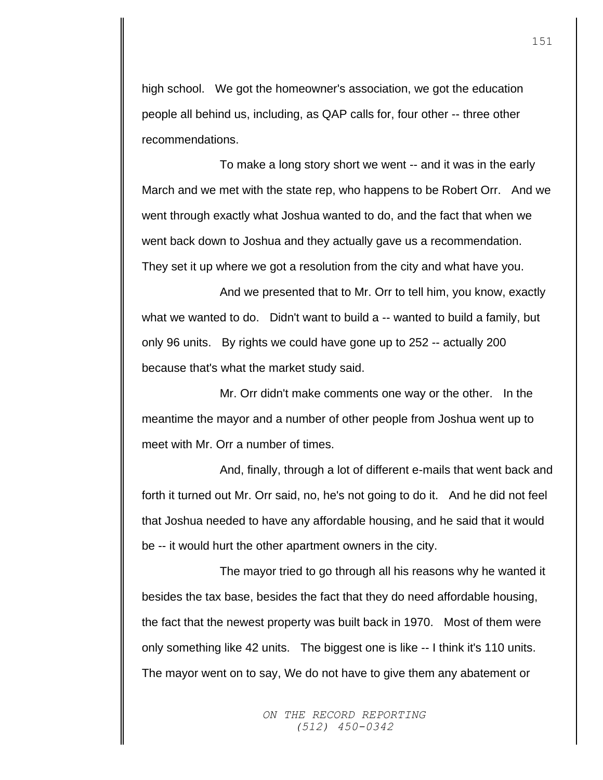high school. We got the homeowner's association, we got the education people all behind us, including, as QAP calls for, four other -- three other recommendations.

To make a long story short we went -- and it was in the early March and we met with the state rep, who happens to be Robert Orr. And we went through exactly what Joshua wanted to do, and the fact that when we went back down to Joshua and they actually gave us a recommendation. They set it up where we got a resolution from the city and what have you.

And we presented that to Mr. Orr to tell him, you know, exactly what we wanted to do. Didn't want to build a -- wanted to build a family, but only 96 units. By rights we could have gone up to 252 -- actually 200 because that's what the market study said.

Mr. Orr didn't make comments one way or the other. In the meantime the mayor and a number of other people from Joshua went up to meet with Mr. Orr a number of times.

And, finally, through a lot of different e-mails that went back and forth it turned out Mr. Orr said, no, he's not going to do it. And he did not feel that Joshua needed to have any affordable housing, and he said that it would be -- it would hurt the other apartment owners in the city.

The mayor tried to go through all his reasons why he wanted it besides the tax base, besides the fact that they do need affordable housing, the fact that the newest property was built back in 1970. Most of them were only something like 42 units. The biggest one is like -- I think it's 110 units. The mayor went on to say, We do not have to give them any abatement or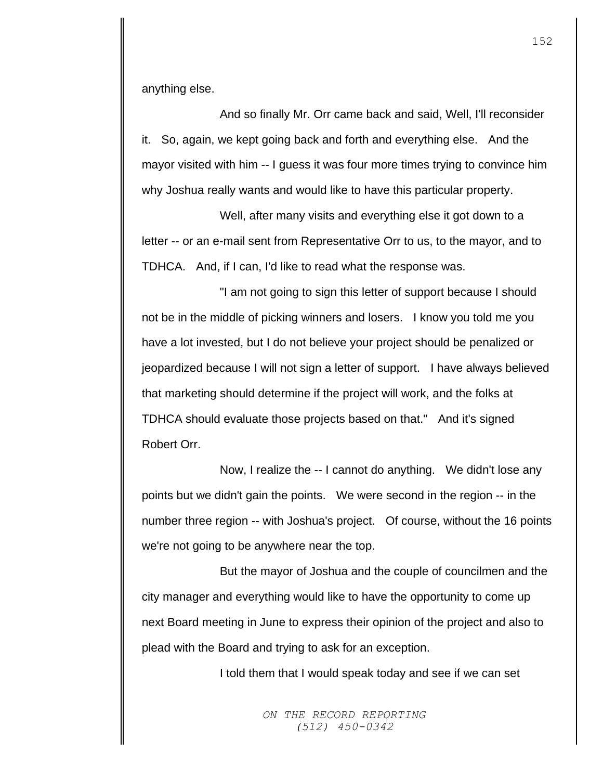anything else.

And so finally Mr. Orr came back and said, Well, I'll reconsider it. So, again, we kept going back and forth and everything else. And the mayor visited with him -- I guess it was four more times trying to convince him why Joshua really wants and would like to have this particular property.

Well, after many visits and everything else it got down to a letter -- or an e-mail sent from Representative Orr to us, to the mayor, and to TDHCA. And, if I can, I'd like to read what the response was.

"I am not going to sign this letter of support because I should not be in the middle of picking winners and losers. I know you told me you have a lot invested, but I do not believe your project should be penalized or jeopardized because I will not sign a letter of support. I have always believed that marketing should determine if the project will work, and the folks at TDHCA should evaluate those projects based on that." And it's signed Robert Orr.

Now, I realize the -- I cannot do anything. We didn't lose any points but we didn't gain the points. We were second in the region -- in the number three region -- with Joshua's project. Of course, without the 16 points we're not going to be anywhere near the top.

But the mayor of Joshua and the couple of councilmen and the city manager and everything would like to have the opportunity to come up next Board meeting in June to express their opinion of the project and also to plead with the Board and trying to ask for an exception.

I told them that I would speak today and see if we can set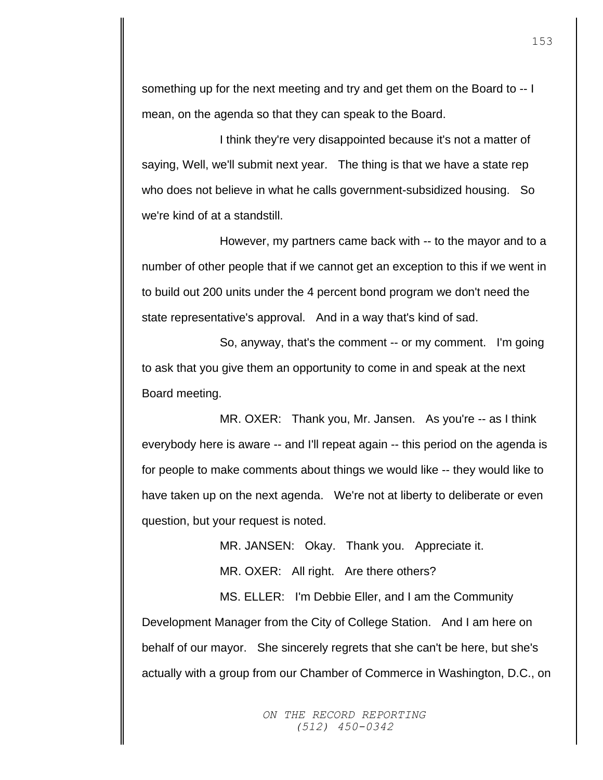something up for the next meeting and try and get them on the Board to -- I mean, on the agenda so that they can speak to the Board.

I think they're very disappointed because it's not a matter of saying, Well, we'll submit next year. The thing is that we have a state rep who does not believe in what he calls government-subsidized housing. So we're kind of at a standstill.

However, my partners came back with -- to the mayor and to a number of other people that if we cannot get an exception to this if we went in to build out 200 units under the 4 percent bond program we don't need the state representative's approval. And in a way that's kind of sad.

So, anyway, that's the comment -- or my comment. I'm going to ask that you give them an opportunity to come in and speak at the next Board meeting.

MR. OXER: Thank you, Mr. Jansen. As you're -- as I think everybody here is aware -- and I'll repeat again -- this period on the agenda is for people to make comments about things we would like -- they would like to have taken up on the next agenda. We're not at liberty to deliberate or even question, but your request is noted.

MR. JANSEN: Okay. Thank you. Appreciate it.

MR. OXER: All right. Are there others?

MS. ELLER: I'm Debbie Eller, and I am the Community Development Manager from the City of College Station. And I am here on behalf of our mayor. She sincerely regrets that she can't be here, but she's actually with a group from our Chamber of Commerce in Washington, D.C., on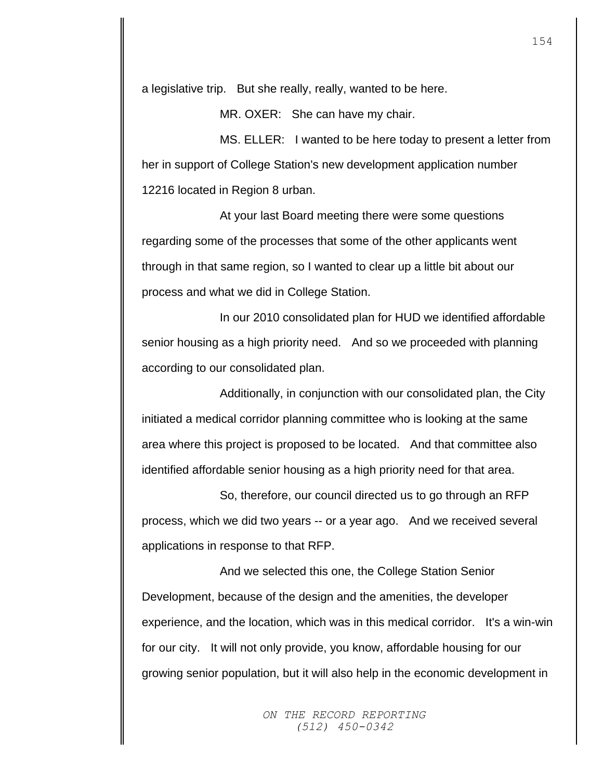a legislative trip. But she really, really, wanted to be here.

MR. OXER: She can have my chair.

MS. ELLER: I wanted to be here today to present a letter from her in support of College Station's new development application number 12216 located in Region 8 urban.

At your last Board meeting there were some questions regarding some of the processes that some of the other applicants went through in that same region, so I wanted to clear up a little bit about our process and what we did in College Station.

In our 2010 consolidated plan for HUD we identified affordable senior housing as a high priority need. And so we proceeded with planning according to our consolidated plan.

Additionally, in conjunction with our consolidated plan, the City initiated a medical corridor planning committee who is looking at the same area where this project is proposed to be located. And that committee also identified affordable senior housing as a high priority need for that area.

So, therefore, our council directed us to go through an RFP process, which we did two years -- or a year ago. And we received several applications in response to that RFP.

And we selected this one, the College Station Senior Development, because of the design and the amenities, the developer experience, and the location, which was in this medical corridor. It's a win-win for our city. It will not only provide, you know, affordable housing for our growing senior population, but it will also help in the economic development in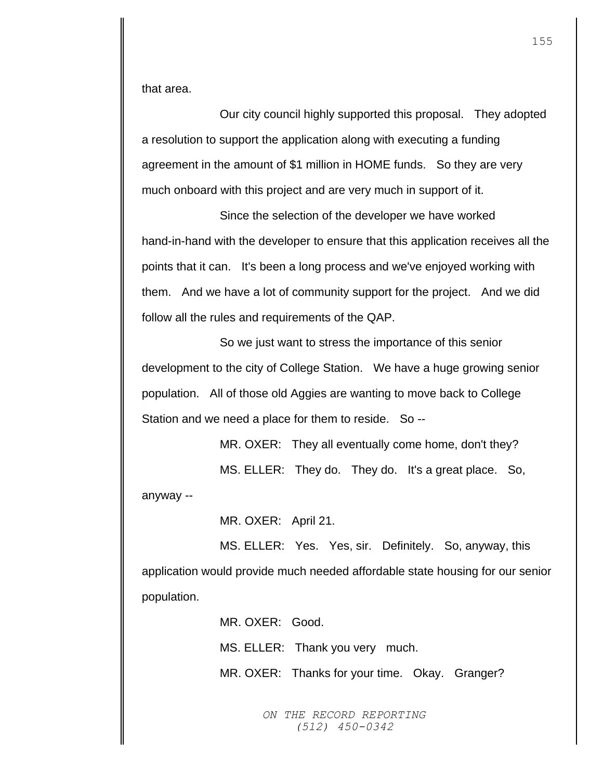that area.

Our city council highly supported this proposal. They adopted a resolution to support the application along with executing a funding agreement in the amount of \$1 million in HOME funds. So they are very much onboard with this project and are very much in support of it.

Since the selection of the developer we have worked hand-in-hand with the developer to ensure that this application receives all the points that it can. It's been a long process and we've enjoyed working with them. And we have a lot of community support for the project. And we did follow all the rules and requirements of the QAP.

So we just want to stress the importance of this senior development to the city of College Station. We have a huge growing senior population. All of those old Aggies are wanting to move back to College Station and we need a place for them to reside. So --

MR. OXER: They all eventually come home, don't they?

MS. ELLER: They do. They do. It's a great place. So,

anyway --

MR. OXER: April 21.

MS. ELLER: Yes. Yes, sir. Definitely. So, anyway, this application would provide much needed affordable state housing for our senior population.

MR. OXER: Good.

MS. ELLER: Thank you very much.

MR. OXER: Thanks for your time. Okay. Granger?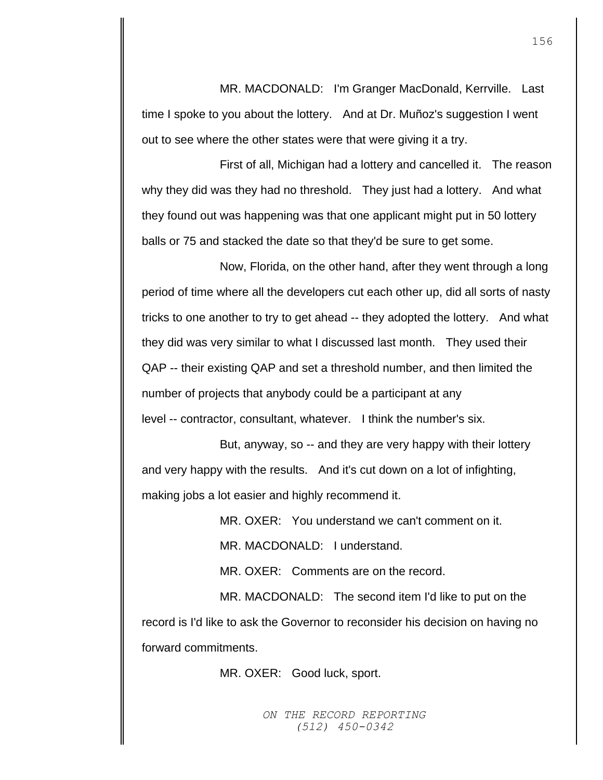MR. MACDONALD: I'm Granger MacDonald, Kerrville. Last time I spoke to you about the lottery. And at Dr. Muñoz's suggestion I went out to see where the other states were that were giving it a try.

First of all, Michigan had a lottery and cancelled it. The reason why they did was they had no threshold. They just had a lottery. And what they found out was happening was that one applicant might put in 50 lottery balls or 75 and stacked the date so that they'd be sure to get some.

Now, Florida, on the other hand, after they went through a long period of time where all the developers cut each other up, did all sorts of nasty tricks to one another to try to get ahead -- they adopted the lottery. And what they did was very similar to what I discussed last month. They used their QAP -- their existing QAP and set a threshold number, and then limited the number of projects that anybody could be a participant at any level -- contractor, consultant, whatever. I think the number's six.

But, anyway, so -- and they are very happy with their lottery and very happy with the results. And it's cut down on a lot of infighting, making jobs a lot easier and highly recommend it.

MR. OXER: You understand we can't comment on it.

MR. MACDONALD: I understand.

MR. OXER: Comments are on the record.

MR. MACDONALD: The second item I'd like to put on the record is I'd like to ask the Governor to reconsider his decision on having no forward commitments.

MR. OXER: Good luck, sport.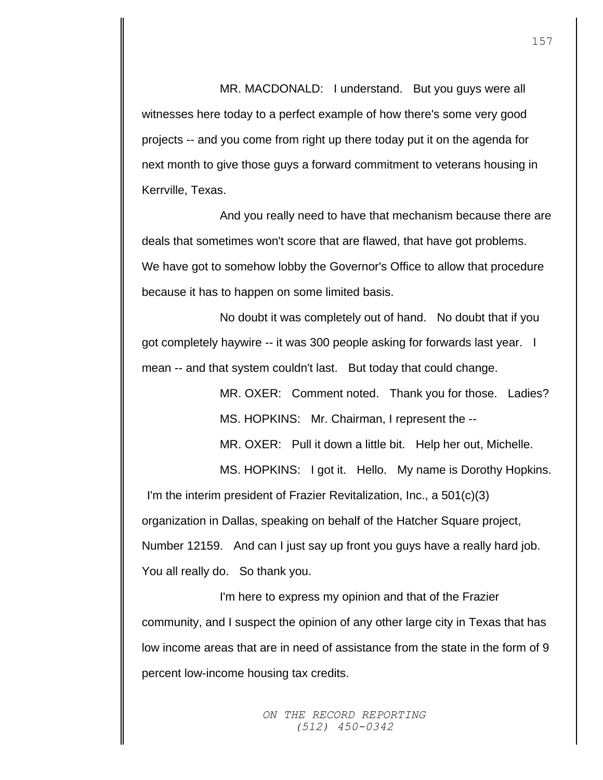MR. MACDONALD: I understand. But you guys were all witnesses here today to a perfect example of how there's some very good projects -- and you come from right up there today put it on the agenda for next month to give those guys a forward commitment to veterans housing in Kerrville, Texas.

And you really need to have that mechanism because there are deals that sometimes won't score that are flawed, that have got problems. We have got to somehow lobby the Governor's Office to allow that procedure because it has to happen on some limited basis.

No doubt it was completely out of hand. No doubt that if you got completely haywire -- it was 300 people asking for forwards last year. I mean -- and that system couldn't last. But today that could change.

> MR. OXER: Comment noted. Thank you for those. Ladies? MS. HOPKINS: Mr. Chairman, I represent the --

MR. OXER: Pull it down a little bit. Help her out, Michelle.

MS. HOPKINS: I got it. Hello. My name is Dorothy Hopkins. I'm the interim president of Frazier Revitalization, Inc., a 501(c)(3) organization in Dallas, speaking on behalf of the Hatcher Square project, Number 12159. And can I just say up front you guys have a really hard job. You all really do. So thank you.

I'm here to express my opinion and that of the Frazier community, and I suspect the opinion of any other large city in Texas that has low income areas that are in need of assistance from the state in the form of 9 percent low-income housing tax credits.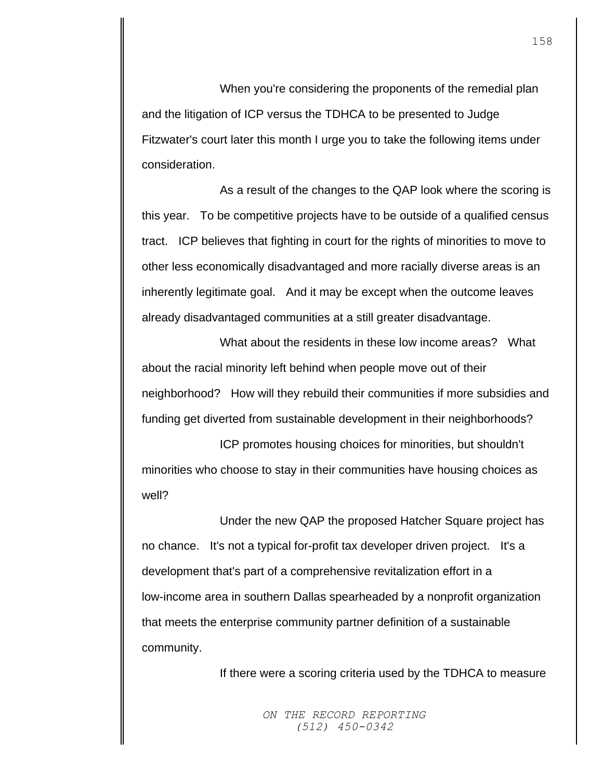When you're considering the proponents of the remedial plan and the litigation of ICP versus the TDHCA to be presented to Judge Fitzwater's court later this month I urge you to take the following items under consideration.

As a result of the changes to the QAP look where the scoring is this year. To be competitive projects have to be outside of a qualified census tract. ICP believes that fighting in court for the rights of minorities to move to other less economically disadvantaged and more racially diverse areas is an inherently legitimate goal. And it may be except when the outcome leaves already disadvantaged communities at a still greater disadvantage.

What about the residents in these low income areas? What about the racial minority left behind when people move out of their neighborhood? How will they rebuild their communities if more subsidies and funding get diverted from sustainable development in their neighborhoods?

ICP promotes housing choices for minorities, but shouldn't minorities who choose to stay in their communities have housing choices as well?

Under the new QAP the proposed Hatcher Square project has no chance. It's not a typical for-profit tax developer driven project. It's a development that's part of a comprehensive revitalization effort in a low-income area in southern Dallas spearheaded by a nonprofit organization that meets the enterprise community partner definition of a sustainable community.

If there were a scoring criteria used by the TDHCA to measure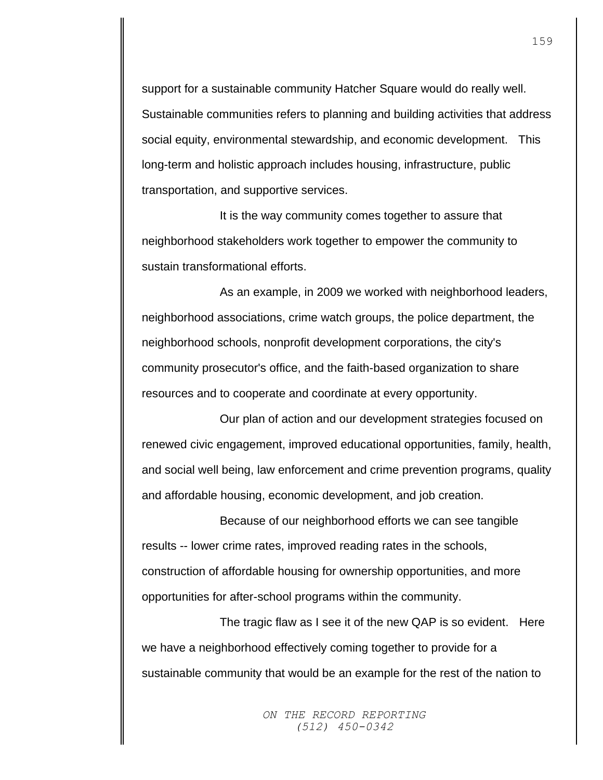support for a sustainable community Hatcher Square would do really well. Sustainable communities refers to planning and building activities that address social equity, environmental stewardship, and economic development. This long-term and holistic approach includes housing, infrastructure, public transportation, and supportive services.

It is the way community comes together to assure that neighborhood stakeholders work together to empower the community to sustain transformational efforts.

As an example, in 2009 we worked with neighborhood leaders, neighborhood associations, crime watch groups, the police department, the neighborhood schools, nonprofit development corporations, the city's community prosecutor's office, and the faith-based organization to share resources and to cooperate and coordinate at every opportunity.

Our plan of action and our development strategies focused on renewed civic engagement, improved educational opportunities, family, health, and social well being, law enforcement and crime prevention programs, quality and affordable housing, economic development, and job creation.

Because of our neighborhood efforts we can see tangible results -- lower crime rates, improved reading rates in the schools, construction of affordable housing for ownership opportunities, and more opportunities for after-school programs within the community.

The tragic flaw as I see it of the new QAP is so evident. Here we have a neighborhood effectively coming together to provide for a sustainable community that would be an example for the rest of the nation to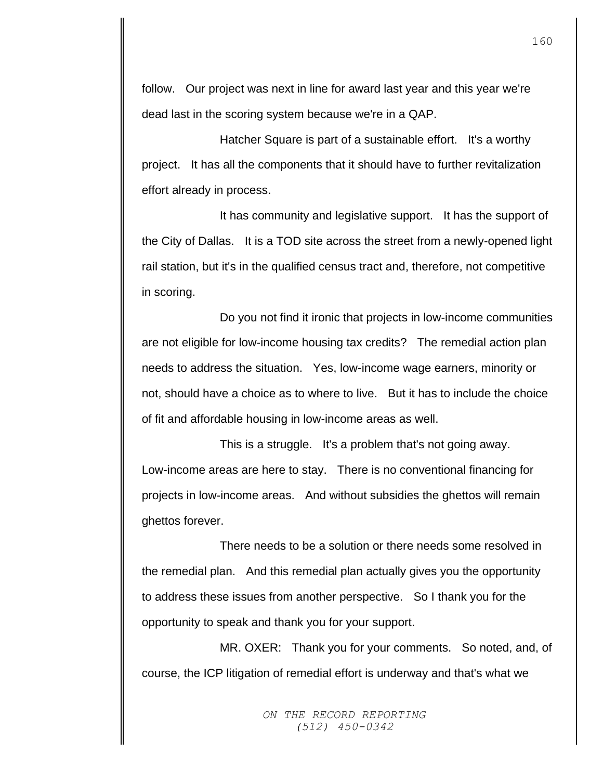follow. Our project was next in line for award last year and this year we're dead last in the scoring system because we're in a QAP.

Hatcher Square is part of a sustainable effort. It's a worthy project. It has all the components that it should have to further revitalization effort already in process.

It has community and legislative support. It has the support of the City of Dallas. It is a TOD site across the street from a newly-opened light rail station, but it's in the qualified census tract and, therefore, not competitive in scoring.

Do you not find it ironic that projects in low-income communities are not eligible for low-income housing tax credits? The remedial action plan needs to address the situation. Yes, low-income wage earners, minority or not, should have a choice as to where to live. But it has to include the choice of fit and affordable housing in low-income areas as well.

This is a struggle. It's a problem that's not going away. Low-income areas are here to stay. There is no conventional financing for projects in low-income areas. And without subsidies the ghettos will remain ghettos forever.

There needs to be a solution or there needs some resolved in the remedial plan. And this remedial plan actually gives you the opportunity to address these issues from another perspective. So I thank you for the opportunity to speak and thank you for your support.

MR. OXER: Thank you for your comments. So noted, and, of course, the ICP litigation of remedial effort is underway and that's what we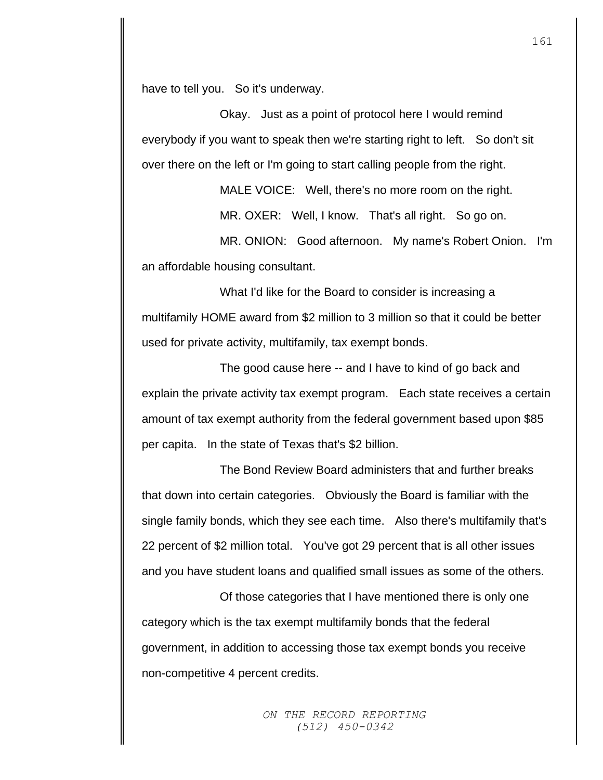have to tell you. So it's underway.

Okay. Just as a point of protocol here I would remind everybody if you want to speak then we're starting right to left. So don't sit over there on the left or I'm going to start calling people from the right.

MALE VOICE: Well, there's no more room on the right.

MR. OXER: Well, I know. That's all right. So go on.

MR. ONION: Good afternoon. My name's Robert Onion. I'm an affordable housing consultant.

What I'd like for the Board to consider is increasing a multifamily HOME award from \$2 million to 3 million so that it could be better used for private activity, multifamily, tax exempt bonds.

The good cause here -- and I have to kind of go back and explain the private activity tax exempt program. Each state receives a certain amount of tax exempt authority from the federal government based upon \$85 per capita. In the state of Texas that's \$2 billion.

The Bond Review Board administers that and further breaks that down into certain categories. Obviously the Board is familiar with the single family bonds, which they see each time. Also there's multifamily that's 22 percent of \$2 million total. You've got 29 percent that is all other issues and you have student loans and qualified small issues as some of the others.

Of those categories that I have mentioned there is only one category which is the tax exempt multifamily bonds that the federal government, in addition to accessing those tax exempt bonds you receive non-competitive 4 percent credits.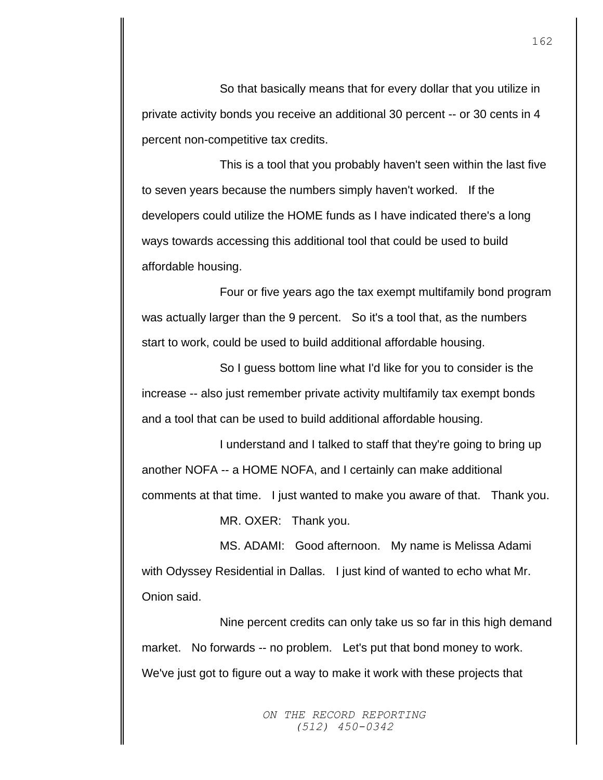So that basically means that for every dollar that you utilize in private activity bonds you receive an additional 30 percent -- or 30 cents in 4 percent non-competitive tax credits.

This is a tool that you probably haven't seen within the last five to seven years because the numbers simply haven't worked. If the developers could utilize the HOME funds as I have indicated there's a long ways towards accessing this additional tool that could be used to build affordable housing.

Four or five years ago the tax exempt multifamily bond program was actually larger than the 9 percent. So it's a tool that, as the numbers start to work, could be used to build additional affordable housing.

So I guess bottom line what I'd like for you to consider is the increase -- also just remember private activity multifamily tax exempt bonds and a tool that can be used to build additional affordable housing.

I understand and I talked to staff that they're going to bring up another NOFA -- a HOME NOFA, and I certainly can make additional comments at that time. I just wanted to make you aware of that. Thank you.

MR. OXER: Thank you.

MS. ADAMI: Good afternoon. My name is Melissa Adami with Odyssey Residential in Dallas. I just kind of wanted to echo what Mr. Onion said.

Nine percent credits can only take us so far in this high demand market. No forwards -- no problem. Let's put that bond money to work. We've just got to figure out a way to make it work with these projects that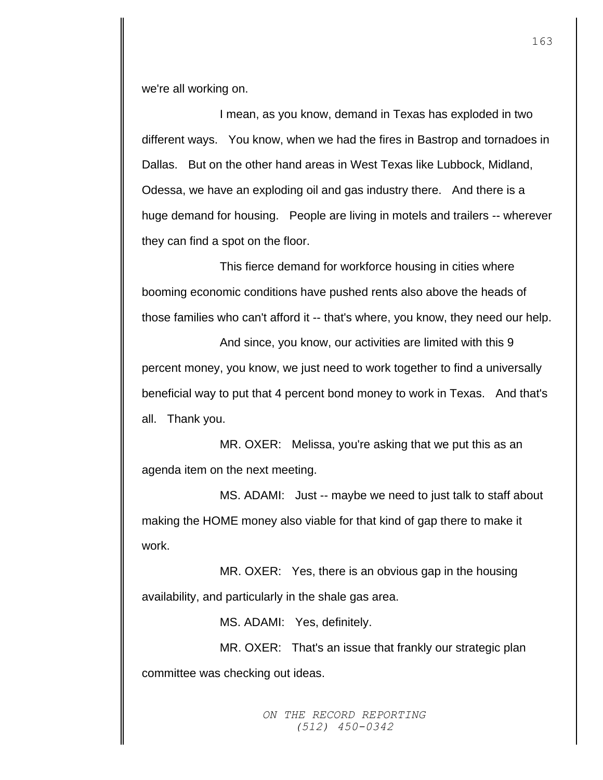we're all working on.

I mean, as you know, demand in Texas has exploded in two different ways. You know, when we had the fires in Bastrop and tornadoes in Dallas. But on the other hand areas in West Texas like Lubbock, Midland, Odessa, we have an exploding oil and gas industry there. And there is a huge demand for housing. People are living in motels and trailers -- wherever they can find a spot on the floor.

This fierce demand for workforce housing in cities where booming economic conditions have pushed rents also above the heads of those families who can't afford it -- that's where, you know, they need our help.

And since, you know, our activities are limited with this 9 percent money, you know, we just need to work together to find a universally beneficial way to put that 4 percent bond money to work in Texas. And that's all. Thank you.

MR. OXER: Melissa, you're asking that we put this as an agenda item on the next meeting.

MS. ADAMI: Just -- maybe we need to just talk to staff about making the HOME money also viable for that kind of gap there to make it work.

MR. OXER: Yes, there is an obvious gap in the housing availability, and particularly in the shale gas area.

MS. ADAMI: Yes, definitely.

MR. OXER: That's an issue that frankly our strategic plan committee was checking out ideas.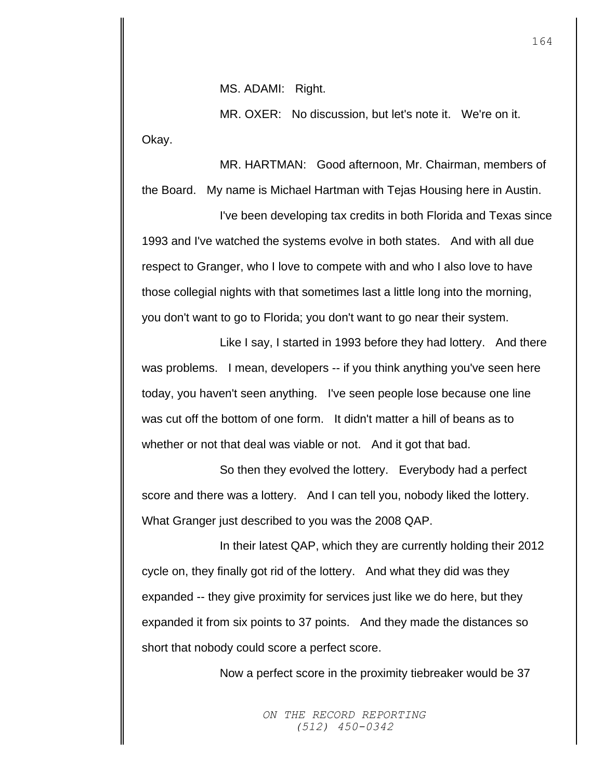MS. ADAMI: Right.

MR. OXER: No discussion, but let's note it. We're on it. Okay.

MR. HARTMAN: Good afternoon, Mr. Chairman, members of the Board. My name is Michael Hartman with Tejas Housing here in Austin.

I've been developing tax credits in both Florida and Texas since 1993 and I've watched the systems evolve in both states. And with all due respect to Granger, who I love to compete with and who I also love to have those collegial nights with that sometimes last a little long into the morning, you don't want to go to Florida; you don't want to go near their system.

Like I say, I started in 1993 before they had lottery. And there was problems. I mean, developers -- if you think anything you've seen here today, you haven't seen anything. I've seen people lose because one line was cut off the bottom of one form. It didn't matter a hill of beans as to whether or not that deal was viable or not. And it got that bad.

So then they evolved the lottery. Everybody had a perfect score and there was a lottery. And I can tell you, nobody liked the lottery. What Granger just described to you was the 2008 QAP.

In their latest QAP, which they are currently holding their 2012 cycle on, they finally got rid of the lottery. And what they did was they expanded -- they give proximity for services just like we do here, but they expanded it from six points to 37 points. And they made the distances so short that nobody could score a perfect score.

Now a perfect score in the proximity tiebreaker would be 37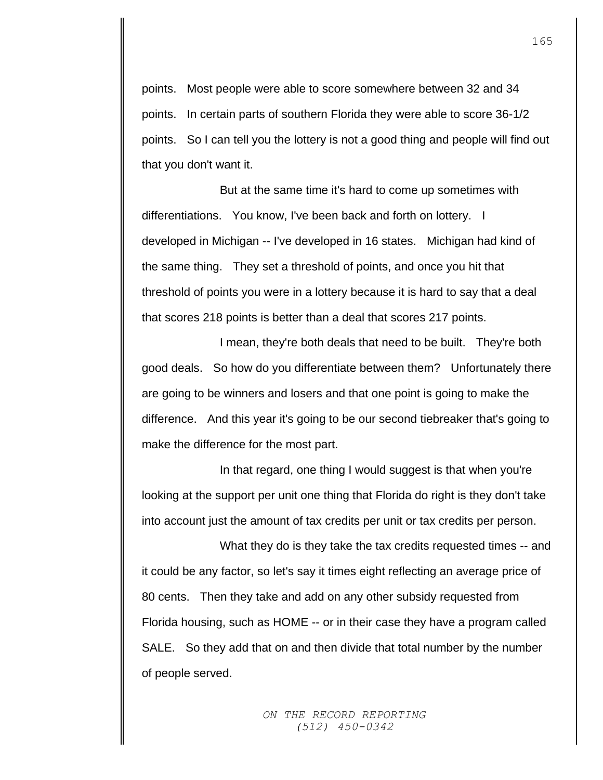points. Most people were able to score somewhere between 32 and 34 points. In certain parts of southern Florida they were able to score 36-1/2 points. So I can tell you the lottery is not a good thing and people will find out that you don't want it.

But at the same time it's hard to come up sometimes with differentiations. You know, I've been back and forth on lottery. I developed in Michigan -- I've developed in 16 states. Michigan had kind of the same thing. They set a threshold of points, and once you hit that threshold of points you were in a lottery because it is hard to say that a deal that scores 218 points is better than a deal that scores 217 points.

I mean, they're both deals that need to be built. They're both good deals. So how do you differentiate between them? Unfortunately there are going to be winners and losers and that one point is going to make the difference. And this year it's going to be our second tiebreaker that's going to make the difference for the most part.

In that regard, one thing I would suggest is that when you're looking at the support per unit one thing that Florida do right is they don't take into account just the amount of tax credits per unit or tax credits per person.

What they do is they take the tax credits requested times -- and it could be any factor, so let's say it times eight reflecting an average price of 80 cents. Then they take and add on any other subsidy requested from Florida housing, such as HOME -- or in their case they have a program called SALE. So they add that on and then divide that total number by the number of people served.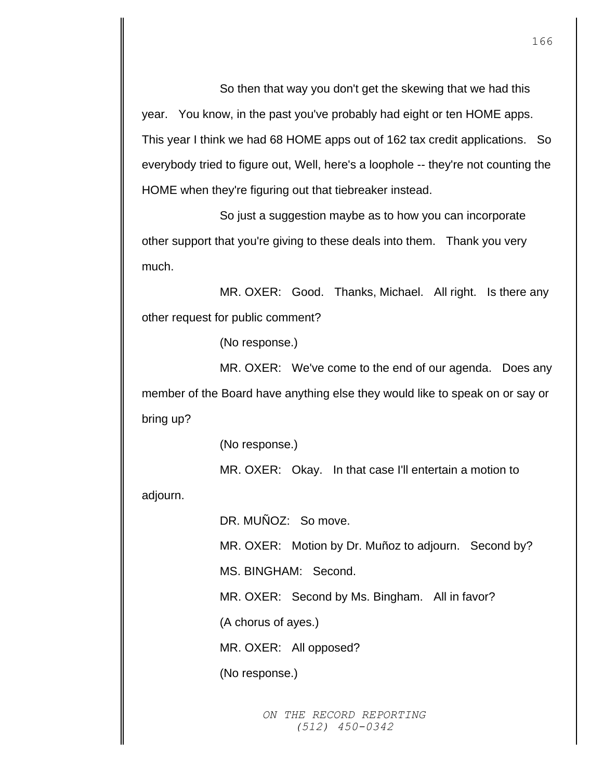So then that way you don't get the skewing that we had this year. You know, in the past you've probably had eight or ten HOME apps. This year I think we had 68 HOME apps out of 162 tax credit applications. So everybody tried to figure out, Well, here's a loophole -- they're not counting the HOME when they're figuring out that tiebreaker instead.

So just a suggestion maybe as to how you can incorporate other support that you're giving to these deals into them. Thank you very much.

MR. OXER: Good. Thanks, Michael. All right. Is there any other request for public comment?

(No response.)

MR. OXER: We've come to the end of our agenda. Does any member of the Board have anything else they would like to speak on or say or bring up?

(No response.)

MR. OXER: Okay. In that case I'll entertain a motion to

adjourn.

DR. MUÑOZ: So move.

MR. OXER: Motion by Dr. Muñoz to adjourn. Second by?

MS. BINGHAM: Second.

MR. OXER: Second by Ms. Bingham. All in favor?

(A chorus of ayes.)

MR. OXER: All opposed?

(No response.)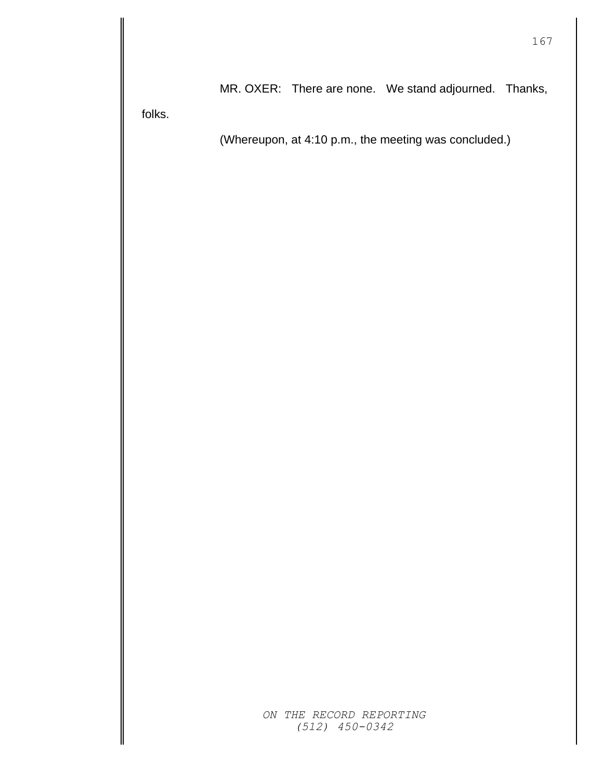MR. OXER: There are none. We stand adjourned. Thanks,

folks.

(Whereupon, at 4:10 p.m., the meeting was concluded.)